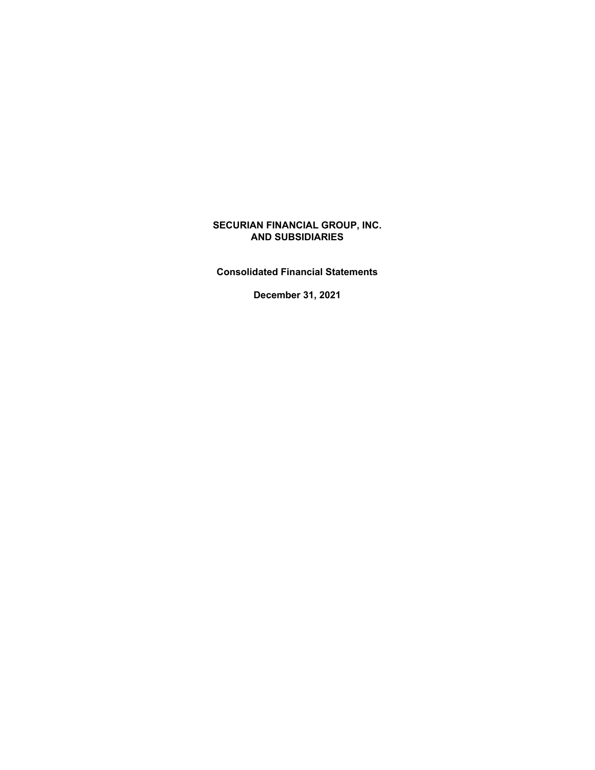**Consolidated Financial Statements**

**December 31, 2021**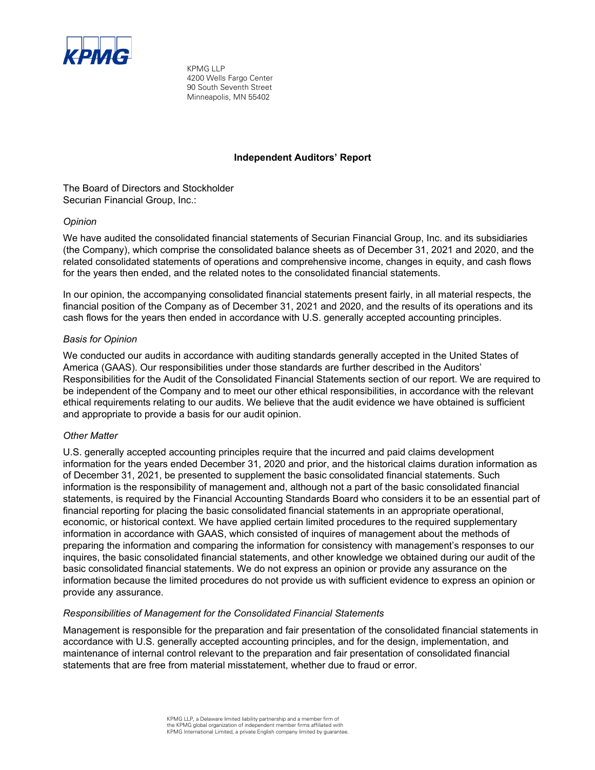

KPMG LLP 4200 Wells Fargo Center 90 South Seventh Street Minneapolis, MN 55402

# **Independent Auditors' Report**

The Board of Directors and Stockholder Securian Financial Group, Inc.:

# *Opinion*

We have audited the consolidated financial statements of Securian Financial Group, Inc. and its subsidiaries (the Company), which comprise the consolidated balance sheets as of December 31, 2021 and 2020, and the related consolidated statements of operations and comprehensive income, changes in equity, and cash flows for the years then ended, and the related notes to the consolidated financial statements.

In our opinion, the accompanying consolidated financial statements present fairly, in all material respects, the financial position of the Company as of December 31, 2021 and 2020, and the results of its operations and its cash flows for the years then ended in accordance with U.S. generally accepted accounting principles.

# *Basis for Opinion*

We conducted our audits in accordance with auditing standards generally accepted in the United States of America (GAAS). Our responsibilities under those standards are further described in the Auditors' Responsibilities for the Audit of the Consolidated Financial Statements section of our report. We are required to be independent of the Company and to meet our other ethical responsibilities, in accordance with the relevant ethical requirements relating to our audits. We believe that the audit evidence we have obtained is sufficient and appropriate to provide a basis for our audit opinion.

# *Other Matter*

U.S. generally accepted accounting principles require that the incurred and paid claims development information for the years ended December 31, 2020 and prior, and the historical claims duration information as of December 31, 2021, be presented to supplement the basic consolidated financial statements. Such information is the responsibility of management and, although not a part of the basic consolidated financial statements, is required by the Financial Accounting Standards Board who considers it to be an essential part of financial reporting for placing the basic consolidated financial statements in an appropriate operational, economic, or historical context. We have applied certain limited procedures to the required supplementary information in accordance with GAAS, which consisted of inquires of management about the methods of preparing the information and comparing the information for consistency with management's responses to our inquires, the basic consolidated financial statements, and other knowledge we obtained during our audit of the basic consolidated financial statements. We do not express an opinion or provide any assurance on the information because the limited procedures do not provide us with sufficient evidence to express an opinion or provide any assurance.

# *Responsibilities of Management for the Consolidated Financial Statements*

Management is responsible for the preparation and fair presentation of the consolidated financial statements in accordance with U.S. generally accepted accounting principles, and for the design, implementation, and maintenance of internal control relevant to the preparation and fair presentation of consolidated financial statements that are free from material misstatement, whether due to fraud or error.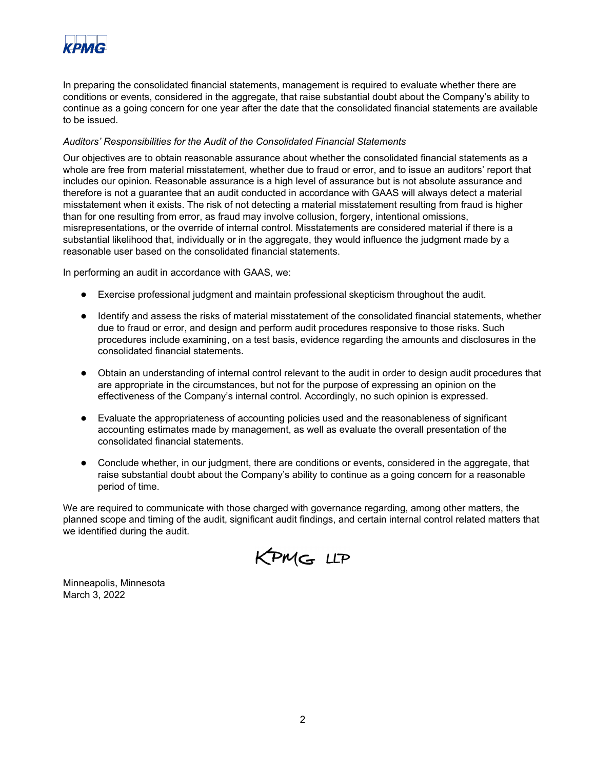

In preparing the consolidated financial statements, management is required to evaluate whether there are conditions or events, considered in the aggregate, that raise substantial doubt about the Company's ability to continue as a going concern for one year after the date that the consolidated financial statements are available to be issued.

# *Auditors' Responsibilities for the Audit of the Consolidated Financial Statements*

Our objectives are to obtain reasonable assurance about whether the consolidated financial statements as a whole are free from material misstatement, whether due to fraud or error, and to issue an auditors' report that includes our opinion. Reasonable assurance is a high level of assurance but is not absolute assurance and therefore is not a guarantee that an audit conducted in accordance with GAAS will always detect a material misstatement when it exists. The risk of not detecting a material misstatement resulting from fraud is higher than for one resulting from error, as fraud may involve collusion, forgery, intentional omissions, misrepresentations, or the override of internal control. Misstatements are considered material if there is a substantial likelihood that, individually or in the aggregate, they would influence the judgment made by a reasonable user based on the consolidated financial statements.

In performing an audit in accordance with GAAS, we:

- Exercise professional judgment and maintain professional skepticism throughout the audit.
- Identify and assess the risks of material misstatement of the consolidated financial statements, whether due to fraud or error, and design and perform audit procedures responsive to those risks. Such procedures include examining, on a test basis, evidence regarding the amounts and disclosures in the consolidated financial statements.
- Obtain an understanding of internal control relevant to the audit in order to design audit procedures that are appropriate in the circumstances, but not for the purpose of expressing an opinion on the effectiveness of the Company's internal control. Accordingly, no such opinion is expressed.
- Evaluate the appropriateness of accounting policies used and the reasonableness of significant accounting estimates made by management, as well as evaluate the overall presentation of the consolidated financial statements.
- Conclude whether, in our judgment, there are conditions or events, considered in the aggregate, that raise substantial doubt about the Company's ability to continue as a going concern for a reasonable period of time.

We are required to communicate with those charged with governance regarding, among other matters, the planned scope and timing of the audit, significant audit findings, and certain internal control related matters that we identified during the audit.

KPMG LLP

Minneapolis, Minnesota March 3, 2022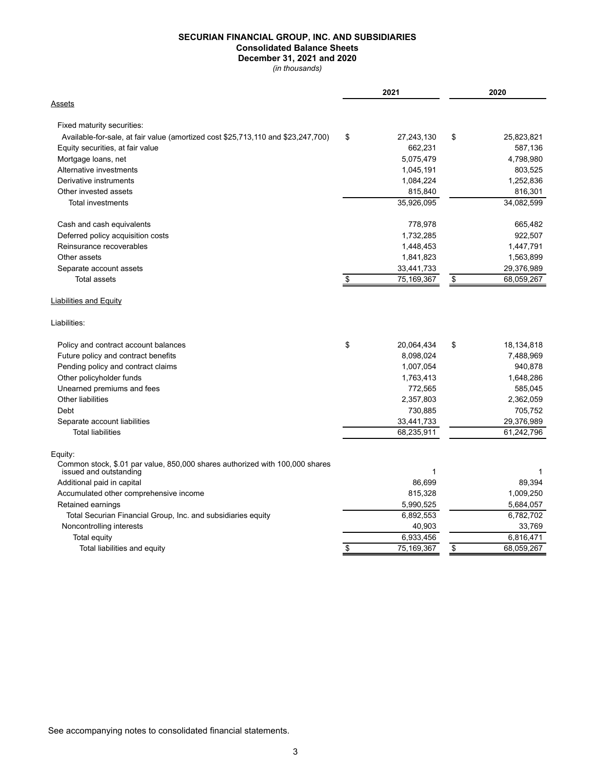# **SECURIAN FINANCIAL GROUP, INC. AND SUBSIDIARIES Consolidated Balance Sheets**

# **December 31, 2021 and 2020**

*(in thousands)*

|                                                                                                        | 2021             | 2020             |
|--------------------------------------------------------------------------------------------------------|------------------|------------------|
| <u>Assets</u>                                                                                          |                  |                  |
| Fixed maturity securities:                                                                             |                  |                  |
| Available-for-sale, at fair value (amortized cost \$25,713,110 and \$23,247,700)                       | \$<br>27,243,130 | \$<br>25,823,821 |
| Equity securities, at fair value                                                                       | 662,231          | 587,136          |
| Mortgage Ioans, net                                                                                    | 5,075,479        | 4,798,980        |
| Alternative investments                                                                                | 1,045,191        | 803,525          |
| Derivative instruments                                                                                 | 1,084,224        | 1,252,836        |
| Other invested assets                                                                                  | 815,840          | 816,301          |
| <b>Total investments</b>                                                                               | 35,926,095       | 34,082,599       |
| Cash and cash equivalents                                                                              | 778,978          | 665,482          |
| Deferred policy acquisition costs                                                                      | 1,732,285        | 922,507          |
| Reinsurance recoverables                                                                               | 1,448,453        | 1,447,791        |
| Other assets                                                                                           | 1,841,823        | 1,563,899        |
| Separate account assets                                                                                | 33,441,733       | 29,376,989       |
| <b>Total assets</b>                                                                                    | \$<br>75,169,367 | \$<br>68,059,267 |
| <b>Liabilities and Equity</b>                                                                          |                  |                  |
| Liabilities:                                                                                           |                  |                  |
| Policy and contract account balances                                                                   | \$<br>20,064,434 | \$<br>18,134,818 |
| Future policy and contract benefits                                                                    | 8,098,024        | 7,488,969        |
| Pending policy and contract claims                                                                     | 1,007,054        | 940,878          |
| Other policyholder funds                                                                               | 1,763,413        | 1,648,286        |
| Unearned premiums and fees                                                                             | 772,565          | 585,045          |
| Other liabilities                                                                                      | 2,357,803        | 2,362,059        |
| Debt                                                                                                   | 730,885          | 705,752          |
| Separate account liabilities                                                                           | 33,441,733       | 29,376,989       |
| <b>Total liabilities</b>                                                                               | 68,235,911       | 61,242,796       |
| Equity:                                                                                                |                  |                  |
| Common stock, \$.01 par value, 850,000 shares authorized with 100,000 shares<br>issued and outstanding |                  |                  |
| Additional paid in capital                                                                             | 86,699           | 89,394           |
| Accumulated other comprehensive income                                                                 | 815,328          | 1,009,250        |
| Retained earnings                                                                                      | 5,990,525        | 5,684,057        |
| Total Securian Financial Group, Inc. and subsidiaries equity                                           | 6,892,553        | 6,782,702        |
| Noncontrolling interests                                                                               | 40,903           | 33,769           |
| Total equity                                                                                           | 6,933,456        | 6,816,471        |
| Total liabilities and equity                                                                           | \$<br>75,169,367 | \$<br>68,059,267 |
|                                                                                                        |                  |                  |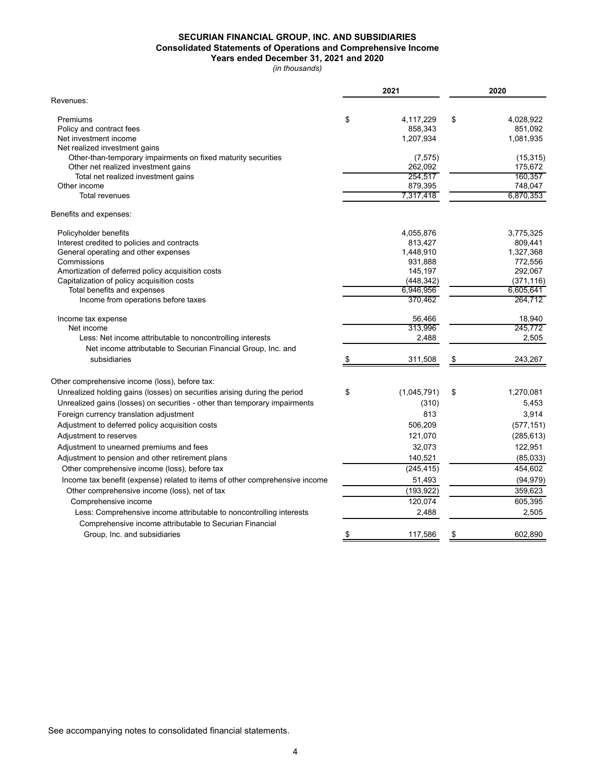# **SECURIAN FINANCIAL GROUP, INC. AND SUBSIDIARIES Consolidated Statements of Operations and Comprehensive Income Years ended December 31, 2021 and 2020**

*(in thousands)*

|                                                                             | 2021 |                         | 2020 |                         |  |
|-----------------------------------------------------------------------------|------|-------------------------|------|-------------------------|--|
| Revenues:                                                                   |      |                         |      |                         |  |
| Premiums                                                                    | \$   | 4,117,229               | \$   | 4,028,922               |  |
| Policy and contract fees                                                    |      | 858,343                 |      | 851,092                 |  |
| Net investment income                                                       |      | 1,207,934               |      | 1,081,935               |  |
| Net realized investment gains                                               |      |                         |      |                         |  |
| Other-than-temporary impairments on fixed maturity securities               |      | (7, 575)                |      | (15, 315)               |  |
| Other net realized investment gains                                         |      | 262.092                 |      | 175,672<br>160,357      |  |
| Total net realized investment gains<br>Other income                         |      | 254,517<br>879,395      |      | 748,047                 |  |
| <b>Total revenues</b>                                                       |      | 7,317,418               |      | 6,870,353               |  |
| Benefits and expenses:                                                      |      |                         |      |                         |  |
| Policyholder benefits                                                       |      | 4,055,876               |      | 3,775,325               |  |
| Interest credited to policies and contracts                                 |      | 813,427                 |      | 809,441                 |  |
| General operating and other expenses                                        |      | 1,448,910               |      | 1,327,368               |  |
| Commissions                                                                 |      | 931,888                 |      | 772,556                 |  |
| Amortization of deferred policy acquisition costs                           |      | 145,197                 |      | 292,067                 |  |
| Capitalization of policy acquisition costs<br>Total benefits and expenses   |      | (448, 342)<br>6,946,956 |      | (371, 116)<br>6,605,641 |  |
| Income from operations before taxes                                         |      | 370,462                 |      | 264,712                 |  |
|                                                                             |      |                         |      |                         |  |
| Income tax expense                                                          |      | 56,466                  |      | 18,940                  |  |
| Net income                                                                  |      | 313,996                 |      | 245,772                 |  |
| Less: Net income attributable to noncontrolling interests                   |      | 2,488                   |      | 2,505                   |  |
| Net income attributable to Securian Financial Group, Inc. and               |      |                         |      |                         |  |
| subsidiaries                                                                |      | 311,508                 |      | 243,267                 |  |
| Other comprehensive income (loss), before tax:                              |      |                         |      |                         |  |
| Unrealized holding gains (losses) on securities arising during the period   | \$   | (1,045,791)             | \$   | 1,270,081               |  |
| Unrealized gains (losses) on securities - other than temporary impairments  |      | (310)                   |      | 5,453                   |  |
| Foreign currency translation adjustment                                     |      | 813                     |      | 3,914                   |  |
| Adjustment to deferred policy acquisition costs                             |      | 506,209                 |      | (577, 151)              |  |
| Adjustment to reserves                                                      |      | 121,070                 |      | (285, 613)              |  |
| Adjustment to unearned premiums and fees                                    |      | 32,073                  |      | 122,951                 |  |
| Adjustment to pension and other retirement plans                            |      | 140,521                 |      | (85,033)                |  |
| Other comprehensive income (loss), before tax                               |      | (245, 415)              |      | 454,602                 |  |
| Income tax benefit (expense) related to items of other comprehensive income |      | 51,493                  |      | (94, 979)               |  |
| Other comprehensive income (loss), net of tax                               |      | (193, 922)              |      | 359,623                 |  |
| Comprehensive income                                                        |      | 120,074                 |      | 605,395                 |  |
| Less: Comprehensive income attributable to noncontrolling interests         |      | 2,488                   |      | 2,505                   |  |
| Comprehensive income attributable to Securian Financial                     |      |                         |      |                         |  |
| Group, Inc. and subsidiaries                                                | \$   | 117,586                 | \$   | 602,890                 |  |
|                                                                             |      |                         |      |                         |  |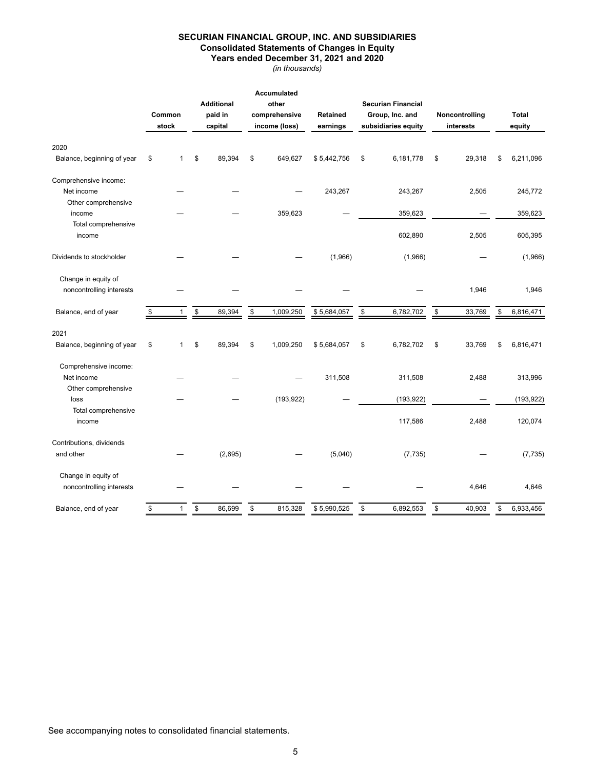# **SECURIAN FINANCIAL GROUP, INC. AND SUBSIDIARIES Consolidated Statements of Changes in Equity Years ended December 31, 2021 and 2020**

*(in thousands)*

|                                                 | Common<br>stock    |       | <b>Additional</b><br>paid in<br>capital | other<br>comprehensive<br>income (loss) |            | Accumulated |                | <b>Retained</b><br>earnings | <b>Securian Financial</b><br>Group, Inc. and<br>subsidiaries equity |    | Noncontrolling<br>interests |  | <b>Total</b><br>equity |
|-------------------------------------------------|--------------------|-------|-----------------------------------------|-----------------------------------------|------------|-------------|----------------|-----------------------------|---------------------------------------------------------------------|----|-----------------------------|--|------------------------|
| 2020<br>Balance, beginning of year              | \$<br>$\mathbf{1}$ | \$    | 89,394                                  | \$                                      | 649,627    | \$5,442,756 | \$             | 6,181,778                   | \$<br>29,318                                                        | S  | 6,211,096                   |  |                        |
|                                                 |                    |       |                                         |                                         |            |             |                |                             |                                                                     |    |                             |  |                        |
| Comprehensive income:<br>Net income             |                    |       |                                         |                                         |            | 243,267     |                | 243,267                     | 2,505                                                               |    | 245,772                     |  |                        |
| Other comprehensive<br>income                   |                    |       |                                         |                                         | 359,623    |             |                | 359,623                     |                                                                     |    | 359,623                     |  |                        |
| Total comprehensive<br>income                   |                    |       |                                         |                                         |            |             |                | 602,890                     | 2,505                                                               |    | 605,395                     |  |                        |
| Dividends to stockholder                        |                    |       |                                         |                                         |            | (1,966)     |                | (1,966)                     |                                                                     |    | (1,966)                     |  |                        |
| Change in equity of<br>noncontrolling interests |                    |       |                                         |                                         |            |             |                |                             | 1,946                                                               |    | 1,946                       |  |                        |
| Balance, end of year                            | \$<br>1            | $\$\$ | 89,394                                  | \$                                      | 1,009,250  | \$5,684,057 | $$\mathbb{S}$$ | 6,782,702                   | \$<br>33,769                                                        | \$ | 6,816,471                   |  |                        |
| 2021                                            |                    |       |                                         |                                         |            |             |                |                             |                                                                     |    |                             |  |                        |
| Balance, beginning of year                      | \$<br>1            | \$    | 89,394                                  | \$                                      | 1,009,250  | \$5,684,057 | \$             | 6,782,702                   | \$<br>33,769                                                        | \$ | 6,816,471                   |  |                        |
| Comprehensive income:<br>Net income             |                    |       |                                         |                                         |            | 311,508     |                | 311,508                     | 2,488                                                               |    | 313,996                     |  |                        |
| Other comprehensive<br>loss                     |                    |       |                                         |                                         | (193, 922) |             |                | (193, 922)                  |                                                                     |    | (193, 922)                  |  |                        |
| Total comprehensive<br>income                   |                    |       |                                         |                                         |            |             |                | 117,586                     | 2,488                                                               |    | 120,074                     |  |                        |
| Contributions, dividends<br>and other           |                    |       | (2,695)                                 |                                         |            | (5,040)     |                | (7, 735)                    |                                                                     |    | (7, 735)                    |  |                        |
| Change in equity of<br>noncontrolling interests |                    |       |                                         |                                         |            |             |                |                             | 4,646                                                               |    | 4,646                       |  |                        |
| Balance, end of year                            | \$<br>$\mathbf{1}$ | \$    | 86,699                                  | \$                                      | 815,328    | \$5,990,525 | \$             | 6,892,553                   | \$<br>40,903                                                        | \$ | 6,933,456                   |  |                        |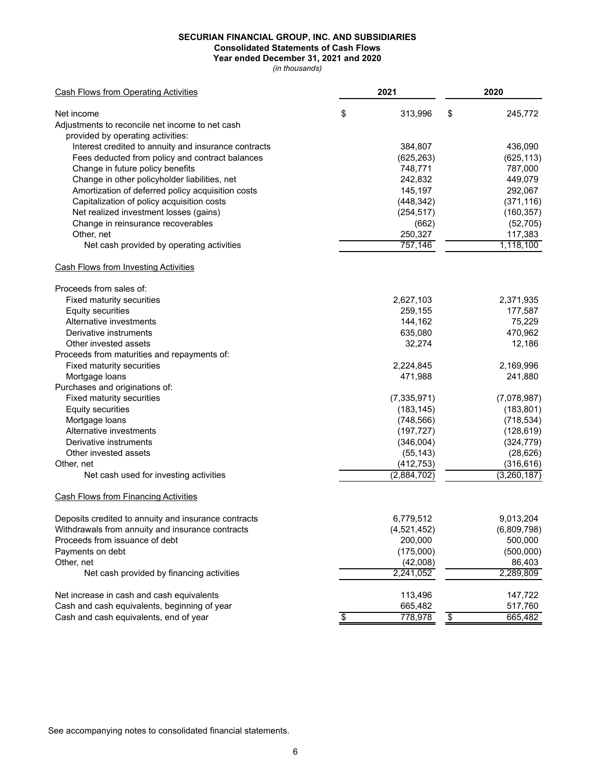# **SECURIAN FINANCIAL GROUP, INC. AND SUBSIDIARIES Consolidated Statements of Cash Flows Year ended December 31, 2021 and 2020**

*(in thousands)*

| <b>Cash Flows from Operating Activities</b>          | 2021                    |               | 2020          |             |  |
|------------------------------------------------------|-------------------------|---------------|---------------|-------------|--|
| Net income                                           | \$                      | 313,996       | \$            | 245,772     |  |
| Adjustments to reconcile net income to net cash      |                         |               |               |             |  |
| provided by operating activities:                    |                         |               |               |             |  |
| Interest credited to annuity and insurance contracts |                         | 384,807       |               | 436,090     |  |
| Fees deducted from policy and contract balances      |                         | (625, 263)    |               | (625, 113)  |  |
| Change in future policy benefits                     |                         | 748,771       |               | 787,000     |  |
| Change in other policyholder liabilities, net        |                         | 242,832       |               | 449,079     |  |
| Amortization of deferred policy acquisition costs    |                         | 145,197       |               | 292,067     |  |
| Capitalization of policy acquisition costs           |                         | (448, 342)    |               | (371, 116)  |  |
| Net realized investment losses (gains)               |                         | (254, 517)    |               | (160, 357)  |  |
| Change in reinsurance recoverables                   |                         | (662)         |               | (52, 705)   |  |
| Other, net                                           |                         | 250,327       |               | 117,383     |  |
| Net cash provided by operating activities            |                         | 757,146       |               | 1,118,100   |  |
| <b>Cash Flows from Investing Activities</b>          |                         |               |               |             |  |
| Proceeds from sales of:                              |                         |               |               |             |  |
| <b>Fixed maturity securities</b>                     |                         | 2,627,103     |               | 2,371,935   |  |
| <b>Equity securities</b>                             |                         | 259,155       |               | 177,587     |  |
| Alternative investments                              |                         | 144,162       |               | 75,229      |  |
| Derivative instruments                               |                         | 635,080       |               | 470,962     |  |
| Other invested assets                                |                         | 32,274        |               | 12,186      |  |
| Proceeds from maturities and repayments of:          |                         |               |               |             |  |
| <b>Fixed maturity securities</b>                     |                         | 2,224,845     |               | 2,169,996   |  |
| Mortgage loans                                       |                         | 471,988       |               | 241,880     |  |
| Purchases and originations of:                       |                         |               |               |             |  |
| <b>Fixed maturity securities</b>                     |                         | (7, 335, 971) |               | (7,078,987) |  |
| <b>Equity securities</b>                             |                         | (183, 145)    |               | (183, 801)  |  |
| Mortgage loans                                       |                         | (748, 566)    |               | (718, 534)  |  |
| Alternative investments                              |                         | (197, 727)    |               | (128, 619)  |  |
| Derivative instruments                               |                         | (346,004)     |               | (324, 779)  |  |
| Other invested assets                                |                         | (55, 143)     |               | (28, 626)   |  |
| Other, net                                           |                         | (412, 753)    |               | (316, 616)  |  |
| Net cash used for investing activities               |                         | (2,884,702)   |               | (3,260,187) |  |
| <b>Cash Flows from Financing Activities</b>          |                         |               |               |             |  |
| Deposits credited to annuity and insurance contracts |                         | 6,779,512     |               | 9,013,204   |  |
| Withdrawals from annuity and insurance contracts     |                         | (4,521,452)   |               | (6,809,798) |  |
| Proceeds from issuance of debt                       |                         | 200,000       |               | 500,000     |  |
| Payments on debt                                     |                         | (175,000)     |               | (500,000)   |  |
| Other, net                                           |                         | (42,008)      |               | 86,403      |  |
| Net cash provided by financing activities            |                         | 2,241,052     |               | 2,289,809   |  |
| Net increase in cash and cash equivalents            |                         | 113,496       |               | 147,722     |  |
| Cash and cash equivalents, beginning of year         |                         | 665,482       |               | 517,760     |  |
| Cash and cash equivalents, end of year               | $\sqrt[6]{\frac{2}{5}}$ | 778,978       | $\frac{1}{2}$ | 665,482     |  |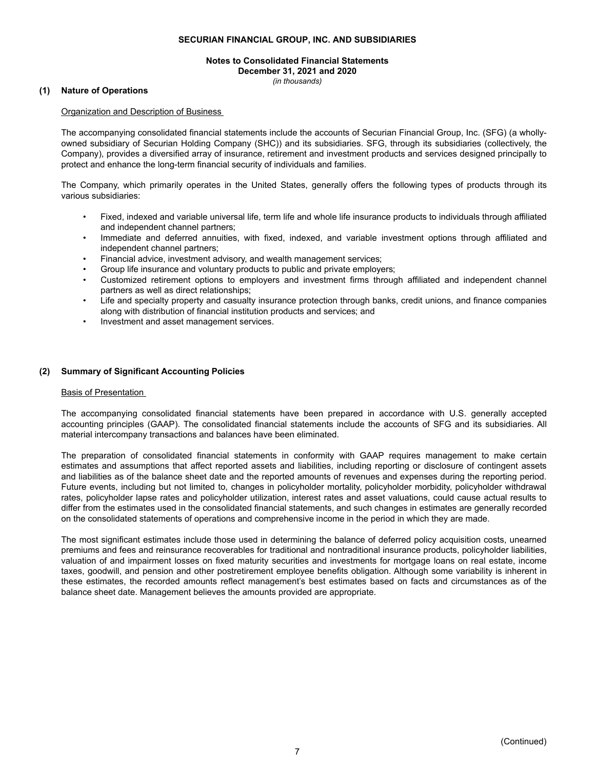**Notes to Consolidated Financial Statements**

**December 31, 2021 and 2020**

*(in thousands)*

# **(1) Nature of Operations**

Organization and Description of Business

The accompanying consolidated financial statements include the accounts of Securian Financial Group, Inc. (SFG) (a whollyowned subsidiary of Securian Holding Company (SHC)) and its subsidiaries. SFG, through its subsidiaries (collectively, the Company), provides a diversified array of insurance, retirement and investment products and services designed principally to protect and enhance the long-term financial security of individuals and families.

The Company, which primarily operates in the United States, generally offers the following types of products through its various subsidiaries:

- Fixed, indexed and variable universal life, term life and whole life insurance products to individuals through affiliated and independent channel partners;
- Immediate and deferred annuities, with fixed, indexed, and variable investment options through affiliated and independent channel partners;
- Financial advice, investment advisory, and wealth management services;
- Group life insurance and voluntary products to public and private employers;
- Customized retirement options to employers and investment firms through affiliated and independent channel partners as well as direct relationships;
- Life and specialty property and casualty insurance protection through banks, credit unions, and finance companies along with distribution of financial institution products and services; and
- Investment and asset management services.

### **(2) Summary of Significant Accounting Policies**

#### Basis of Presentation

The accompanying consolidated financial statements have been prepared in accordance with U.S. generally accepted accounting principles (GAAP). The consolidated financial statements include the accounts of SFG and its subsidiaries. All material intercompany transactions and balances have been eliminated.

The preparation of consolidated financial statements in conformity with GAAP requires management to make certain estimates and assumptions that affect reported assets and liabilities, including reporting or disclosure of contingent assets and liabilities as of the balance sheet date and the reported amounts of revenues and expenses during the reporting period. Future events, including but not limited to, changes in policyholder mortality, policyholder morbidity, policyholder withdrawal rates, policyholder lapse rates and policyholder utilization, interest rates and asset valuations, could cause actual results to differ from the estimates used in the consolidated financial statements, and such changes in estimates are generally recorded on the consolidated statements of operations and comprehensive income in the period in which they are made.

The most significant estimates include those used in determining the balance of deferred policy acquisition costs, unearned premiums and fees and reinsurance recoverables for traditional and nontraditional insurance products, policyholder liabilities, valuation of and impairment losses on fixed maturity securities and investments for mortgage loans on real estate, income taxes, goodwill, and pension and other postretirement employee benefits obligation. Although some variability is inherent in these estimates, the recorded amounts reflect management's best estimates based on facts and circumstances as of the balance sheet date. Management believes the amounts provided are appropriate.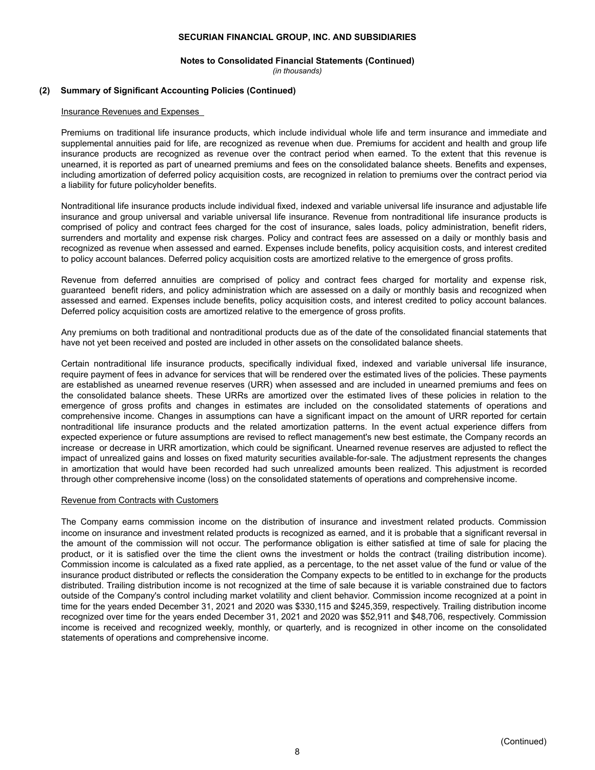# **Notes to Consolidated Financial Statements (Continued)**

*(in thousands)*

## **(2) Summary of Significant Accounting Policies (Continued)**

#### **Insurance Revenues and Expenses**

Premiums on traditional life insurance products, which include individual whole life and term insurance and immediate and supplemental annuities paid for life, are recognized as revenue when due. Premiums for accident and health and group life insurance products are recognized as revenue over the contract period when earned. To the extent that this revenue is unearned, it is reported as part of unearned premiums and fees on the consolidated balance sheets. Benefits and expenses, including amortization of deferred policy acquisition costs, are recognized in relation to premiums over the contract period via a liability for future policyholder benefits.

Nontraditional life insurance products include individual fixed, indexed and variable universal life insurance and adjustable life insurance and group universal and variable universal life insurance. Revenue from nontraditional life insurance products is comprised of policy and contract fees charged for the cost of insurance, sales loads, policy administration, benefit riders, surrenders and mortality and expense risk charges. Policy and contract fees are assessed on a daily or monthly basis and recognized as revenue when assessed and earned. Expenses include benefits, policy acquisition costs, and interest credited to policy account balances. Deferred policy acquisition costs are amortized relative to the emergence of gross profits.

Revenue from deferred annuities are comprised of policy and contract fees charged for mortality and expense risk, guaranteed benefit riders, and policy administration which are assessed on a daily or monthly basis and recognized when assessed and earned. Expenses include benefits, policy acquisition costs, and interest credited to policy account balances. Deferred policy acquisition costs are amortized relative to the emergence of gross profits.

Any premiums on both traditional and nontraditional products due as of the date of the consolidated financial statements that have not yet been received and posted are included in other assets on the consolidated balance sheets.

Certain nontraditional life insurance products, specifically individual fixed, indexed and variable universal life insurance, require payment of fees in advance for services that will be rendered over the estimated lives of the policies. These payments are established as unearned revenue reserves (URR) when assessed and are included in unearned premiums and fees on the consolidated balance sheets. These URRs are amortized over the estimated lives of these policies in relation to the emergence of gross profits and changes in estimates are included on the consolidated statements of operations and comprehensive income. Changes in assumptions can have a significant impact on the amount of URR reported for certain nontraditional life insurance products and the related amortization patterns. In the event actual experience differs from expected experience or future assumptions are revised to reflect management's new best estimate, the Company records an increase or decrease in URR amortization, which could be significant. Unearned revenue reserves are adjusted to reflect the impact of unrealized gains and losses on fixed maturity securities available-for-sale. The adjustment represents the changes in amortization that would have been recorded had such unrealized amounts been realized. This adjustment is recorded through other comprehensive income (loss) on the consolidated statements of operations and comprehensive income.

# Revenue from Contracts with Customers

The Company earns commission income on the distribution of insurance and investment related products. Commission income on insurance and investment related products is recognized as earned, and it is probable that a significant reversal in the amount of the commission will not occur. The performance obligation is either satisfied at time of sale for placing the product, or it is satisfied over the time the client owns the investment or holds the contract (trailing distribution income). Commission income is calculated as a fixed rate applied, as a percentage, to the net asset value of the fund or value of the insurance product distributed or reflects the consideration the Company expects to be entitled to in exchange for the products distributed. Trailing distribution income is not recognized at the time of sale because it is variable constrained due to factors outside of the Company's control including market volatility and client behavior. Commission income recognized at a point in time for the years ended December 31, 2021 and 2020 was \$330,115 and \$245,359, respectively. Trailing distribution income recognized over time for the years ended December 31, 2021 and 2020 was \$52,911 and \$48,706, respectively. Commission income is received and recognized weekly, monthly, or quarterly, and is recognized in other income on the consolidated statements of operations and comprehensive income.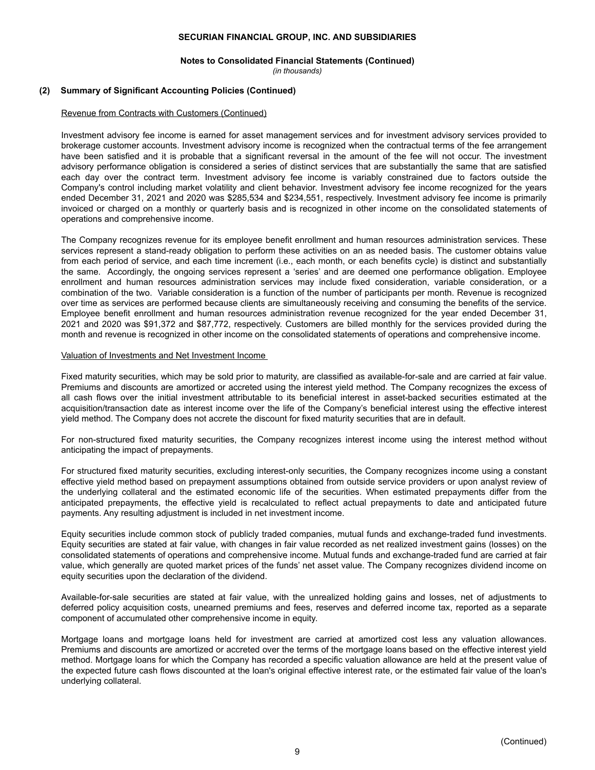### **Notes to Consolidated Financial Statements (Continued)**

*(in thousands)*

### **(2) Summary of Significant Accounting Policies (Continued)**

#### Revenue from Contracts with Customers (Continued)

Investment advisory fee income is earned for asset management services and for investment advisory services provided to brokerage customer accounts. Investment advisory income is recognized when the contractual terms of the fee arrangement have been satisfied and it is probable that a significant reversal in the amount of the fee will not occur. The investment advisory performance obligation is considered a series of distinct services that are substantially the same that are satisfied each day over the contract term. Investment advisory fee income is variably constrained due to factors outside the Company's control including market volatility and client behavior. Investment advisory fee income recognized for the years ended December 31, 2021 and 2020 was \$285,534 and \$234,551, respectively. Investment advisory fee income is primarily invoiced or charged on a monthly or quarterly basis and is recognized in other income on the consolidated statements of operations and comprehensive income.

The Company recognizes revenue for its employee benefit enrollment and human resources administration services. These services represent a stand-ready obligation to perform these activities on an as needed basis. The customer obtains value from each period of service, and each time increment (i.e., each month, or each benefits cycle) is distinct and substantially the same. Accordingly, the ongoing services represent a 'series' and are deemed one performance obligation. Employee enrollment and human resources administration services may include fixed consideration, variable consideration, or a combination of the two. Variable consideration is a function of the number of participants per month. Revenue is recognized over time as services are performed because clients are simultaneously receiving and consuming the benefits of the service. Employee benefit enrollment and human resources administration revenue recognized for the year ended December 31, 2021 and 2020 was \$91,372 and \$87,772, respectively. Customers are billed monthly for the services provided during the month and revenue is recognized in other income on the consolidated statements of operations and comprehensive income.

#### Valuation of Investments and Net Investment Income

Fixed maturity securities, which may be sold prior to maturity, are classified as available-for-sale and are carried at fair value. Premiums and discounts are amortized or accreted using the interest yield method. The Company recognizes the excess of all cash flows over the initial investment attributable to its beneficial interest in asset-backed securities estimated at the acquisition/transaction date as interest income over the life of the Company's beneficial interest using the effective interest yield method. The Company does not accrete the discount for fixed maturity securities that are in default.

For non-structured fixed maturity securities, the Company recognizes interest income using the interest method without anticipating the impact of prepayments.

For structured fixed maturity securities, excluding interest-only securities, the Company recognizes income using a constant effective yield method based on prepayment assumptions obtained from outside service providers or upon analyst review of the underlying collateral and the estimated economic life of the securities. When estimated prepayments differ from the anticipated prepayments, the effective yield is recalculated to reflect actual prepayments to date and anticipated future payments. Any resulting adjustment is included in net investment income.

Equity securities include common stock of publicly traded companies, mutual funds and exchange-traded fund investments. Equity securities are stated at fair value, with changes in fair value recorded as net realized investment gains (losses) on the consolidated statements of operations and comprehensive income. Mutual funds and exchange-traded fund are carried at fair value, which generally are quoted market prices of the funds' net asset value. The Company recognizes dividend income on equity securities upon the declaration of the dividend.

Available-for-sale securities are stated at fair value, with the unrealized holding gains and losses, net of adjustments to deferred policy acquisition costs, unearned premiums and fees, reserves and deferred income tax, reported as a separate component of accumulated other comprehensive income in equity.

Mortgage loans and mortgage loans held for investment are carried at amortized cost less any valuation allowances. Premiums and discounts are amortized or accreted over the terms of the mortgage loans based on the effective interest yield method. Mortgage loans for which the Company has recorded a specific valuation allowance are held at the present value of the expected future cash flows discounted at the loan's original effective interest rate, or the estimated fair value of the loan's underlying collateral.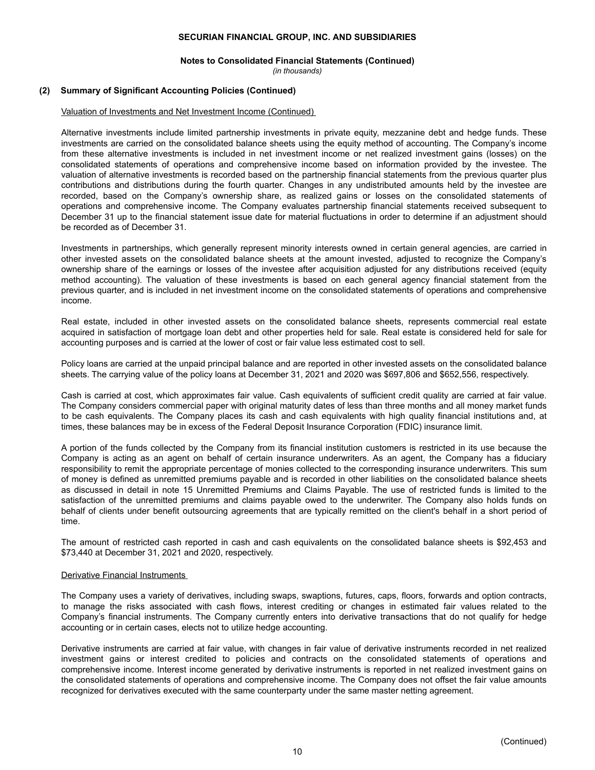### **Notes to Consolidated Financial Statements (Continued)**

*(in thousands)*

### **(2) Summary of Significant Accounting Policies (Continued)**

#### Valuation of Investments and Net Investment Income (Continued)

Alternative investments include limited partnership investments in private equity, mezzanine debt and hedge funds. These investments are carried on the consolidated balance sheets using the equity method of accounting. The Company's income from these alternative investments is included in net investment income or net realized investment gains (losses) on the consolidated statements of operations and comprehensive income based on information provided by the investee. The valuation of alternative investments is recorded based on the partnership financial statements from the previous quarter plus contributions and distributions during the fourth quarter. Changes in any undistributed amounts held by the investee are recorded, based on the Company's ownership share, as realized gains or losses on the consolidated statements of operations and comprehensive income. The Company evaluates partnership financial statements received subsequent to December 31 up to the financial statement issue date for material fluctuations in order to determine if an adjustment should be recorded as of December 31.

Investments in partnerships, which generally represent minority interests owned in certain general agencies, are carried in other invested assets on the consolidated balance sheets at the amount invested, adjusted to recognize the Company's ownership share of the earnings or losses of the investee after acquisition adjusted for any distributions received (equity method accounting). The valuation of these investments is based on each general agency financial statement from the previous quarter, and is included in net investment income on the consolidated statements of operations and comprehensive income.

Real estate, included in other invested assets on the consolidated balance sheets, represents commercial real estate acquired in satisfaction of mortgage loan debt and other properties held for sale. Real estate is considered held for sale for accounting purposes and is carried at the lower of cost or fair value less estimated cost to sell.

Policy loans are carried at the unpaid principal balance and are reported in other invested assets on the consolidated balance sheets. The carrying value of the policy loans at December 31, 2021 and 2020 was \$697,806 and \$652,556, respectively.

Cash is carried at cost, which approximates fair value. Cash equivalents of sufficient credit quality are carried at fair value. The Company considers commercial paper with original maturity dates of less than three months and all money market funds to be cash equivalents. The Company places its cash and cash equivalents with high quality financial institutions and, at times, these balances may be in excess of the Federal Deposit Insurance Corporation (FDIC) insurance limit.

A portion of the funds collected by the Company from its financial institution customers is restricted in its use because the Company is acting as an agent on behalf of certain insurance underwriters. As an agent, the Company has a fiduciary responsibility to remit the appropriate percentage of monies collected to the corresponding insurance underwriters. This sum of money is defined as unremitted premiums payable and is recorded in other liabilities on the consolidated balance sheets as discussed in detail in note 15 Unremitted Premiums and Claims Payable. The use of restricted funds is limited to the satisfaction of the unremitted premiums and claims payable owed to the underwriter. The Company also holds funds on behalf of clients under benefit outsourcing agreements that are typically remitted on the client's behalf in a short period of time.

The amount of restricted cash reported in cash and cash equivalents on the consolidated balance sheets is \$92,453 and \$73,440 at December 31, 2021 and 2020, respectively.

#### Derivative Financial Instruments

The Company uses a variety of derivatives, including swaps, swaptions, futures, caps, floors, forwards and option contracts, to manage the risks associated with cash flows, interest crediting or changes in estimated fair values related to the Company's financial instruments. The Company currently enters into derivative transactions that do not qualify for hedge accounting or in certain cases, elects not to utilize hedge accounting.

Derivative instruments are carried at fair value, with changes in fair value of derivative instruments recorded in net realized investment gains or interest credited to policies and contracts on the consolidated statements of operations and comprehensive income. Interest income generated by derivative instruments is reported in net realized investment gains on the consolidated statements of operations and comprehensive income. The Company does not offset the fair value amounts recognized for derivatives executed with the same counterparty under the same master netting agreement.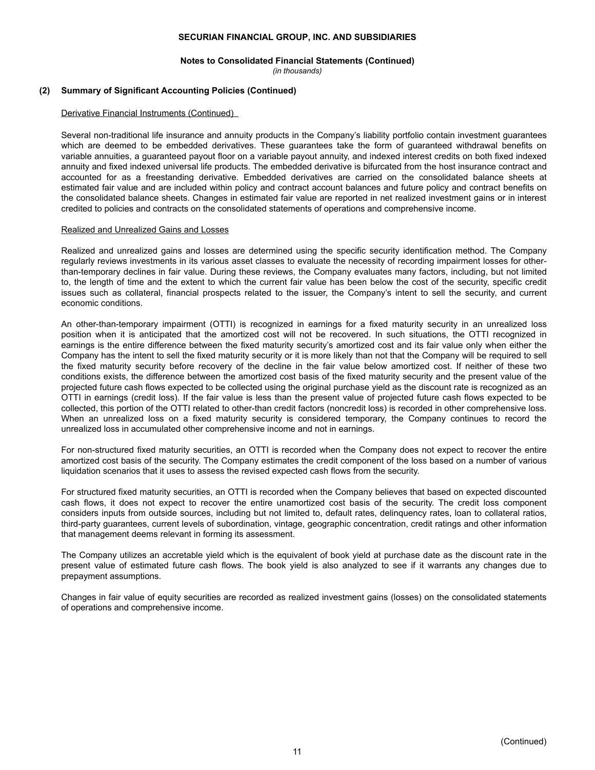## **Notes to Consolidated Financial Statements (Continued)**

*(in thousands)*

### **(2) Summary of Significant Accounting Policies (Continued)**

#### Derivative Financial Instruments (Continued)

Several non-traditional life insurance and annuity products in the Company's liability portfolio contain investment guarantees which are deemed to be embedded derivatives. These guarantees take the form of guaranteed withdrawal benefits on variable annuities, a guaranteed payout floor on a variable payout annuity, and indexed interest credits on both fixed indexed annuity and fixed indexed universal life products. The embedded derivative is bifurcated from the host insurance contract and accounted for as a freestanding derivative. Embedded derivatives are carried on the consolidated balance sheets at estimated fair value and are included within policy and contract account balances and future policy and contract benefits on the consolidated balance sheets. Changes in estimated fair value are reported in net realized investment gains or in interest credited to policies and contracts on the consolidated statements of operations and comprehensive income.

#### Realized and Unrealized Gains and Losses

Realized and unrealized gains and losses are determined using the specific security identification method. The Company regularly reviews investments in its various asset classes to evaluate the necessity of recording impairment losses for otherthan-temporary declines in fair value. During these reviews, the Company evaluates many factors, including, but not limited to, the length of time and the extent to which the current fair value has been below the cost of the security, specific credit issues such as collateral, financial prospects related to the issuer, the Company's intent to sell the security, and current economic conditions.

An other-than-temporary impairment (OTTI) is recognized in earnings for a fixed maturity security in an unrealized loss position when it is anticipated that the amortized cost will not be recovered. In such situations, the OTTI recognized in earnings is the entire difference between the fixed maturity security's amortized cost and its fair value only when either the Company has the intent to sell the fixed maturity security or it is more likely than not that the Company will be required to sell the fixed maturity security before recovery of the decline in the fair value below amortized cost. If neither of these two conditions exists, the difference between the amortized cost basis of the fixed maturity security and the present value of the projected future cash flows expected to be collected using the original purchase yield as the discount rate is recognized as an OTTI in earnings (credit loss). If the fair value is less than the present value of projected future cash flows expected to be collected, this portion of the OTTI related to other-than credit factors (noncredit loss) is recorded in other comprehensive loss. When an unrealized loss on a fixed maturity security is considered temporary, the Company continues to record the unrealized loss in accumulated other comprehensive income and not in earnings.

For non-structured fixed maturity securities, an OTTI is recorded when the Company does not expect to recover the entire amortized cost basis of the security. The Company estimates the credit component of the loss based on a number of various liquidation scenarios that it uses to assess the revised expected cash flows from the security.

For structured fixed maturity securities, an OTTI is recorded when the Company believes that based on expected discounted cash flows, it does not expect to recover the entire unamortized cost basis of the security. The credit loss component considers inputs from outside sources, including but not limited to, default rates, delinquency rates, loan to collateral ratios, third-party guarantees, current levels of subordination, vintage, geographic concentration, credit ratings and other information that management deems relevant in forming its assessment.

The Company utilizes an accretable yield which is the equivalent of book yield at purchase date as the discount rate in the present value of estimated future cash flows. The book yield is also analyzed to see if it warrants any changes due to prepayment assumptions.

Changes in fair value of equity securities are recorded as realized investment gains (losses) on the consolidated statements of operations and comprehensive income.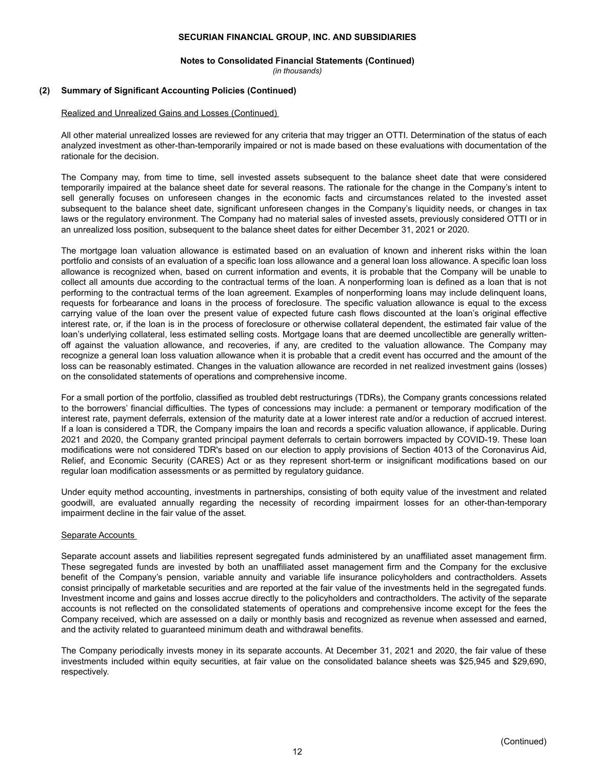# **Notes to Consolidated Financial Statements (Continued)**

*(in thousands)*

# **(2) Summary of Significant Accounting Policies (Continued)**

### Realized and Unrealized Gains and Losses (Continued)

All other material unrealized losses are reviewed for any criteria that may trigger an OTTI. Determination of the status of each analyzed investment as other-than-temporarily impaired or not is made based on these evaluations with documentation of the rationale for the decision.

The Company may, from time to time, sell invested assets subsequent to the balance sheet date that were considered temporarily impaired at the balance sheet date for several reasons. The rationale for the change in the Company's intent to sell generally focuses on unforeseen changes in the economic facts and circumstances related to the invested asset subsequent to the balance sheet date, significant unforeseen changes in the Company's liquidity needs, or changes in tax laws or the regulatory environment. The Company had no material sales of invested assets, previously considered OTTI or in an unrealized loss position, subsequent to the balance sheet dates for either December 31, 2021 or 2020.

The mortgage loan valuation allowance is estimated based on an evaluation of known and inherent risks within the loan portfolio and consists of an evaluation of a specific loan loss allowance and a general loan loss allowance. A specific loan loss allowance is recognized when, based on current information and events, it is probable that the Company will be unable to collect all amounts due according to the contractual terms of the loan. A nonperforming loan is defined as a loan that is not performing to the contractual terms of the loan agreement. Examples of nonperforming loans may include delinquent loans, requests for forbearance and loans in the process of foreclosure. The specific valuation allowance is equal to the excess carrying value of the loan over the present value of expected future cash flows discounted at the loan's original effective interest rate, or, if the loan is in the process of foreclosure or otherwise collateral dependent, the estimated fair value of the loan's underlying collateral, less estimated selling costs. Mortgage loans that are deemed uncollectible are generally writtenoff against the valuation allowance, and recoveries, if any, are credited to the valuation allowance. The Company may recognize a general loan loss valuation allowance when it is probable that a credit event has occurred and the amount of the loss can be reasonably estimated. Changes in the valuation allowance are recorded in net realized investment gains (losses) on the consolidated statements of operations and comprehensive income.

For a small portion of the portfolio, classified as troubled debt restructurings (TDRs), the Company grants concessions related to the borrowers' financial difficulties. The types of concessions may include: a permanent or temporary modification of the interest rate, payment deferrals, extension of the maturity date at a lower interest rate and/or a reduction of accrued interest. If a loan is considered a TDR, the Company impairs the loan and records a specific valuation allowance, if applicable. During 2021 and 2020, the Company granted principal payment deferrals to certain borrowers impacted by COVID-19. These loan modifications were not considered TDR's based on our election to apply provisions of Section 4013 of the Coronavirus Aid, Relief, and Economic Security (CARES) Act or as they represent short-term or insignificant modifications based on our regular loan modification assessments or as permitted by regulatory guidance.

Under equity method accounting, investments in partnerships, consisting of both equity value of the investment and related goodwill, are evaluated annually regarding the necessity of recording impairment losses for an other-than-temporary impairment decline in the fair value of the asset.

# Separate Accounts

Separate account assets and liabilities represent segregated funds administered by an unaffiliated asset management firm. These segregated funds are invested by both an unaffiliated asset management firm and the Company for the exclusive benefit of the Company's pension, variable annuity and variable life insurance policyholders and contractholders. Assets consist principally of marketable securities and are reported at the fair value of the investments held in the segregated funds. Investment income and gains and losses accrue directly to the policyholders and contractholders. The activity of the separate accounts is not reflected on the consolidated statements of operations and comprehensive income except for the fees the Company received, which are assessed on a daily or monthly basis and recognized as revenue when assessed and earned, and the activity related to guaranteed minimum death and withdrawal benefits.

The Company periodically invests money in its separate accounts. At December 31, 2021 and 2020, the fair value of these investments included within equity securities, at fair value on the consolidated balance sheets was \$25,945 and \$29,690, respectively.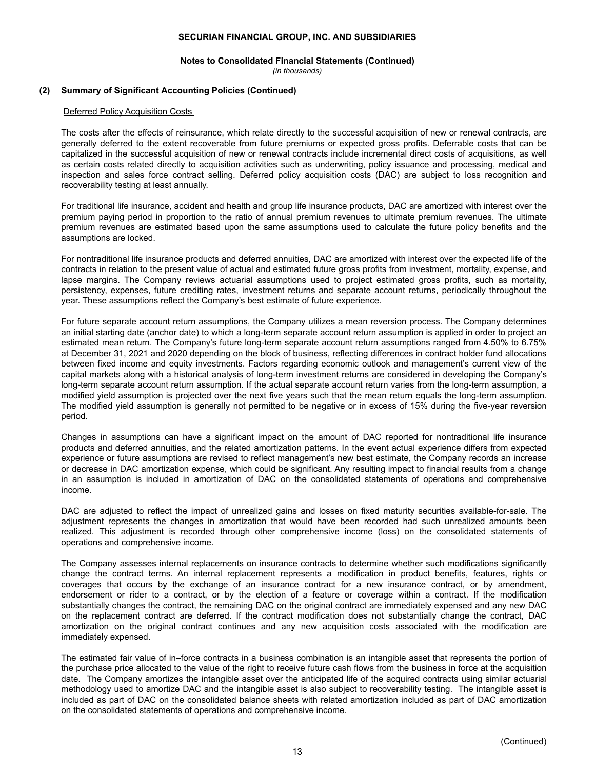# **Notes to Consolidated Financial Statements (Continued)**

*(in thousands)*

## **(2) Summary of Significant Accounting Policies (Continued)**

#### Deferred Policy Acquisition Costs

The costs after the effects of reinsurance, which relate directly to the successful acquisition of new or renewal contracts, are generally deferred to the extent recoverable from future premiums or expected gross profits. Deferrable costs that can be capitalized in the successful acquisition of new or renewal contracts include incremental direct costs of acquisitions, as well as certain costs related directly to acquisition activities such as underwriting, policy issuance and processing, medical and inspection and sales force contract selling. Deferred policy acquisition costs (DAC) are subject to loss recognition and recoverability testing at least annually.

For traditional life insurance, accident and health and group life insurance products, DAC are amortized with interest over the premium paying period in proportion to the ratio of annual premium revenues to ultimate premium revenues. The ultimate premium revenues are estimated based upon the same assumptions used to calculate the future policy benefits and the assumptions are locked.

For nontraditional life insurance products and deferred annuities, DAC are amortized with interest over the expected life of the contracts in relation to the present value of actual and estimated future gross profits from investment, mortality, expense, and lapse margins. The Company reviews actuarial assumptions used to project estimated gross profits, such as mortality, persistency, expenses, future crediting rates, investment returns and separate account returns, periodically throughout the year. These assumptions reflect the Company's best estimate of future experience.

For future separate account return assumptions, the Company utilizes a mean reversion process. The Company determines an initial starting date (anchor date) to which a long-term separate account return assumption is applied in order to project an estimated mean return. The Company's future long-term separate account return assumptions ranged from 4.50% to 6.75% at December 31, 2021 and 2020 depending on the block of business, reflecting differences in contract holder fund allocations between fixed income and equity investments. Factors regarding economic outlook and management's current view of the capital markets along with a historical analysis of long-term investment returns are considered in developing the Company's long-term separate account return assumption. If the actual separate account return varies from the long-term assumption, a modified yield assumption is projected over the next five years such that the mean return equals the long-term assumption. The modified yield assumption is generally not permitted to be negative or in excess of 15% during the five-year reversion period.

Changes in assumptions can have a significant impact on the amount of DAC reported for nontraditional life insurance products and deferred annuities, and the related amortization patterns. In the event actual experience differs from expected experience or future assumptions are revised to reflect management's new best estimate, the Company records an increase or decrease in DAC amortization expense, which could be significant. Any resulting impact to financial results from a change in an assumption is included in amortization of DAC on the consolidated statements of operations and comprehensive income.

DAC are adjusted to reflect the impact of unrealized gains and losses on fixed maturity securities available-for-sale. The adjustment represents the changes in amortization that would have been recorded had such unrealized amounts been realized. This adjustment is recorded through other comprehensive income (loss) on the consolidated statements of operations and comprehensive income.

The Company assesses internal replacements on insurance contracts to determine whether such modifications significantly change the contract terms. An internal replacement represents a modification in product benefits, features, rights or coverages that occurs by the exchange of an insurance contract for a new insurance contract, or by amendment, endorsement or rider to a contract, or by the election of a feature or coverage within a contract. If the modification substantially changes the contract, the remaining DAC on the original contract are immediately expensed and any new DAC on the replacement contract are deferred. If the contract modification does not substantially change the contract, DAC amortization on the original contract continues and any new acquisition costs associated with the modification are immediately expensed.

The estimated fair value of in–force contracts in a business combination is an intangible asset that represents the portion of the purchase price allocated to the value of the right to receive future cash flows from the business in force at the acquisition date. The Company amortizes the intangible asset over the anticipated life of the acquired contracts using similar actuarial methodology used to amortize DAC and the intangible asset is also subject to recoverability testing. The intangible asset is included as part of DAC on the consolidated balance sheets with related amortization included as part of DAC amortization on the consolidated statements of operations and comprehensive income.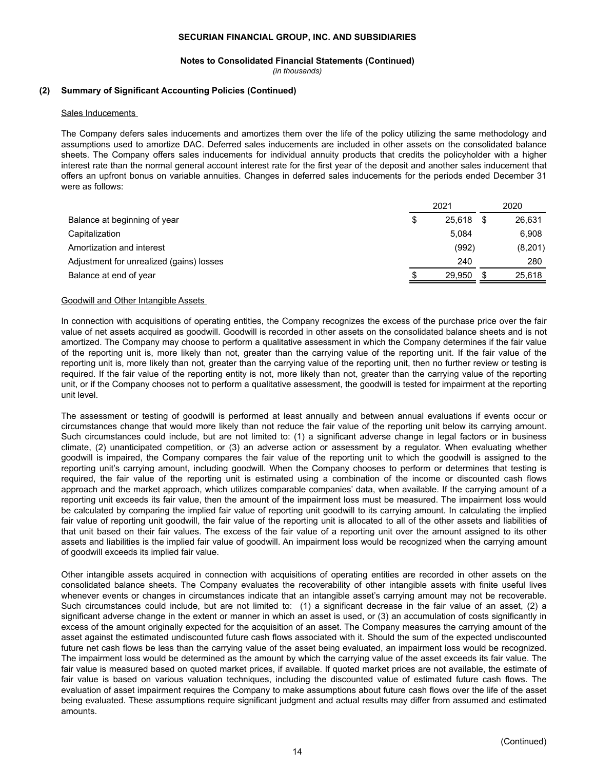## **Notes to Consolidated Financial Statements (Continued)**

*(in thousands)*

## **(2) Summary of Significant Accounting Policies (Continued)**

#### Sales Inducements

The Company defers sales inducements and amortizes them over the life of the policy utilizing the same methodology and assumptions used to amortize DAC. Deferred sales inducements are included in other assets on the consolidated balance sheets. The Company offers sales inducements for individual annuity products that credits the policyholder with a higher interest rate than the normal general account interest rate for the first year of the deposit and another sales inducement that offers an upfront bonus on variable annuities. Changes in deferred sales inducements for the periods ended December 31 were as follows:

|                                          | 2021 |        | 2020    |
|------------------------------------------|------|--------|---------|
| Balance at beginning of year             | \$   | 25.618 | 26,631  |
| Capitalization                           |      | 5.084  | 6.908   |
| Amortization and interest                |      | (992)  | (8,201) |
| Adjustment for unrealized (gains) losses |      | 240    | 280     |
| Balance at end of year                   | \$   | 29.950 | 25,618  |

### Goodwill and Other Intangible Assets

In connection with acquisitions of operating entities, the Company recognizes the excess of the purchase price over the fair value of net assets acquired as goodwill. Goodwill is recorded in other assets on the consolidated balance sheets and is not amortized. The Company may choose to perform a qualitative assessment in which the Company determines if the fair value of the reporting unit is, more likely than not, greater than the carrying value of the reporting unit. If the fair value of the reporting unit is, more likely than not, greater than the carrying value of the reporting unit, then no further review or testing is required. If the fair value of the reporting entity is not, more likely than not, greater than the carrying value of the reporting unit, or if the Company chooses not to perform a qualitative assessment, the goodwill is tested for impairment at the reporting unit level.

The assessment or testing of goodwill is performed at least annually and between annual evaluations if events occur or circumstances change that would more likely than not reduce the fair value of the reporting unit below its carrying amount. Such circumstances could include, but are not limited to: (1) a significant adverse change in legal factors or in business climate, (2) unanticipated competition, or (3) an adverse action or assessment by a regulator. When evaluating whether goodwill is impaired, the Company compares the fair value of the reporting unit to which the goodwill is assigned to the reporting unit's carrying amount, including goodwill. When the Company chooses to perform or determines that testing is required, the fair value of the reporting unit is estimated using a combination of the income or discounted cash flows approach and the market approach, which utilizes comparable companies' data, when available. If the carrying amount of a reporting unit exceeds its fair value, then the amount of the impairment loss must be measured. The impairment loss would be calculated by comparing the implied fair value of reporting unit goodwill to its carrying amount. In calculating the implied fair value of reporting unit goodwill, the fair value of the reporting unit is allocated to all of the other assets and liabilities of that unit based on their fair values. The excess of the fair value of a reporting unit over the amount assigned to its other assets and liabilities is the implied fair value of goodwill. An impairment loss would be recognized when the carrying amount of goodwill exceeds its implied fair value.

Other intangible assets acquired in connection with acquisitions of operating entities are recorded in other assets on the consolidated balance sheets. The Company evaluates the recoverability of other intangible assets with finite useful lives whenever events or changes in circumstances indicate that an intangible asset's carrying amount may not be recoverable. Such circumstances could include, but are not limited to: (1) a significant decrease in the fair value of an asset, (2) a significant adverse change in the extent or manner in which an asset is used, or (3) an accumulation of costs significantly in excess of the amount originally expected for the acquisition of an asset. The Company measures the carrying amount of the asset against the estimated undiscounted future cash flows associated with it. Should the sum of the expected undiscounted future net cash flows be less than the carrying value of the asset being evaluated, an impairment loss would be recognized. The impairment loss would be determined as the amount by which the carrying value of the asset exceeds its fair value. The fair value is measured based on quoted market prices, if available. If quoted market prices are not available, the estimate of fair value is based on various valuation techniques, including the discounted value of estimated future cash flows. The evaluation of asset impairment requires the Company to make assumptions about future cash flows over the life of the asset being evaluated. These assumptions require significant judgment and actual results may differ from assumed and estimated amounts.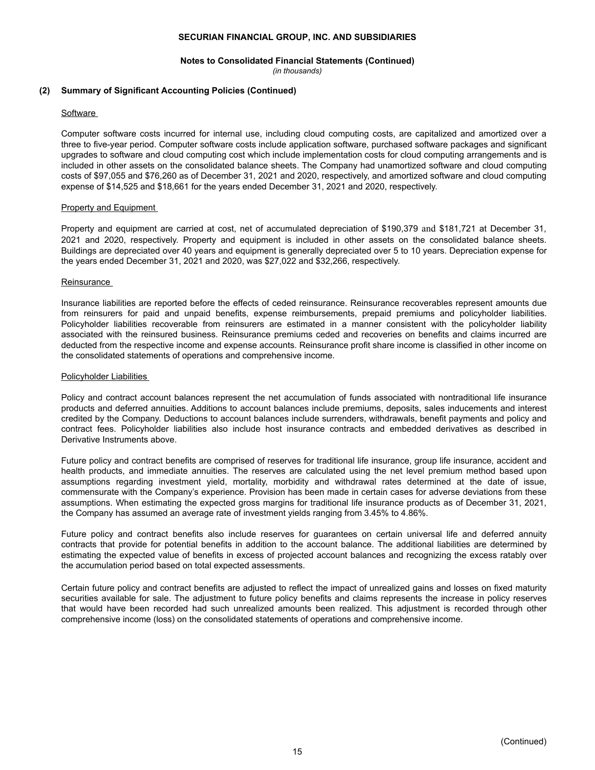## **Notes to Consolidated Financial Statements (Continued)**

*(in thousands)*

## **(2) Summary of Significant Accounting Policies (Continued)**

### Software

Computer software costs incurred for internal use, including cloud computing costs, are capitalized and amortized over a three to five-year period. Computer software costs include application software, purchased software packages and significant upgrades to software and cloud computing cost which include implementation costs for cloud computing arrangements and is included in other assets on the consolidated balance sheets. The Company had unamortized software and cloud computing costs of \$97,055 and \$76,260 as of December 31, 2021 and 2020, respectively, and amortized software and cloud computing expense of \$14,525 and \$18,661 for the years ended December 31, 2021 and 2020, respectively.

### Property and Equipment

Property and equipment are carried at cost, net of accumulated depreciation of \$190,379 and \$181,721 at December 31, 2021 and 2020, respectively. Property and equipment is included in other assets on the consolidated balance sheets. Buildings are depreciated over 40 years and equipment is generally depreciated over 5 to 10 years. Depreciation expense for the years ended December 31, 2021 and 2020, was \$27,022 and \$32,266, respectively.

### Reinsurance

Insurance liabilities are reported before the effects of ceded reinsurance. Reinsurance recoverables represent amounts due from reinsurers for paid and unpaid benefits, expense reimbursements, prepaid premiums and policyholder liabilities. Policyholder liabilities recoverable from reinsurers are estimated in a manner consistent with the policyholder liability associated with the reinsured business. Reinsurance premiums ceded and recoveries on benefits and claims incurred are deducted from the respective income and expense accounts. Reinsurance profit share income is classified in other income on the consolidated statements of operations and comprehensive income.

### Policyholder Liabilities

Policy and contract account balances represent the net accumulation of funds associated with nontraditional life insurance products and deferred annuities. Additions to account balances include premiums, deposits, sales inducements and interest credited by the Company. Deductions to account balances include surrenders, withdrawals, benefit payments and policy and contract fees. Policyholder liabilities also include host insurance contracts and embedded derivatives as described in Derivative Instruments above.

Future policy and contract benefits are comprised of reserves for traditional life insurance, group life insurance, accident and health products, and immediate annuities. The reserves are calculated using the net level premium method based upon assumptions regarding investment yield, mortality, morbidity and withdrawal rates determined at the date of issue, commensurate with the Company's experience. Provision has been made in certain cases for adverse deviations from these assumptions. When estimating the expected gross margins for traditional life insurance products as of December 31, 2021, the Company has assumed an average rate of investment yields ranging from 3.45% to 4.86%.

Future policy and contract benefits also include reserves for guarantees on certain universal life and deferred annuity contracts that provide for potential benefits in addition to the account balance. The additional liabilities are determined by estimating the expected value of benefits in excess of projected account balances and recognizing the excess ratably over the accumulation period based on total expected assessments.

Certain future policy and contract benefits are adjusted to reflect the impact of unrealized gains and losses on fixed maturity securities available for sale. The adjustment to future policy benefits and claims represents the increase in policy reserves that would have been recorded had such unrealized amounts been realized. This adjustment is recorded through other comprehensive income (loss) on the consolidated statements of operations and comprehensive income.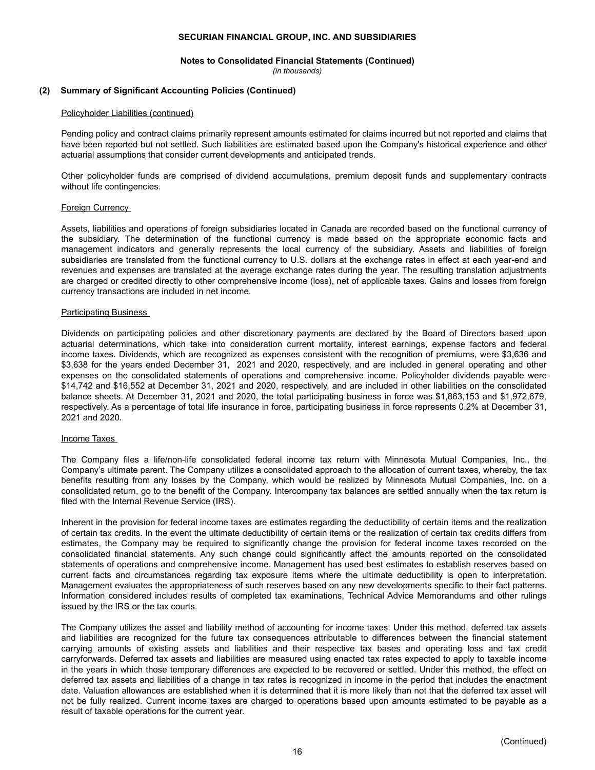## **Notes to Consolidated Financial Statements (Continued)**

*(in thousands)*

### **(2) Summary of Significant Accounting Policies (Continued)**

#### Policyholder Liabilities (continued)

Pending policy and contract claims primarily represent amounts estimated for claims incurred but not reported and claims that have been reported but not settled. Such liabilities are estimated based upon the Company's historical experience and other actuarial assumptions that consider current developments and anticipated trends.

Other policyholder funds are comprised of dividend accumulations, premium deposit funds and supplementary contracts without life contingencies.

#### **Foreign Currency**

Assets, liabilities and operations of foreign subsidiaries located in Canada are recorded based on the functional currency of the subsidiary. The determination of the functional currency is made based on the appropriate economic facts and management indicators and generally represents the local currency of the subsidiary. Assets and liabilities of foreign subsidiaries are translated from the functional currency to U.S. dollars at the exchange rates in effect at each year-end and revenues and expenses are translated at the average exchange rates during the year. The resulting translation adjustments are charged or credited directly to other comprehensive income (loss), net of applicable taxes. Gains and losses from foreign currency transactions are included in net income.

#### Participating Business

Dividends on participating policies and other discretionary payments are declared by the Board of Directors based upon actuarial determinations, which take into consideration current mortality, interest earnings, expense factors and federal income taxes. Dividends, which are recognized as expenses consistent with the recognition of premiums, were \$3,636 and \$3,638 for the years ended December 31, 2021 and 2020, respectively, and are included in general operating and other expenses on the consolidated statements of operations and comprehensive income. Policyholder dividends payable were \$14,742 and \$16,552 at December 31, 2021 and 2020, respectively, and are included in other liabilities on the consolidated balance sheets. At December 31, 2021 and 2020, the total participating business in force was \$1,863,153 and \$1,972,679, respectively. As a percentage of total life insurance in force, participating business in force represents 0.2% at December 31, 2021 and 2020.

#### Income Taxes

The Company files a life/non-life consolidated federal income tax return with Minnesota Mutual Companies, Inc., the Company's ultimate parent. The Company utilizes a consolidated approach to the allocation of current taxes, whereby, the tax benefits resulting from any losses by the Company, which would be realized by Minnesota Mutual Companies, Inc. on a consolidated return, go to the benefit of the Company. Intercompany tax balances are settled annually when the tax return is filed with the Internal Revenue Service (IRS).

Inherent in the provision for federal income taxes are estimates regarding the deductibility of certain items and the realization of certain tax credits. In the event the ultimate deductibility of certain items or the realization of certain tax credits differs from estimates, the Company may be required to significantly change the provision for federal income taxes recorded on the consolidated financial statements. Any such change could significantly affect the amounts reported on the consolidated statements of operations and comprehensive income. Management has used best estimates to establish reserves based on current facts and circumstances regarding tax exposure items where the ultimate deductibility is open to interpretation. Management evaluates the appropriateness of such reserves based on any new developments specific to their fact patterns. Information considered includes results of completed tax examinations, Technical Advice Memorandums and other rulings issued by the IRS or the tax courts.

The Company utilizes the asset and liability method of accounting for income taxes. Under this method, deferred tax assets and liabilities are recognized for the future tax consequences attributable to differences between the financial statement carrying amounts of existing assets and liabilities and their respective tax bases and operating loss and tax credit carryforwards. Deferred tax assets and liabilities are measured using enacted tax rates expected to apply to taxable income in the years in which those temporary differences are expected to be recovered or settled. Under this method, the effect on deferred tax assets and liabilities of a change in tax rates is recognized in income in the period that includes the enactment date. Valuation allowances are established when it is determined that it is more likely than not that the deferred tax asset will not be fully realized. Current income taxes are charged to operations based upon amounts estimated to be payable as a result of taxable operations for the current year.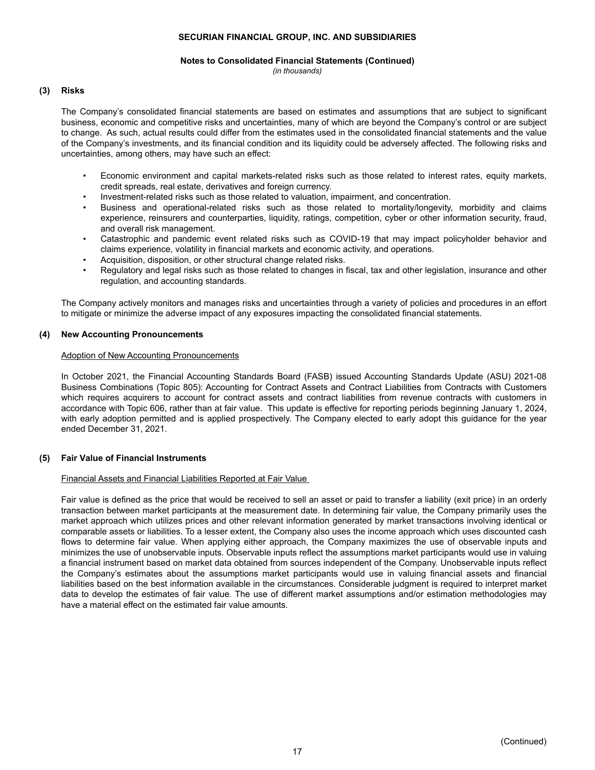# **Notes to Consolidated Financial Statements (Continued)**

*(in thousands)*

# **(3) Risks**

The Company's consolidated financial statements are based on estimates and assumptions that are subject to significant business, economic and competitive risks and uncertainties, many of which are beyond the Company's control or are subject to change. As such, actual results could differ from the estimates used in the consolidated financial statements and the value of the Company's investments, and its financial condition and its liquidity could be adversely affected. The following risks and uncertainties, among others, may have such an effect:

- Economic environment and capital markets-related risks such as those related to interest rates, equity markets, credit spreads, real estate, derivatives and foreign currency.
- Investment-related risks such as those related to valuation, impairment, and concentration.
- Business and operational-related risks such as those related to mortality/longevity, morbidity and claims experience, reinsurers and counterparties, liquidity, ratings, competition, cyber or other information security, fraud, and overall risk management.
- Catastrophic and pandemic event related risks such as COVID-19 that may impact policyholder behavior and claims experience, volatility in financial markets and economic activity, and operations.
- Acquisition, disposition, or other structural change related risks.
- Regulatory and legal risks such as those related to changes in fiscal, tax and other legislation, insurance and other regulation, and accounting standards.

The Company actively monitors and manages risks and uncertainties through a variety of policies and procedures in an effort to mitigate or minimize the adverse impact of any exposures impacting the consolidated financial statements.

# **(4) New Accounting Pronouncements**

# Adoption of New Accounting Pronouncements

In October 2021, the Financial Accounting Standards Board (FASB) issued Accounting Standards Update (ASU) 2021-08 Business Combinations (Topic 805): Accounting for Contract Assets and Contract Liabilities from Contracts with Customers which requires acquirers to account for contract assets and contract liabilities from revenue contracts with customers in accordance with Topic 606, rather than at fair value. This update is effective for reporting periods beginning January 1, 2024, with early adoption permitted and is applied prospectively. The Company elected to early adopt this guidance for the year ended December 31, 2021.

# **(5) Fair Value of Financial Instruments**

# Financial Assets and Financial Liabilities Reported at Fair Value

Fair value is defined as the price that would be received to sell an asset or paid to transfer a liability (exit price) in an orderly transaction between market participants at the measurement date. In determining fair value, the Company primarily uses the market approach which utilizes prices and other relevant information generated by market transactions involving identical or comparable assets or liabilities. To a lesser extent, the Company also uses the income approach which uses discounted cash flows to determine fair value. When applying either approach, the Company maximizes the use of observable inputs and minimizes the use of unobservable inputs. Observable inputs reflect the assumptions market participants would use in valuing a financial instrument based on market data obtained from sources independent of the Company. Unobservable inputs reflect the Company's estimates about the assumptions market participants would use in valuing financial assets and financial liabilities based on the best information available in the circumstances. Considerable judgment is required to interpret market data to develop the estimates of fair value. The use of different market assumptions and/or estimation methodologies may have a material effect on the estimated fair value amounts.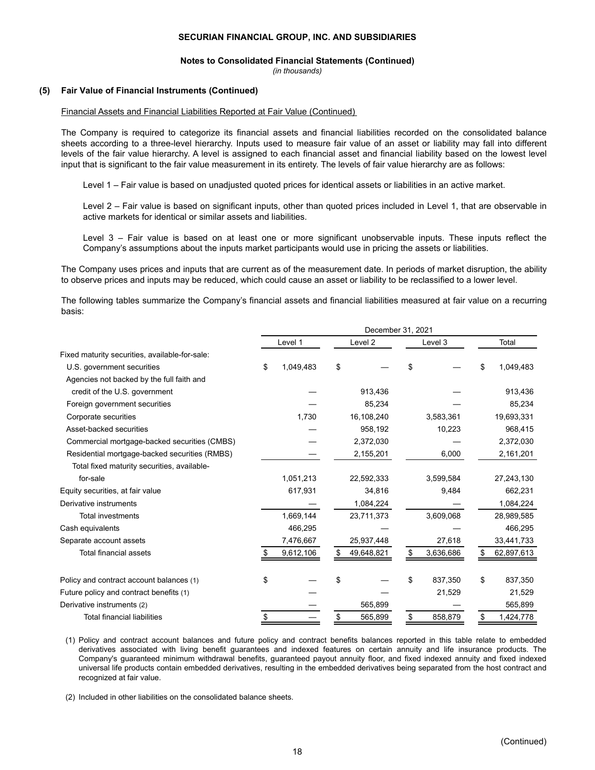#### **Notes to Consolidated Financial Statements (Continued)**

*(in thousands)*

## **(5) Fair Value of Financial Instruments (Continued)**

#### Financial Assets and Financial Liabilities Reported at Fair Value (Continued)

The Company is required to categorize its financial assets and financial liabilities recorded on the consolidated balance sheets according to a three-level hierarchy. Inputs used to measure fair value of an asset or liability may fall into different levels of the fair value hierarchy. A level is assigned to each financial asset and financial liability based on the lowest level input that is significant to the fair value measurement in its entirety. The levels of fair value hierarchy are as follows:

Level 1 – Fair value is based on unadjusted quoted prices for identical assets or liabilities in an active market.

Level 2 – Fair value is based on significant inputs, other than quoted prices included in Level 1, that are observable in active markets for identical or similar assets and liabilities.

Level 3 – Fair value is based on at least one or more significant unobservable inputs. These inputs reflect the Company's assumptions about the inputs market participants would use in pricing the assets or liabilities.

The Company uses prices and inputs that are current as of the measurement date. In periods of market disruption, the ability to observe prices and inputs may be reduced, which could cause an asset or liability to be reclassified to a lower level.

The following tables summarize the Company's financial assets and financial liabilities measured at fair value on a recurring basis:

|                                                | December 31, 2021 |           |    |                    |    |           |    |            |
|------------------------------------------------|-------------------|-----------|----|--------------------|----|-----------|----|------------|
|                                                |                   | Level 1   |    | Level <sub>2</sub> |    | Level 3   |    | Total      |
| Fixed maturity securities, available-for-sale: |                   |           |    |                    |    |           |    |            |
| U.S. government securities                     | \$                | 1,049,483 | \$ |                    | \$ |           | \$ | 1,049,483  |
| Agencies not backed by the full faith and      |                   |           |    |                    |    |           |    |            |
| credit of the U.S. government                  |                   |           |    | 913,436            |    |           |    | 913,436    |
| Foreign government securities                  |                   |           |    | 85,234             |    |           |    | 85,234     |
| Corporate securities                           |                   | 1,730     |    | 16,108,240         |    | 3,583,361 |    | 19,693,331 |
| Asset-backed securities                        |                   |           |    | 958,192            |    | 10,223    |    | 968,415    |
| Commercial mortgage-backed securities (CMBS)   |                   |           |    | 2,372,030          |    |           |    | 2,372,030  |
| Residential mortgage-backed securities (RMBS)  |                   |           |    | 2,155,201          |    | 6,000     |    | 2,161,201  |
| Total fixed maturity securities, available-    |                   |           |    |                    |    |           |    |            |
| for-sale                                       |                   | 1,051,213 |    | 22,592,333         |    | 3,599,584 |    | 27,243,130 |
| Equity securities, at fair value               |                   | 617,931   |    | 34,816             |    | 9,484     |    | 662,231    |
| Derivative instruments                         |                   |           |    | 1,084,224          |    |           |    | 1,084,224  |
| <b>Total investments</b>                       |                   | 1,669,144 |    | 23,711,373         |    | 3,609,068 |    | 28,989,585 |
| Cash equivalents                               |                   | 466,295   |    |                    |    |           |    | 466,295    |
| Separate account assets                        |                   | 7,476,667 |    | 25,937,448         |    | 27,618    |    | 33,441,733 |
| <b>Total financial assets</b>                  |                   | 9,612,106 | \$ | 49,648,821         | \$ | 3,636,686 |    | 62,897,613 |
| Policy and contract account balances (1)       | \$                |           | \$ |                    | S  | 837,350   | \$ | 837,350    |
| Future policy and contract benefits (1)        |                   |           |    |                    |    | 21,529    |    | 21,529     |
| Derivative instruments (2)                     |                   |           |    | 565,899            |    |           |    | 565,899    |
| <b>Total financial liabilities</b>             | \$                |           | \$ | 565,899            | \$ | 858,879   | \$ | 1,424,778  |

(1) Policy and contract account balances and future policy and contract benefits balances reported in this table relate to embedded derivatives associated with living benefit guarantees and indexed features on certain annuity and life insurance products. The Company's guaranteed minimum withdrawal benefits, guaranteed payout annuity floor, and fixed indexed annuity and fixed indexed universal life products contain embedded derivatives, resulting in the embedded derivatives being separated from the host contract and recognized at fair value.

(2) Included in other liabilities on the consolidated balance sheets.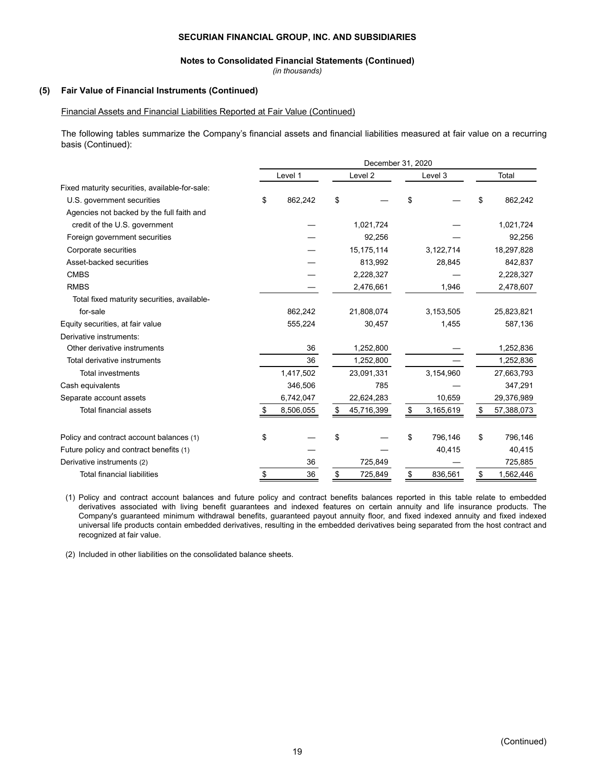#### **Notes to Consolidated Financial Statements (Continued)**

*(in thousands)*

# **(5) Fair Value of Financial Instruments (Continued)**

# Financial Assets and Financial Liabilities Reported at Fair Value (Continued)

The following tables summarize the Company's financial assets and financial liabilities measured at fair value on a recurring basis (Continued):

|                                                | December 31, 2020 |           |    |                    |    |           |    |            |  |
|------------------------------------------------|-------------------|-----------|----|--------------------|----|-----------|----|------------|--|
|                                                |                   | Level 1   |    | Level <sub>2</sub> |    | Level 3   |    | Total      |  |
| Fixed maturity securities, available-for-sale: |                   |           |    |                    |    |           |    |            |  |
| U.S. government securities                     | \$                | 862,242   | \$ |                    | \$ |           | \$ | 862,242    |  |
| Agencies not backed by the full faith and      |                   |           |    |                    |    |           |    |            |  |
| credit of the U.S. government                  |                   |           |    | 1,021,724          |    |           |    | 1,021,724  |  |
| Foreign government securities                  |                   |           |    | 92,256             |    |           |    | 92,256     |  |
| Corporate securities                           |                   |           |    | 15,175,114         |    | 3,122,714 |    | 18,297,828 |  |
| Asset-backed securities                        |                   |           |    | 813,992            |    | 28,845    |    | 842,837    |  |
| <b>CMBS</b>                                    |                   |           |    | 2,228,327          |    |           |    | 2,228,327  |  |
| <b>RMBS</b>                                    |                   |           |    | 2,476,661          |    | 1,946     |    | 2,478,607  |  |
| Total fixed maturity securities, available-    |                   |           |    |                    |    |           |    |            |  |
| for-sale                                       |                   | 862,242   |    | 21,808,074         |    | 3,153,505 |    | 25,823,821 |  |
| Equity securities, at fair value               |                   | 555,224   |    | 30,457             |    | 1,455     |    | 587,136    |  |
| Derivative instruments:                        |                   |           |    |                    |    |           |    |            |  |
| Other derivative instruments                   |                   | 36        |    | 1,252,800          |    |           |    | 1,252,836  |  |
| Total derivative instruments                   |                   | 36        |    | 1,252,800          |    |           |    | 1,252,836  |  |
| <b>Total investments</b>                       |                   | 1,417,502 |    | 23,091,331         |    | 3,154,960 |    | 27,663,793 |  |
| Cash equivalents                               |                   | 346,506   |    | 785                |    |           |    | 347,291    |  |
| Separate account assets                        |                   | 6,742,047 |    | 22,624,283         |    | 10,659    |    | 29,376,989 |  |
| <b>Total financial assets</b>                  |                   | 8,506,055 | S  | 45,716,399         | \$ | 3,165,619 | \$ | 57,388,073 |  |
| Policy and contract account balances (1)       | \$                |           | \$ |                    | \$ | 796,146   | \$ | 796,146    |  |
| Future policy and contract benefits (1)        |                   |           |    |                    |    | 40,415    |    | 40,415     |  |
| Derivative instruments (2)                     |                   | 36        |    | 725,849            |    |           |    | 725,885    |  |
| <b>Total financial liabilities</b>             | \$                | 36        | \$ | 725,849            | \$ | 836,561   | \$ | 1,562,446  |  |

(1) Policy and contract account balances and future policy and contract benefits balances reported in this table relate to embedded derivatives associated with living benefit guarantees and indexed features on certain annuity and life insurance products. The Company's guaranteed minimum withdrawal benefits, guaranteed payout annuity floor, and fixed indexed annuity and fixed indexed universal life products contain embedded derivatives, resulting in the embedded derivatives being separated from the host contract and recognized at fair value.

(2) Included in other liabilities on the consolidated balance sheets.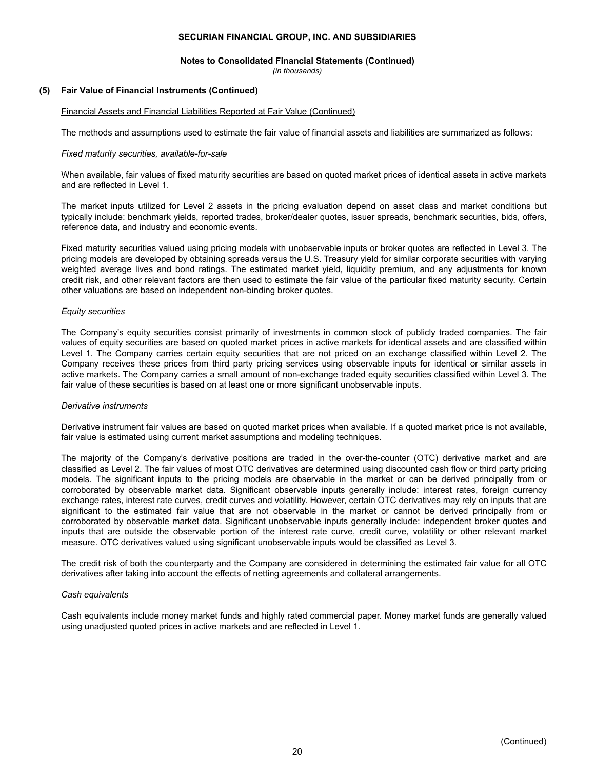#### **Notes to Consolidated Financial Statements (Continued)**

*(in thousands)*

#### **(5) Fair Value of Financial Instruments (Continued)**

#### Financial Assets and Financial Liabilities Reported at Fair Value (Continued)

The methods and assumptions used to estimate the fair value of financial assets and liabilities are summarized as follows:

#### *Fixed maturity securities, available-for-sale*

When available, fair values of fixed maturity securities are based on quoted market prices of identical assets in active markets and are reflected in Level 1.

The market inputs utilized for Level 2 assets in the pricing evaluation depend on asset class and market conditions but typically include: benchmark yields, reported trades, broker/dealer quotes, issuer spreads, benchmark securities, bids, offers, reference data, and industry and economic events.

Fixed maturity securities valued using pricing models with unobservable inputs or broker quotes are reflected in Level 3. The pricing models are developed by obtaining spreads versus the U.S. Treasury yield for similar corporate securities with varying weighted average lives and bond ratings. The estimated market yield, liquidity premium, and any adjustments for known credit risk, and other relevant factors are then used to estimate the fair value of the particular fixed maturity security. Certain other valuations are based on independent non-binding broker quotes.

#### *Equity securities*

The Company's equity securities consist primarily of investments in common stock of publicly traded companies. The fair values of equity securities are based on quoted market prices in active markets for identical assets and are classified within Level 1. The Company carries certain equity securities that are not priced on an exchange classified within Level 2. The Company receives these prices from third party pricing services using observable inputs for identical or similar assets in active markets. The Company carries a small amount of non-exchange traded equity securities classified within Level 3. The fair value of these securities is based on at least one or more significant unobservable inputs.

#### *Derivative instruments*

Derivative instrument fair values are based on quoted market prices when available. If a quoted market price is not available, fair value is estimated using current market assumptions and modeling techniques.

The majority of the Company's derivative positions are traded in the over-the-counter (OTC) derivative market and are classified as Level 2. The fair values of most OTC derivatives are determined using discounted cash flow or third party pricing models. The significant inputs to the pricing models are observable in the market or can be derived principally from or corroborated by observable market data. Significant observable inputs generally include: interest rates, foreign currency exchange rates, interest rate curves, credit curves and volatility. However, certain OTC derivatives may rely on inputs that are significant to the estimated fair value that are not observable in the market or cannot be derived principally from or corroborated by observable market data. Significant unobservable inputs generally include: independent broker quotes and inputs that are outside the observable portion of the interest rate curve, credit curve, volatility or other relevant market measure. OTC derivatives valued using significant unobservable inputs would be classified as Level 3.

The credit risk of both the counterparty and the Company are considered in determining the estimated fair value for all OTC derivatives after taking into account the effects of netting agreements and collateral arrangements.

#### *Cash equivalents*

Cash equivalents include money market funds and highly rated commercial paper. Money market funds are generally valued using unadjusted quoted prices in active markets and are reflected in Level 1.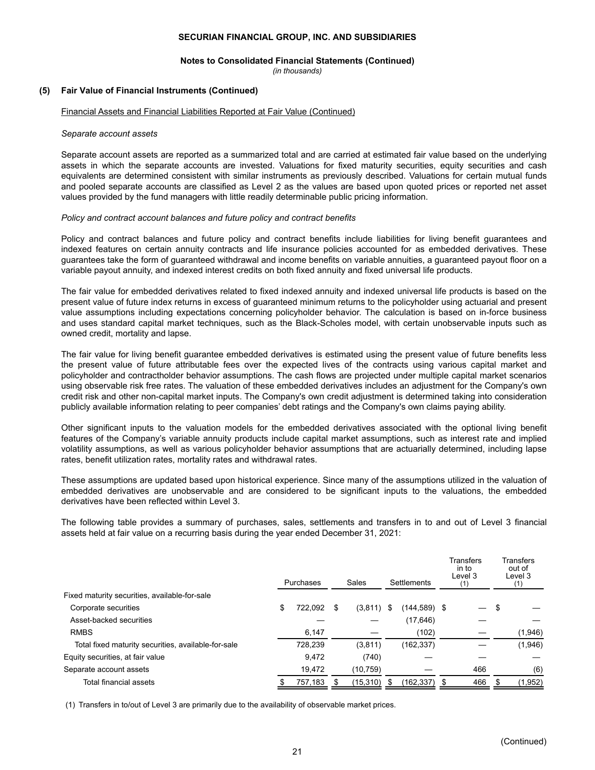#### **Notes to Consolidated Financial Statements (Continued)**

*(in thousands)*

# **(5) Fair Value of Financial Instruments (Continued)**

#### Financial Assets and Financial Liabilities Reported at Fair Value (Continued)

#### *Separate account assets*

Separate account assets are reported as a summarized total and are carried at estimated fair value based on the underlying assets in which the separate accounts are invested. Valuations for fixed maturity securities, equity securities and cash equivalents are determined consistent with similar instruments as previously described. Valuations for certain mutual funds and pooled separate accounts are classified as Level 2 as the values are based upon quoted prices or reported net asset values provided by the fund managers with little readily determinable public pricing information.

#### *Policy and contract account balances and future policy and contract benefits*

Policy and contract balances and future policy and contract benefits include liabilities for living benefit guarantees and indexed features on certain annuity contracts and life insurance policies accounted for as embedded derivatives. These guarantees take the form of guaranteed withdrawal and income benefits on variable annuities, a guaranteed payout floor on a variable payout annuity, and indexed interest credits on both fixed annuity and fixed universal life products.

The fair value for embedded derivatives related to fixed indexed annuity and indexed universal life products is based on the present value of future index returns in excess of guaranteed minimum returns to the policyholder using actuarial and present value assumptions including expectations concerning policyholder behavior. The calculation is based on in-force business and uses standard capital market techniques, such as the Black-Scholes model, with certain unobservable inputs such as owned credit, mortality and lapse.

The fair value for living benefit guarantee embedded derivatives is estimated using the present value of future benefits less the present value of future attributable fees over the expected lives of the contracts using various capital market and policyholder and contractholder behavior assumptions. The cash flows are projected under multiple capital market scenarios using observable risk free rates. The valuation of these embedded derivatives includes an adjustment for the Company's own credit risk and other non-capital market inputs. The Company's own credit adjustment is determined taking into consideration publicly available information relating to peer companies' debt ratings and the Company's own claims paying ability.

Other significant inputs to the valuation models for the embedded derivatives associated with the optional living benefit features of the Company's variable annuity products include capital market assumptions, such as interest rate and implied volatility assumptions, as well as various policyholder behavior assumptions that are actuarially determined, including lapse rates, benefit utilization rates, mortality rates and withdrawal rates.

These assumptions are updated based upon historical experience. Since many of the assumptions utilized in the valuation of embedded derivatives are unobservable and are considered to be significant inputs to the valuations, the embedded derivatives have been reflected within Level 3.

The following table provides a summary of purchases, sales, settlements and transfers in to and out of Level 3 financial assets held at fair value on a recurring basis during the year ended December 31, 2021:

|                                                     | Sales<br>Purchases |         | <b>Settlements</b> |              | <b>Transfers</b><br>in to<br>Level 3<br>(1) |              |  | Transfers<br>out of<br>Level 3<br>(1) |   |         |
|-----------------------------------------------------|--------------------|---------|--------------------|--------------|---------------------------------------------|--------------|--|---------------------------------------|---|---------|
| Fixed maturity securities, available-for-sale       |                    |         |                    |              |                                             |              |  |                                       |   |         |
| Corporate securities                                | \$                 | 722.092 | S                  | $(3,811)$ \$ |                                             | (144,589) \$ |  |                                       | S |         |
| Asset-backed securities                             |                    |         |                    |              |                                             | (17, 646)    |  |                                       |   |         |
| <b>RMBS</b>                                         |                    | 6,147   |                    |              |                                             | (102)        |  |                                       |   | (1,946) |
| Total fixed maturity securities, available-for-sale |                    | 728,239 |                    | (3,811)      |                                             | (162, 337)   |  |                                       |   | (1,946) |
| Equity securities, at fair value                    |                    | 9,472   |                    | (740)        |                                             |              |  |                                       |   |         |
| Separate account assets                             |                    | 19,472  |                    | (10, 759)    |                                             |              |  | 466                                   |   | (6)     |
| Total financial assets                              |                    | 757,183 |                    | (15, 310)    |                                             | (162,337)    |  | 466                                   |   | (1,952) |

(1) Transfers in to/out of Level 3 are primarily due to the availability of observable market prices.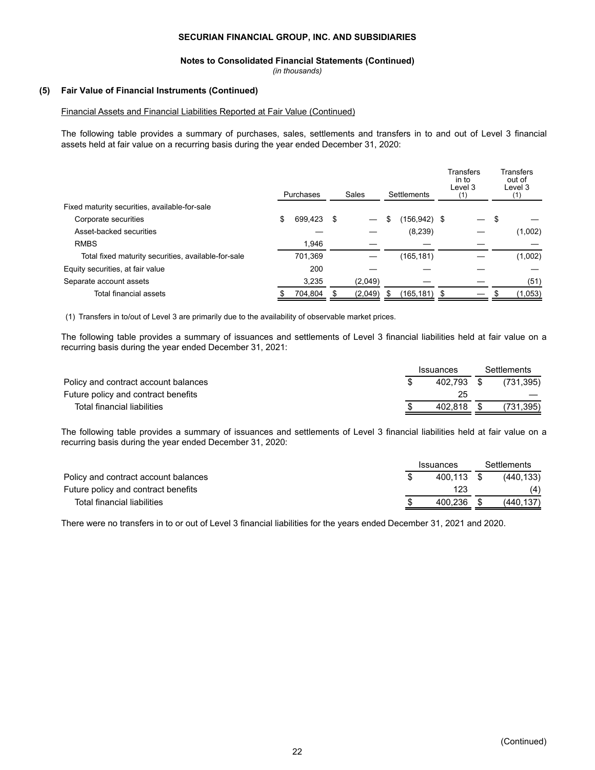## **Notes to Consolidated Financial Statements (Continued)**

*(in thousands)*

# **(5) Fair Value of Financial Instruments (Continued)**

# Financial Assets and Financial Liabilities Reported at Fair Value (Continued)

The following table provides a summary of purchases, sales, settlements and transfers in to and out of Level 3 financial assets held at fair value on a recurring basis during the year ended December 31, 2020:

|                                                     | Purchases |         | Sales |         | Settlements |                 | Transfers<br>in to<br>Level 3<br>(1) |  |   | Transfers<br>out of<br>Level 3<br>(1) |
|-----------------------------------------------------|-----------|---------|-------|---------|-------------|-----------------|--------------------------------------|--|---|---------------------------------------|
| Fixed maturity securities, available-for-sale       |           |         |       |         |             |                 |                                      |  |   |                                       |
| Corporate securities                                | \$        | 699,423 | S     |         | \$          | $(156, 942)$ \$ |                                      |  | S |                                       |
| Asset-backed securities                             |           |         |       |         |             | (8,239)         |                                      |  |   | (1,002)                               |
| <b>RMBS</b>                                         |           | 1,946   |       |         |             |                 |                                      |  |   |                                       |
| Total fixed maturity securities, available-for-sale |           | 701,369 |       |         |             | (165, 181)      |                                      |  |   | (1,002)                               |
| Equity securities, at fair value                    |           | 200     |       |         |             |                 |                                      |  |   |                                       |
| Separate account assets                             |           | 3,235   |       | (2,049) |             |                 |                                      |  |   | (51)                                  |
| Total financial assets                              |           | 704.804 |       | (2,049) |             | (165, 181)      | -S                                   |  |   | (1,053)                               |

(1) Transfers in to/out of Level 3 are primarily due to the availability of observable market prices.

The following table provides a summary of issuances and settlements of Level 3 financial liabilities held at fair value on a recurring basis during the year ended December 31, 2021:

|                                      | <b>Issuances</b> |          | Settlements |
|--------------------------------------|------------------|----------|-------------|
| Policy and contract account balances | 402.793          | <b>S</b> | (731, 395)  |
| Future policy and contract benefits  | 25               |          |             |
| Total financial liabilities          | 402.818          |          | (731, 395)  |

The following table provides a summary of issuances and settlements of Level 3 financial liabilities held at fair value on a recurring basis during the year ended December 31, 2020:

|                                      | <b>Issuances</b> | Settlements |
|--------------------------------------|------------------|-------------|
| Policy and contract account balances | 400.113 \$       | (440,133)   |
| Future policy and contract benefits  |                  | (4)         |
| Total financial liabilities          | 400.236          | (440.137)   |

There were no transfers in to or out of Level 3 financial liabilities for the years ended December 31, 2021 and 2020.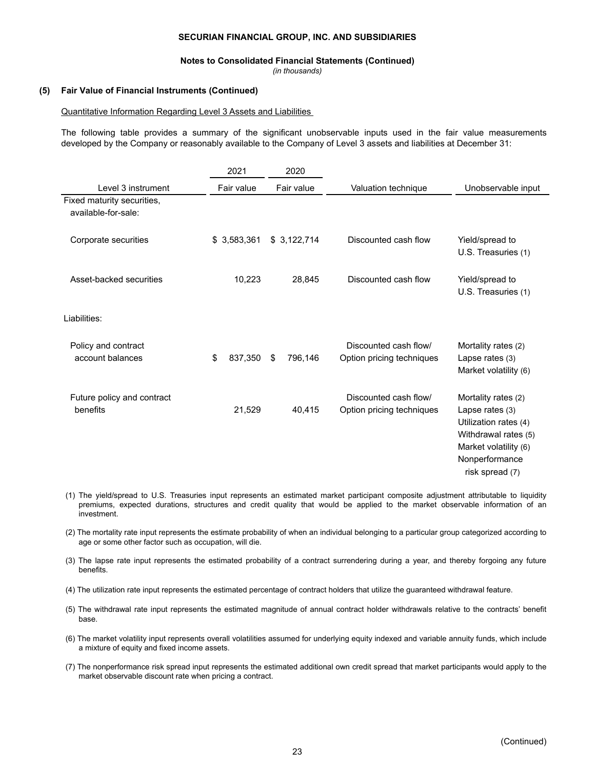#### **Notes to Consolidated Financial Statements (Continued)**

*(in thousands)*

### **(5) Fair Value of Financial Instruments (Continued)**

#### Quantitative Information Regarding Level 3 Assets and Liabilities

The following table provides a summary of the significant unobservable inputs used in the fair value measurements developed by the Company or reasonably available to the Company of Level 3 assets and liabilities at December 31:

|                                                   | 2021          | 2020          |                                                    |                                                                                                                                                       |
|---------------------------------------------------|---------------|---------------|----------------------------------------------------|-------------------------------------------------------------------------------------------------------------------------------------------------------|
| Level 3 instrument                                | Fair value    | Fair value    | Valuation technique                                | Unobservable input                                                                                                                                    |
| Fixed maturity securities,<br>available-for-sale: |               |               |                                                    |                                                                                                                                                       |
| Corporate securities                              | \$3,583,361   | \$3,122,714   | Discounted cash flow                               | Yield/spread to<br>U.S. Treasuries (1)                                                                                                                |
| Asset-backed securities                           | 10,223        | 28,845        | Discounted cash flow                               | Yield/spread to<br>U.S. Treasuries (1)                                                                                                                |
| Liabilities:                                      |               |               |                                                    |                                                                                                                                                       |
| Policy and contract<br>account balances           | \$<br>837,350 | 796,146<br>\$ | Discounted cash flow/<br>Option pricing techniques | Mortality rates (2)<br>Lapse rates (3)<br>Market volatility (6)                                                                                       |
| Future policy and contract<br>benefits            | 21,529        | 40,415        | Discounted cash flow/<br>Option pricing techniques | Mortality rates (2)<br>Lapse rates (3)<br>Utilization rates (4)<br>Withdrawal rates (5)<br>Market volatility (6)<br>Nonperformance<br>risk spread (7) |

- (1) The yield/spread to U.S. Treasuries input represents an estimated market participant composite adjustment attributable to liquidity premiums, expected durations, structures and credit quality that would be applied to the market observable information of an investment.
- (2) The mortality rate input represents the estimate probability of when an individual belonging to a particular group categorized according to age or some other factor such as occupation, will die.
- (3) The lapse rate input represents the estimated probability of a contract surrendering during a year, and thereby forgoing any future benefits.
- (4) The utilization rate input represents the estimated percentage of contract holders that utilize the guaranteed withdrawal feature.
- (5) The withdrawal rate input represents the estimated magnitude of annual contract holder withdrawals relative to the contracts' benefit base.
- (6) The market volatility input represents overall volatilities assumed for underlying equity indexed and variable annuity funds, which include a mixture of equity and fixed income assets.
- (7) The nonperformance risk spread input represents the estimated additional own credit spread that market participants would apply to the market observable discount rate when pricing a contract.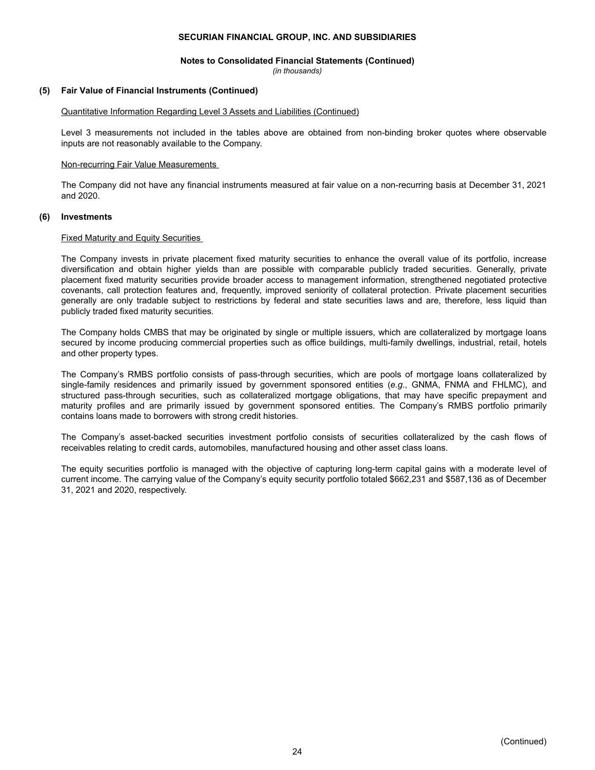#### **Notes to Consolidated Financial Statements (Continued)**

*(in thousands)*

## **(5) Fair Value of Financial Instruments (Continued)**

#### Quantitative Information Regarding Level 3 Assets and Liabilities (Continued)

Level 3 measurements not included in the tables above are obtained from non-binding broker quotes where observable inputs are not reasonably available to the Company.

#### Non-recurring Fair Value Measurements

The Company did not have any financial instruments measured at fair value on a non-recurring basis at December 31, 2021 and 2020.

### **(6) Investments**

### Fixed Maturity and Equity Securities

The Company invests in private placement fixed maturity securities to enhance the overall value of its portfolio, increase diversification and obtain higher yields than are possible with comparable publicly traded securities. Generally, private placement fixed maturity securities provide broader access to management information, strengthened negotiated protective covenants, call protection features and, frequently, improved seniority of collateral protection. Private placement securities generally are only tradable subject to restrictions by federal and state securities laws and are, therefore, less liquid than publicly traded fixed maturity securities.

The Company holds CMBS that may be originated by single or multiple issuers, which are collateralized by mortgage loans secured by income producing commercial properties such as office buildings, multi-family dwellings, industrial, retail, hotels and other property types.

The Company's RMBS portfolio consists of pass-through securities, which are pools of mortgage loans collateralized by single-family residences and primarily issued by government sponsored entities (*e.g.*, GNMA, FNMA and FHLMC), and structured pass-through securities, such as collateralized mortgage obligations, that may have specific prepayment and maturity profiles and are primarily issued by government sponsored entities. The Company's RMBS portfolio primarily contains loans made to borrowers with strong credit histories.

The Company's asset-backed securities investment portfolio consists of securities collateralized by the cash flows of receivables relating to credit cards, automobiles, manufactured housing and other asset class loans.

The equity securities portfolio is managed with the objective of capturing long-term capital gains with a moderate level of current income. The carrying value of the Company's equity security portfolio totaled \$662,231 and \$587,136 as of December 31, 2021 and 2020, respectively.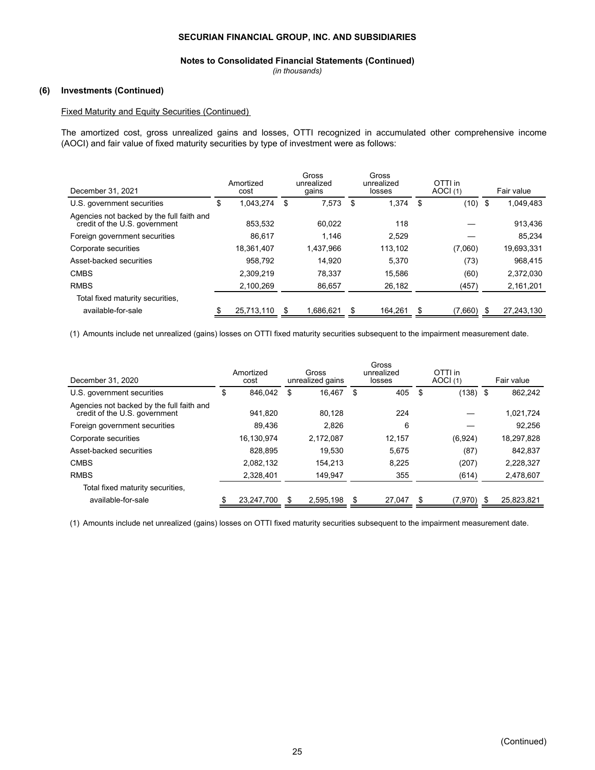## **Notes to Consolidated Financial Statements (Continued)**

*(in thousands)*

# **(6) Investments (Continued)**

# Fixed Maturity and Equity Securities (Continued)

The amortized cost, gross unrealized gains and losses, OTTI recognized in accumulated other comprehensive income (AOCI) and fair value of fixed maturity securities by type of investment were as follows:

| December 31, 2021                                                          | Amortized<br>cost |    | Gross<br>unrealized<br>qains |    | Gross<br>unrealized<br>losses |   | OTTI in<br>AOCI(1) | Fair value      |
|----------------------------------------------------------------------------|-------------------|----|------------------------------|----|-------------------------------|---|--------------------|-----------------|
| U.S. government securities                                                 | \$<br>1,043,274   | \$ | 7,573                        | \$ | 1,374                         | S | (10)               | \$<br>1,049,483 |
| Agencies not backed by the full faith and<br>credit of the U.S. government | 853,532           |    | 60.022                       |    | 118                           |   |                    | 913,436         |
| Foreign government securities                                              | 86.617            |    | 1.146                        |    | 2.529                         |   |                    | 85.234          |
| Corporate securities                                                       | 18.361.407        |    | 1,437,966                    |    | 113.102                       |   | (7,060)            | 19,693,331      |
| Asset-backed securities                                                    | 958.792           |    | 14.920                       |    | 5.370                         |   | (73)               | 968.415         |
| <b>CMBS</b>                                                                | 2.309.219         |    | 78.337                       |    | 15.586                        |   | (60)               | 2,372,030       |
| <b>RMBS</b>                                                                | 2.100.269         |    | 86,657                       |    | 26,182                        |   | (457)              | 2,161,201       |
| Total fixed maturity securities,                                           |                   |    |                              |    |                               |   |                    |                 |
| available-for-sale                                                         | 25,713,110        | S  | 1,686,621                    | S  | 164,261                       |   | (7,660)            | 27,243,130      |

(1) Amounts include net unrealized (gains) losses on OTTI fixed maturity securities subsequent to the impairment measurement date.

| December 31, 2020                                                          | Amortized<br>cost | Gross<br>unrealized gains |   | Gross<br>unrealized<br>losses |    | OTTI in<br>AOCI(1) | Fair value |
|----------------------------------------------------------------------------|-------------------|---------------------------|---|-------------------------------|----|--------------------|------------|
| U.S. government securities                                                 | \$<br>846.042     | \$<br>16,467              | S | 405                           | \$ | (138) \$           | 862,242    |
| Agencies not backed by the full faith and<br>credit of the U.S. government | 941.820           | 80.128                    |   | 224                           |    |                    | 1,021,724  |
| Foreign government securities                                              | 89.436            | 2.826                     |   | 6                             |    |                    | 92,256     |
| Corporate securities                                                       | 16.130.974        | 2.172.087                 |   | 12.157                        |    | (6,924)            | 18,297,828 |
| Asset-backed securities                                                    | 828.895           | 19.530                    |   | 5.675                         |    | (87)               | 842.837    |
| <b>CMBS</b>                                                                | 2,082,132         | 154.213                   |   | 8,225                         |    | (207)              | 2,228,327  |
| <b>RMBS</b>                                                                | 2,328,401         | 149.947                   |   | 355                           |    | (614)              | 2,478,607  |
| Total fixed maturity securities,                                           |                   |                           |   |                               |    |                    |            |
| available-for-sale                                                         | 23,247,700        | 2,595,198                 | S | 27,047                        | S  | (7,970)            | 25,823,821 |

(1) Amounts include net unrealized (gains) losses on OTTI fixed maturity securities subsequent to the impairment measurement date.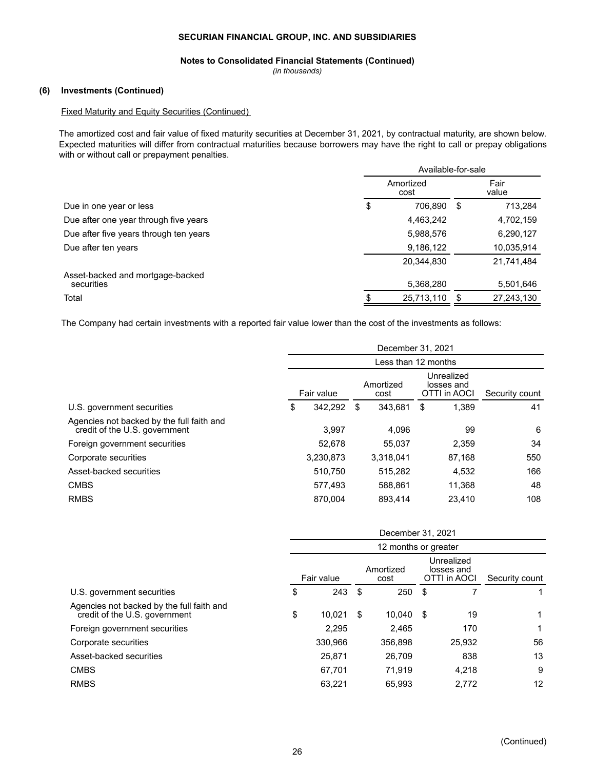### **Notes to Consolidated Financial Statements (Continued)**

*(in thousands)*

# **(6) Investments (Continued)**

Fixed Maturity and Equity Securities (Continued)

The amortized cost and fair value of fixed maturity securities at December 31, 2021, by contractual maturity, are shown below. Expected maturities will differ from contractual maturities because borrowers may have the right to call or prepay obligations with or without call or prepayment penalties.

|                                                | Available-for-sale |            |    |            |  |  |  |
|------------------------------------------------|--------------------|------------|----|------------|--|--|--|
|                                                | Amortized<br>cost  |            |    |            |  |  |  |
| Due in one year or less                        | \$                 | 706.890    | \$ | 713,284    |  |  |  |
| Due after one year through five years          |                    | 4,463,242  |    | 4,702,159  |  |  |  |
| Due after five years through ten years         |                    | 5,988,576  |    | 6,290,127  |  |  |  |
| Due after ten years                            |                    | 9,186,122  |    | 10,035,914 |  |  |  |
|                                                |                    | 20,344,830 |    | 21,741,484 |  |  |  |
| Asset-backed and mortgage-backed<br>securities |                    | 5,368,280  |    | 5,501,646  |  |  |  |
| Total                                          |                    | 25,713,110 |    | 27,243,130 |  |  |  |

The Company had certain investments with a reported fair value lower than the cost of the investments as follows:

|                                                                            | December 31, 2021   |           |    |                   |                                          |        |                |  |  |  |  |
|----------------------------------------------------------------------------|---------------------|-----------|----|-------------------|------------------------------------------|--------|----------------|--|--|--|--|
|                                                                            | Less than 12 months |           |    |                   |                                          |        |                |  |  |  |  |
|                                                                            | Fair value          |           |    | Amortized<br>cost | Unrealized<br>losses and<br>OTTI in AOCI |        | Security count |  |  |  |  |
| U.S. government securities                                                 | \$                  | 342,292   | \$ | 343,681           | \$                                       | 1,389  | 41             |  |  |  |  |
| Agencies not backed by the full faith and<br>credit of the U.S. government |                     | 3.997     |    | 4.096             |                                          | 99     | 6              |  |  |  |  |
| Foreign government securities                                              |                     | 52,678    |    | 55,037            |                                          | 2,359  | 34             |  |  |  |  |
| Corporate securities                                                       |                     | 3,230,873 |    | 3.318.041         |                                          | 87,168 | 550            |  |  |  |  |
| Asset-backed securities                                                    |                     | 510,750   |    | 515,282           |                                          | 4,532  | 166            |  |  |  |  |
| <b>CMBS</b>                                                                |                     | 577,493   |    | 588.861           |                                          | 11,368 | 48             |  |  |  |  |
| <b>RMBS</b>                                                                |                     | 870.004   |    | 893.414           |                                          | 23.410 | 108            |  |  |  |  |

|                                                                            | December 31, 2021    |         |    |                   |                                          |        |                |  |  |  |  |
|----------------------------------------------------------------------------|----------------------|---------|----|-------------------|------------------------------------------|--------|----------------|--|--|--|--|
|                                                                            | 12 months or greater |         |    |                   |                                          |        |                |  |  |  |  |
|                                                                            | Fair value           |         |    | Amortized<br>cost | Unrealized<br>losses and<br>OTTI in AOCI |        | Security count |  |  |  |  |
| U.S. government securities                                                 | \$                   | 243     | S  | 250               | S                                        |        |                |  |  |  |  |
| Agencies not backed by the full faith and<br>credit of the U.S. government | \$                   | 10.021  | \$ | 10.040            | - \$                                     | 19     |                |  |  |  |  |
| Foreign government securities                                              |                      | 2,295   |    | 2.465             |                                          | 170    |                |  |  |  |  |
| Corporate securities                                                       |                      | 330,966 |    | 356,898           |                                          | 25,932 | 56             |  |  |  |  |
| Asset-backed securities                                                    |                      | 25.871  |    | 26,709            |                                          | 838    | 13             |  |  |  |  |
| <b>CMBS</b>                                                                |                      | 67.701  |    | 71.919            |                                          | 4,218  | 9              |  |  |  |  |
| <b>RMBS</b>                                                                |                      | 63.221  |    | 65.993            |                                          | 2.772  | 12             |  |  |  |  |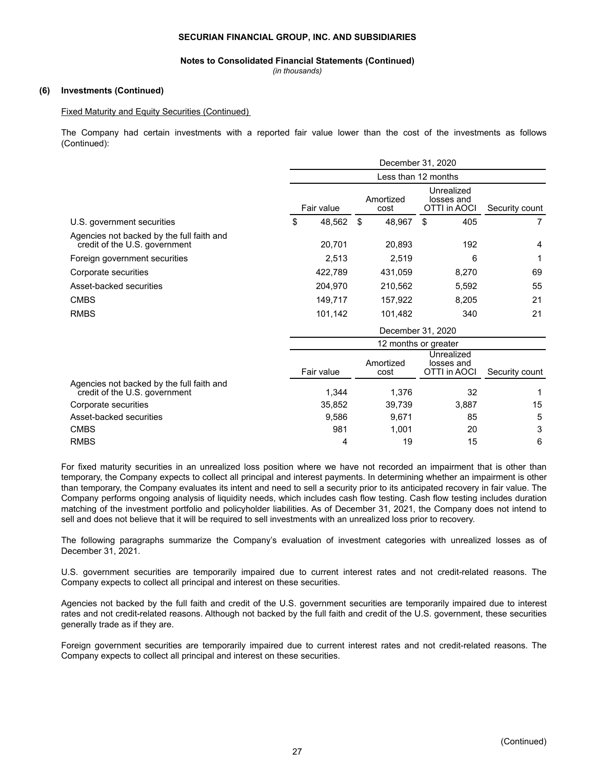#### **Notes to Consolidated Financial Statements (Continued)**

*(in thousands)*

## **(6) Investments (Continued)**

Fixed Maturity and Equity Securities (Continued)

The Company had certain investments with a reported fair value lower than the cost of the investments as follows (Continued):

|                                                                            | December 31, 2020   |            |    |                      |    |                                          |                |  |  |  |
|----------------------------------------------------------------------------|---------------------|------------|----|----------------------|----|------------------------------------------|----------------|--|--|--|
|                                                                            | Less than 12 months |            |    |                      |    |                                          |                |  |  |  |
|                                                                            |                     | Fair value |    | Amortized<br>cost    |    | Unrealized<br>losses and<br>OTTI in AOCI | Security count |  |  |  |
| U.S. government securities                                                 |                     | 48,562     | \$ | 48,967               | \$ | 405                                      | 7              |  |  |  |
| Agencies not backed by the full faith and<br>credit of the U.S. government |                     | 20,701     |    | 20,893               |    | 192                                      | 4              |  |  |  |
| Foreign government securities                                              |                     | 2,513      |    | 2,519                |    | 6                                        | 1              |  |  |  |
| Corporate securities                                                       |                     | 422,789    |    | 431,059              |    | 8,270                                    | 69             |  |  |  |
| Asset-backed securities                                                    |                     | 204,970    |    | 210,562              |    | 5,592                                    | 55             |  |  |  |
| <b>CMBS</b>                                                                |                     | 149,717    |    | 157,922              |    | 8,205                                    | 21             |  |  |  |
| <b>RMBS</b>                                                                |                     | 101,142    |    | 101,482              |    | 340                                      | 21             |  |  |  |
|                                                                            |                     |            |    | December 31, 2020    |    |                                          |                |  |  |  |
|                                                                            |                     |            |    | 12 months or greater |    |                                          |                |  |  |  |
|                                                                            |                     | Fair value |    | Amortized<br>cost    |    | Unrealized<br>losses and<br>OTTI in AOCI | Security count |  |  |  |
| Agencies not backed by the full faith and<br>credit of the U.S. government |                     | 1,344      |    | 1,376                |    | 32                                       | 1              |  |  |  |
| Corporate securities                                                       |                     | 35,852     |    | 39,739               |    | 3,887                                    | 15             |  |  |  |
| Asset-backed securities                                                    |                     | 9,586      |    | 9,671                |    | 85                                       | 5              |  |  |  |
| <b>CMBS</b>                                                                |                     | 981        |    | 1,001                |    | 20                                       | 3              |  |  |  |
| <b>RMBS</b>                                                                |                     | 4          |    | 19                   |    | 15                                       | 6              |  |  |  |

For fixed maturity securities in an unrealized loss position where we have not recorded an impairment that is other than temporary, the Company expects to collect all principal and interest payments. In determining whether an impairment is other than temporary, the Company evaluates its intent and need to sell a security prior to its anticipated recovery in fair value. The Company performs ongoing analysis of liquidity needs, which includes cash flow testing. Cash flow testing includes duration matching of the investment portfolio and policyholder liabilities. As of December 31, 2021, the Company does not intend to sell and does not believe that it will be required to sell investments with an unrealized loss prior to recovery.

The following paragraphs summarize the Company's evaluation of investment categories with unrealized losses as of December 31, 2021.

U.S. government securities are temporarily impaired due to current interest rates and not credit-related reasons. The Company expects to collect all principal and interest on these securities.

Agencies not backed by the full faith and credit of the U.S. government securities are temporarily impaired due to interest rates and not credit-related reasons. Although not backed by the full faith and credit of the U.S. government, these securities generally trade as if they are.

Foreign government securities are temporarily impaired due to current interest rates and not credit-related reasons. The Company expects to collect all principal and interest on these securities.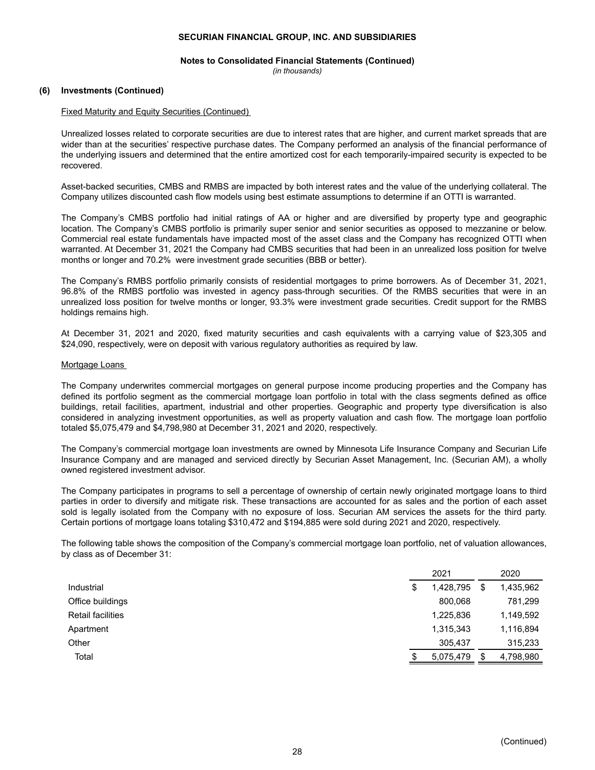# **Notes to Consolidated Financial Statements (Continued)**

*(in thousands)*

## **(6) Investments (Continued)**

#### Fixed Maturity and Equity Securities (Continued)

Unrealized losses related to corporate securities are due to interest rates that are higher, and current market spreads that are wider than at the securities' respective purchase dates. The Company performed an analysis of the financial performance of the underlying issuers and determined that the entire amortized cost for each temporarily-impaired security is expected to be recovered.

Asset-backed securities, CMBS and RMBS are impacted by both interest rates and the value of the underlying collateral. The Company utilizes discounted cash flow models using best estimate assumptions to determine if an OTTI is warranted.

The Company's CMBS portfolio had initial ratings of AA or higher and are diversified by property type and geographic location. The Company's CMBS portfolio is primarily super senior and senior securities as opposed to mezzanine or below. Commercial real estate fundamentals have impacted most of the asset class and the Company has recognized OTTI when warranted. At December 31, 2021 the Company had CMBS securities that had been in an unrealized loss position for twelve months or longer and 70.2% were investment grade securities (BBB or better).

The Company's RMBS portfolio primarily consists of residential mortgages to prime borrowers. As of December 31, 2021, 96.8% of the RMBS portfolio was invested in agency pass-through securities. Of the RMBS securities that were in an unrealized loss position for twelve months or longer, 93.3% were investment grade securities. Credit support for the RMBS holdings remains high.

At December 31, 2021 and 2020, fixed maturity securities and cash equivalents with a carrying value of \$23,305 and \$24,090, respectively, were on deposit with various regulatory authorities as required by law.

#### Mortgage Loans

The Company underwrites commercial mortgages on general purpose income producing properties and the Company has defined its portfolio segment as the commercial mortgage loan portfolio in total with the class segments defined as office buildings, retail facilities, apartment, industrial and other properties. Geographic and property type diversification is also considered in analyzing investment opportunities, as well as property valuation and cash flow. The mortgage loan portfolio totaled \$5,075,479 and \$4,798,980 at December 31, 2021 and 2020, respectively.

The Company's commercial mortgage loan investments are owned by Minnesota Life Insurance Company and Securian Life Insurance Company and are managed and serviced directly by Securian Asset Management, Inc. (Securian AM), a wholly owned registered investment advisor.

The Company participates in programs to sell a percentage of ownership of certain newly originated mortgage loans to third parties in order to diversify and mitigate risk. These transactions are accounted for as sales and the portion of each asset sold is legally isolated from the Company with no exposure of loss. Securian AM services the assets for the third party. Certain portions of mortgage loans totaling \$310,472 and \$194,885 were sold during 2021 and 2020, respectively.

The following table shows the composition of the Company's commercial mortgage loan portfolio, net of valuation allowances, by class as of December 31:

| 1,428,795<br>Industrial<br>S<br>\$    | 1,435,962 |
|---------------------------------------|-----------|
| 800,068<br>Office buildings           | 781,299   |
| 1,225,836<br><b>Retail facilities</b> | 1,149,592 |
| 1,315,343<br>Apartment                | 1,116,894 |
| Other<br>305,437                      | 315,233   |
| Total<br>5,075,479<br>S.              | 4,798,980 |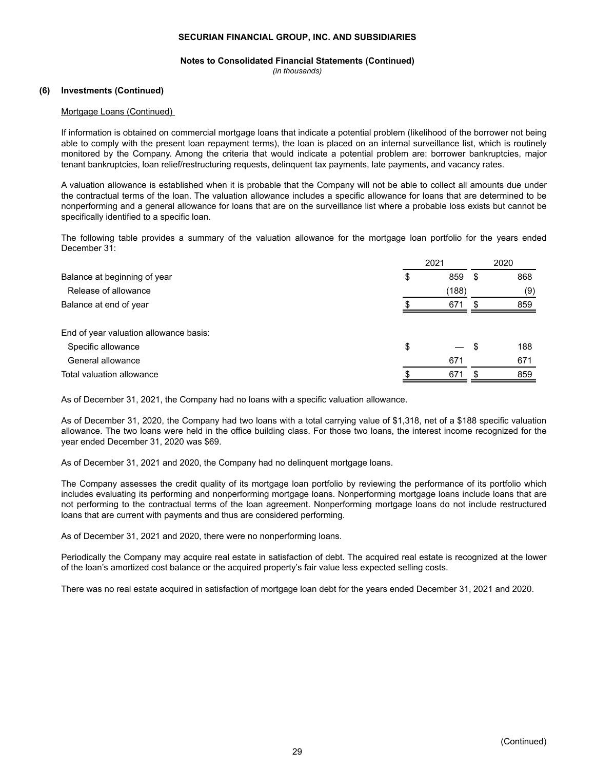# **Notes to Consolidated Financial Statements (Continued)**

*(in thousands)*

# **(6) Investments (Continued)**

Mortgage Loans (Continued)

If information is obtained on commercial mortgage loans that indicate a potential problem (likelihood of the borrower not being able to comply with the present loan repayment terms), the loan is placed on an internal surveillance list, which is routinely monitored by the Company. Among the criteria that would indicate a potential problem are: borrower bankruptcies, major tenant bankruptcies, loan relief/restructuring requests, delinquent tax payments, late payments, and vacancy rates.

A valuation allowance is established when it is probable that the Company will not be able to collect all amounts due under the contractual terms of the loan. The valuation allowance includes a specific allowance for loans that are determined to be nonperforming and a general allowance for loans that are on the surveillance list where a probable loss exists but cannot be specifically identified to a specific loan.

The following table provides a summary of the valuation allowance for the mortgage loan portfolio for the years ended December 31:

|                                        | 2021 |                          |      | 2020 |
|----------------------------------------|------|--------------------------|------|------|
| Balance at beginning of year           | \$   | 859                      | \$   | 868  |
| Release of allowance                   |      | (188)                    |      | (9)  |
| Balance at end of year                 |      | 671                      | æ.   | 859  |
|                                        |      |                          |      |      |
| End of year valuation allowance basis: |      |                          |      |      |
| Specific allowance                     | \$   | $\overline{\phantom{0}}$ | - \$ | 188  |
| General allowance                      |      | 671                      |      | 671  |
| Total valuation allowance              |      | 671                      |      | 859  |

As of December 31, 2021, the Company had no loans with a specific valuation allowance.

As of December 31, 2020, the Company had two loans with a total carrying value of \$1,318, net of a \$188 specific valuation allowance. The two loans were held in the office building class. For those two loans, the interest income recognized for the year ended December 31, 2020 was \$69.

As of December 31, 2021 and 2020, the Company had no delinquent mortgage loans.

The Company assesses the credit quality of its mortgage loan portfolio by reviewing the performance of its portfolio which includes evaluating its performing and nonperforming mortgage loans. Nonperforming mortgage loans include loans that are not performing to the contractual terms of the loan agreement. Nonperforming mortgage loans do not include restructured loans that are current with payments and thus are considered performing.

As of December 31, 2021 and 2020, there were no nonperforming loans.

Periodically the Company may acquire real estate in satisfaction of debt. The acquired real estate is recognized at the lower of the loan's amortized cost balance or the acquired property's fair value less expected selling costs.

There was no real estate acquired in satisfaction of mortgage loan debt for the years ended December 31, 2021 and 2020.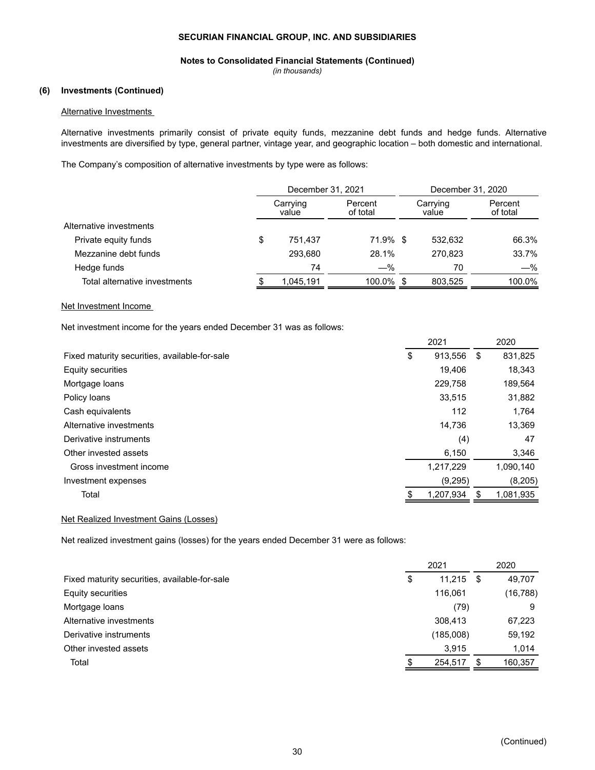## **Notes to Consolidated Financial Statements (Continued)**

*(in thousands)*

# **(6) Investments (Continued)**

#### Alternative Investments

Alternative investments primarily consist of private equity funds, mezzanine debt funds and hedge funds. Alternative investments are diversified by type, general partner, vintage year, and geographic location – both domestic and international.

The Company's composition of alternative investments by type were as follows:

|                               | December 31, 2021 |                     | December 31, 2020 |                   |                     |  |  |  |
|-------------------------------|-------------------|---------------------|-------------------|-------------------|---------------------|--|--|--|
|                               | Carrying<br>value | Percent<br>of total |                   | Carrying<br>value | Percent<br>of total |  |  |  |
| Alternative investments       |                   |                     |                   |                   |                     |  |  |  |
| Private equity funds          | \$<br>751.437     | 71.9% \$            |                   | 532.632           | 66.3%               |  |  |  |
| Mezzanine debt funds          | 293,680           | 28.1%               |                   | 270.823           | 33.7%               |  |  |  |
| Hedge funds                   | 74                | $-\%$               |                   | 70                | $-\%$               |  |  |  |
| Total alternative investments | 1,045,191         | 100.0%              | £.                | 803.525           | 100.0%              |  |  |  |

# Net Investment Income

Net investment income for the years ended December 31 was as follows:

|                                               | 2021 |           |    | 2020      |  |
|-----------------------------------------------|------|-----------|----|-----------|--|
| Fixed maturity securities, available-for-sale | \$   | 913,556   | \$ | 831,825   |  |
| Equity securities                             |      | 19.406    |    | 18,343    |  |
| Mortgage loans                                |      | 229,758   |    | 189,564   |  |
| Policy loans                                  |      | 33.515    |    | 31,882    |  |
| Cash equivalents                              |      | 112       |    | 1,764     |  |
| Alternative investments                       |      | 14,736    |    | 13,369    |  |
| Derivative instruments                        |      | (4)       |    | 47        |  |
| Other invested assets                         |      | 6,150     |    | 3,346     |  |
| Gross investment income                       |      | 1,217,229 |    | 1,090,140 |  |
| Investment expenses                           |      | (9,295)   |    | (8,205)   |  |
| Total                                         |      | 1,207,934 | Ъ  | 1,081,935 |  |

# Net Realized Investment Gains (Losses)

Net realized investment gains (losses) for the years ended December 31 were as follows:

|                                               | 2021 |           |      | 2020      |  |
|-----------------------------------------------|------|-----------|------|-----------|--|
| Fixed maturity securities, available-for-sale | \$   | 11.215    | - \$ | 49,707    |  |
| <b>Equity securities</b>                      |      | 116.061   |      | (16, 788) |  |
| Mortgage loans                                |      | (79)      |      | 9         |  |
| Alternative investments                       |      | 308,413   |      | 67,223    |  |
| Derivative instruments                        |      | (185,008) |      | 59,192    |  |
| Other invested assets                         |      | 3.915     |      | 1,014     |  |
| Total                                         |      | 254,517   |      | 160,357   |  |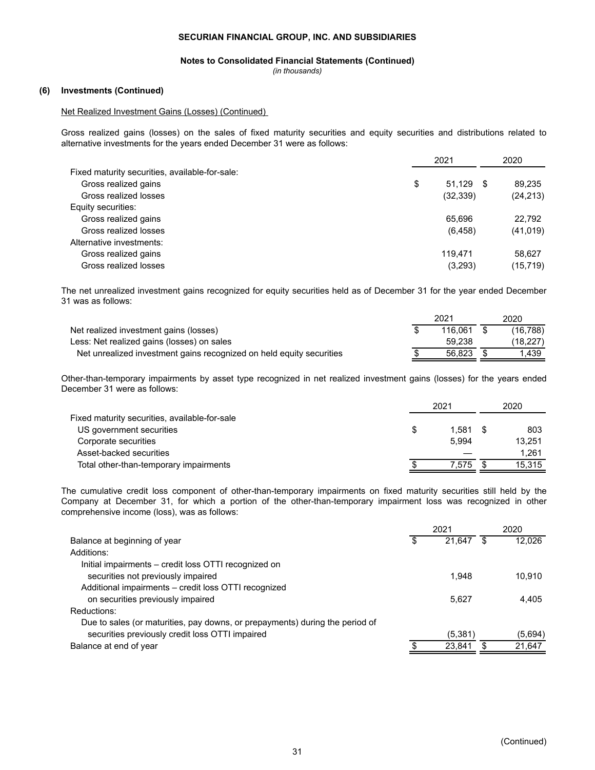#### **Notes to Consolidated Financial Statements (Continued)**

*(in thousands)*

# **(6) Investments (Continued)**

# Net Realized Investment Gains (Losses) (Continued)

Gross realized gains (losses) on the sales of fixed maturity securities and equity securities and distributions related to alternative investments for the years ended December 31 were as follows:

|    |           |      | 2020        |  |
|----|-----------|------|-------------|--|
|    |           |      |             |  |
| \$ |           |      | 89,235      |  |
|    | (32, 339) |      | (24, 213)   |  |
|    |           |      |             |  |
|    | 65.696    |      | 22,792      |  |
|    | (6, 458)  |      | (41, 019)   |  |
|    |           |      |             |  |
|    | 119.471   |      | 58.627      |  |
|    | (3,293)   |      | (15, 719)   |  |
|    |           | 2021 | $51,129$ \$ |  |

The net unrealized investment gains recognized for equity securities held as of December 31 for the year ended December 31 was as follows:

|                                                                      | 2021    | 2020     |
|----------------------------------------------------------------------|---------|----------|
| Net realized investment gains (losses)                               | 116.061 | (16.788) |
| Less: Net realized gains (losses) on sales                           | 59.238  | (18,227) |
| Net unrealized investment gains recognized on held equity securities | 56.823  | .439     |

Other-than-temporary impairments by asset type recognized in net realized investment gains (losses) for the years ended December 31 were as follows:

|                                               | 2021        | 2020   |
|-----------------------------------------------|-------------|--------|
| Fixed maturity securities, available-for-sale |             |        |
| US government securities                      | \$<br>1.581 | 803    |
| Corporate securities                          | 5.994       | 13,251 |
| Asset-backed securities                       |             | 1.261  |
| Total other-than-temporary impairments        | 7.575       | 15,315 |

The cumulative credit loss component of other-than-temporary impairments on fixed maturity securities still held by the Company at December 31, for which a portion of the other-than-temporary impairment loss was recognized in other comprehensive income (loss), was as follows:

|                                                                              | 2021 |         | 2020    |
|------------------------------------------------------------------------------|------|---------|---------|
| Balance at beginning of year                                                 |      | 21.647  | 12.026  |
| Additions:                                                                   |      |         |         |
| Initial impairments – credit loss OTTI recognized on                         |      |         |         |
| securities not previously impaired                                           |      | 1.948   | 10.910  |
| Additional impairments - credit loss OTTI recognized                         |      |         |         |
| on securities previously impaired                                            |      | 5.627   | 4.405   |
| Reductions:                                                                  |      |         |         |
| Due to sales (or maturities, pay downs, or prepayments) during the period of |      |         |         |
| securities previously credit loss OTTI impaired                              |      | (5,381) | (5,694) |
| Balance at end of year                                                       |      | 23,841  | 21,647  |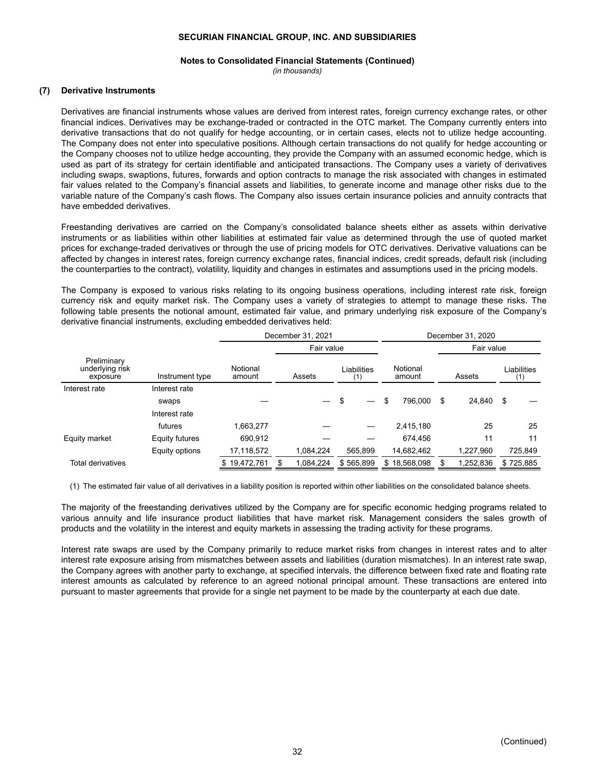## **Notes to Consolidated Financial Statements (Continued)**

*(in thousands)*

# **(7) Derivative Instruments**

Derivatives are financial instruments whose values are derived from interest rates, foreign currency exchange rates, or other financial indices. Derivatives may be exchange-traded or contracted in the OTC market. The Company currently enters into derivative transactions that do not qualify for hedge accounting, or in certain cases, elects not to utilize hedge accounting. The Company does not enter into speculative positions. Although certain transactions do not qualify for hedge accounting or the Company chooses not to utilize hedge accounting, they provide the Company with an assumed economic hedge, which is used as part of its strategy for certain identifiable and anticipated transactions. The Company uses a variety of derivatives including swaps, swaptions, futures, forwards and option contracts to manage the risk associated with changes in estimated fair values related to the Company's financial assets and liabilities, to generate income and manage other risks due to the variable nature of the Company's cash flows. The Company also issues certain insurance policies and annuity contracts that have embedded derivatives.

Freestanding derivatives are carried on the Company's consolidated balance sheets either as assets within derivative instruments or as liabilities within other liabilities at estimated fair value as determined through the use of quoted market prices for exchange-traded derivatives or through the use of pricing models for OTC derivatives. Derivative valuations can be affected by changes in interest rates, foreign currency exchange rates, financial indices, credit spreads, default risk (including the counterparties to the contract), volatility, liquidity and changes in estimates and assumptions used in the pricing models.

The Company is exposed to various risks relating to its ongoing business operations, including interest rate risk, foreign currency risk and equity market risk. The Company uses a variety of strategies to attempt to manage these risks. The following table presents the notional amount, estimated fair value, and primary underlying risk exposure of the Company's derivative financial instruments, excluding embedded derivatives held:

|                                            |                 |                    | December 31, 2021                                  |            |           |    |            |    | December 31, 2020 |    |           |  |  |  |  |  |  |  |        |                    |  |
|--------------------------------------------|-----------------|--------------------|----------------------------------------------------|------------|-----------|----|------------|----|-------------------|----|-----------|--|--|--|--|--|--|--|--------|--------------------|--|
|                                            |                 |                    |                                                    | Fair value |           |    |            |    | Fair value        |    |           |  |  |  |  |  |  |  |        |                    |  |
| Preliminary<br>underlying risk<br>exposure | Instrument type | Notional<br>amount | Notional<br>Liabilities<br>Assets<br>amount<br>(1) |            |           |    |            |    |                   |    |           |  |  |  |  |  |  |  | Assets | Liabilities<br>(1) |  |
| Interest rate                              | Interest rate   |                    |                                                    |            |           |    |            |    |                   |    |           |  |  |  |  |  |  |  |        |                    |  |
|                                            | swaps           |                    |                                                    |            | \$        | \$ | 796.000    | \$ | 24,840            | \$ |           |  |  |  |  |  |  |  |        |                    |  |
|                                            | Interest rate   |                    |                                                    |            |           |    |            |    |                   |    |           |  |  |  |  |  |  |  |        |                    |  |
|                                            | futures         | 1,663,277          |                                                    |            |           |    | 2,415,180  |    | 25                |    | 25        |  |  |  |  |  |  |  |        |                    |  |
| Equity market                              | Equity futures  | 690.912            |                                                    |            |           |    | 674.456    |    | 11                |    | 11        |  |  |  |  |  |  |  |        |                    |  |
|                                            | Equity options  | 17,118,572         |                                                    | 1,084,224  | 565.899   |    | 14,682,462 |    | 1,227,960         |    | 725,849   |  |  |  |  |  |  |  |        |                    |  |
| Total derivatives                          |                 | \$19,472,761       | \$                                                 | 1.084.224  | \$565.899 | S. | 18,568,098 |    | 1.252.836         |    | \$725.885 |  |  |  |  |  |  |  |        |                    |  |

(1) The estimated fair value of all derivatives in a liability position is reported within other liabilities on the consolidated balance sheets.

The majority of the freestanding derivatives utilized by the Company are for specific economic hedging programs related to various annuity and life insurance product liabilities that have market risk. Management considers the sales growth of products and the volatility in the interest and equity markets in assessing the trading activity for these programs.

Interest rate swaps are used by the Company primarily to reduce market risks from changes in interest rates and to alter interest rate exposure arising from mismatches between assets and liabilities (duration mismatches). In an interest rate swap, the Company agrees with another party to exchange, at specified intervals, the difference between fixed rate and floating rate interest amounts as calculated by reference to an agreed notional principal amount. These transactions are entered into pursuant to master agreements that provide for a single net payment to be made by the counterparty at each due date.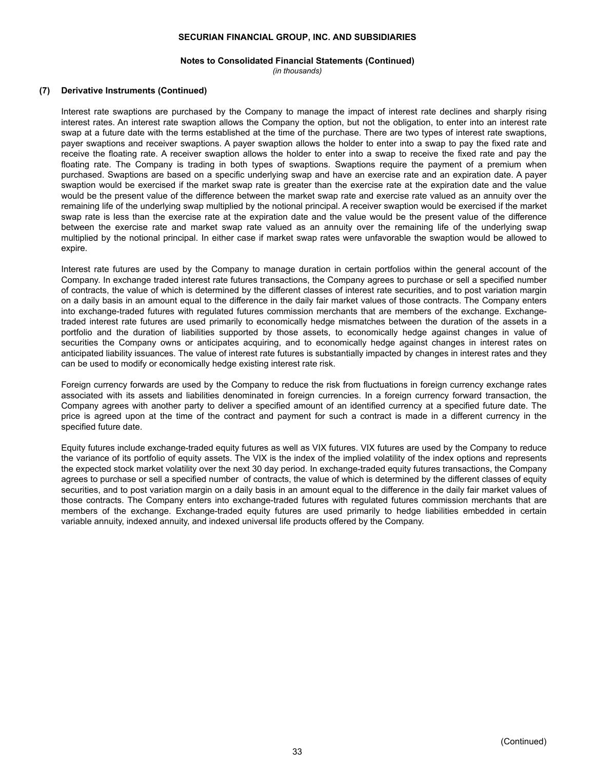### **Notes to Consolidated Financial Statements (Continued)**

*(in thousands)*

## **(7) Derivative Instruments (Continued)**

Interest rate swaptions are purchased by the Company to manage the impact of interest rate declines and sharply rising interest rates. An interest rate swaption allows the Company the option, but not the obligation, to enter into an interest rate swap at a future date with the terms established at the time of the purchase. There are two types of interest rate swaptions, payer swaptions and receiver swaptions. A payer swaption allows the holder to enter into a swap to pay the fixed rate and receive the floating rate. A receiver swaption allows the holder to enter into a swap to receive the fixed rate and pay the floating rate. The Company is trading in both types of swaptions. Swaptions require the payment of a premium when purchased. Swaptions are based on a specific underlying swap and have an exercise rate and an expiration date. A payer swaption would be exercised if the market swap rate is greater than the exercise rate at the expiration date and the value would be the present value of the difference between the market swap rate and exercise rate valued as an annuity over the remaining life of the underlying swap multiplied by the notional principal. A receiver swaption would be exercised if the market swap rate is less than the exercise rate at the expiration date and the value would be the present value of the difference between the exercise rate and market swap rate valued as an annuity over the remaining life of the underlying swap multiplied by the notional principal. In either case if market swap rates were unfavorable the swaption would be allowed to expire.

Interest rate futures are used by the Company to manage duration in certain portfolios within the general account of the Company. In exchange traded interest rate futures transactions, the Company agrees to purchase or sell a specified number of contracts, the value of which is determined by the different classes of interest rate securities, and to post variation margin on a daily basis in an amount equal to the difference in the daily fair market values of those contracts. The Company enters into exchange-traded futures with regulated futures commission merchants that are members of the exchange. Exchangetraded interest rate futures are used primarily to economically hedge mismatches between the duration of the assets in a portfolio and the duration of liabilities supported by those assets, to economically hedge against changes in value of securities the Company owns or anticipates acquiring, and to economically hedge against changes in interest rates on anticipated liability issuances. The value of interest rate futures is substantially impacted by changes in interest rates and they can be used to modify or economically hedge existing interest rate risk.

Foreign currency forwards are used by the Company to reduce the risk from fluctuations in foreign currency exchange rates associated with its assets and liabilities denominated in foreign currencies. In a foreign currency forward transaction, the Company agrees with another party to deliver a specified amount of an identified currency at a specified future date. The price is agreed upon at the time of the contract and payment for such a contract is made in a different currency in the specified future date.

Equity futures include exchange-traded equity futures as well as VIX futures. VIX futures are used by the Company to reduce the variance of its portfolio of equity assets. The VIX is the index of the implied volatility of the index options and represents the expected stock market volatility over the next 30 day period. In exchange-traded equity futures transactions, the Company agrees to purchase or sell a specified number of contracts, the value of which is determined by the different classes of equity securities, and to post variation margin on a daily basis in an amount equal to the difference in the daily fair market values of those contracts. The Company enters into exchange-traded futures with regulated futures commission merchants that are members of the exchange. Exchange-traded equity futures are used primarily to hedge liabilities embedded in certain variable annuity, indexed annuity, and indexed universal life products offered by the Company.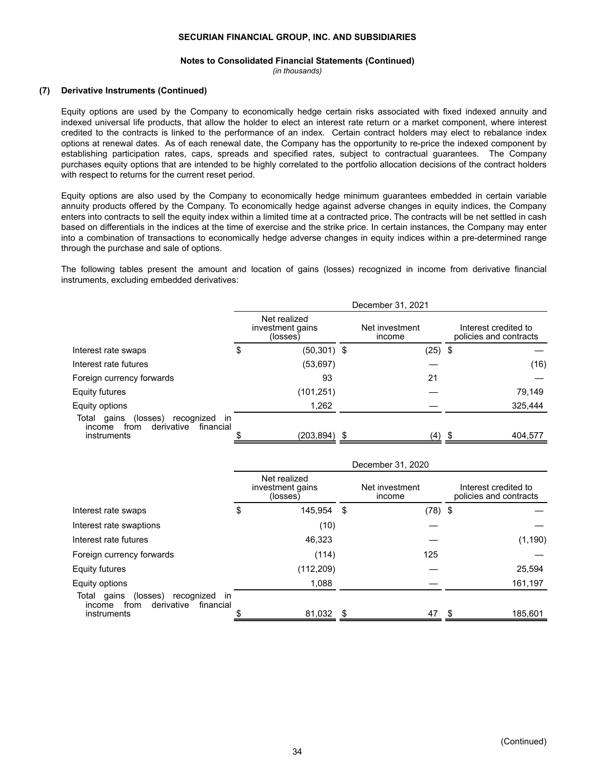#### **Notes to Consolidated Financial Statements (Continued)**

*(in thousands)*

## **(7) Derivative Instruments (Continued)**

Equity options are used by the Company to economically hedge certain risks associated with fixed indexed annuity and indexed universal life products, that allow the holder to elect an interest rate return or a market component, where interest credited to the contracts is linked to the performance of an index. Certain contract holders may elect to rebalance index options at renewal dates. As of each renewal date, the Company has the opportunity to re-price the indexed component by establishing participation rates, caps, spreads and specified rates, subject to contractual guarantees. The Company purchases equity options that are intended to be highly correlated to the portfolio allocation decisions of the contract holders with respect to returns for the current reset period.

Equity options are also used by the Company to economically hedge minimum guarantees embedded in certain variable annuity products offered by the Company. To economically hedge against adverse changes in equity indices, the Company enters into contracts to sell the equity index within a limited time at a contracted price. The contracts will be net settled in cash based on differentials in the indices at the time of exercise and the strike price. In certain instances, the Company may enter into a combination of transactions to economically hedge adverse changes in equity indices within a pre-determined range through the purchase and sale of options.

The following tables present the amount and location of gains (losses) recognized in income from derivative financial instruments, excluding embedded derivatives:

|                                                                                                      |    | December 31, 2021                            |  |                          |                                                |         |  |  |  |  |
|------------------------------------------------------------------------------------------------------|----|----------------------------------------------|--|--------------------------|------------------------------------------------|---------|--|--|--|--|
|                                                                                                      |    | Net realized<br>investment gains<br>(losses) |  | Net investment<br>income | Interest credited to<br>policies and contracts |         |  |  |  |  |
| Interest rate swaps                                                                                  | \$ | $(50,301)$ \$                                |  | (25) \$                  |                                                |         |  |  |  |  |
| Interest rate futures                                                                                |    | (53, 697)                                    |  |                          |                                                | (16)    |  |  |  |  |
| Foreign currency forwards                                                                            |    | 93                                           |  | 21                       |                                                |         |  |  |  |  |
| <b>Equity futures</b>                                                                                |    | (101, 251)                                   |  |                          |                                                | 79,149  |  |  |  |  |
| Equity options                                                                                       |    | 1,262                                        |  |                          |                                                | 325,444 |  |  |  |  |
| Total gains<br>recognized in<br>(losses)<br>derivative<br>financial<br>from<br>income<br>instruments |    | (203,894) \$                                 |  | (4)                      |                                                | 404,577 |  |  |  |  |

|                                                                                                         |    |                                              |      | December 31, 2020        |                                                |
|---------------------------------------------------------------------------------------------------------|----|----------------------------------------------|------|--------------------------|------------------------------------------------|
|                                                                                                         |    | Net realized<br>investment gains<br>(losses) |      | Net investment<br>income | Interest credited to<br>policies and contracts |
| Interest rate swaps                                                                                     | \$ | 145,954                                      | - \$ | $(78)$ \$                |                                                |
| Interest rate swaptions                                                                                 |    | (10)                                         |      |                          |                                                |
| Interest rate futures                                                                                   |    | 46,323                                       |      |                          | (1, 190)                                       |
| Foreign currency forwards                                                                               |    | (114)                                        |      | 125                      |                                                |
| Equity futures                                                                                          |    | (112,209)                                    |      |                          | 25,594                                         |
| Equity options                                                                                          |    | 1,088                                        |      |                          | 161,197                                        |
| in<br>(losses)<br>recognized<br>Total gains<br>from<br>derivative<br>financial<br>income<br>instruments |    | 81,032 \$                                    |      | 47                       | 185,601                                        |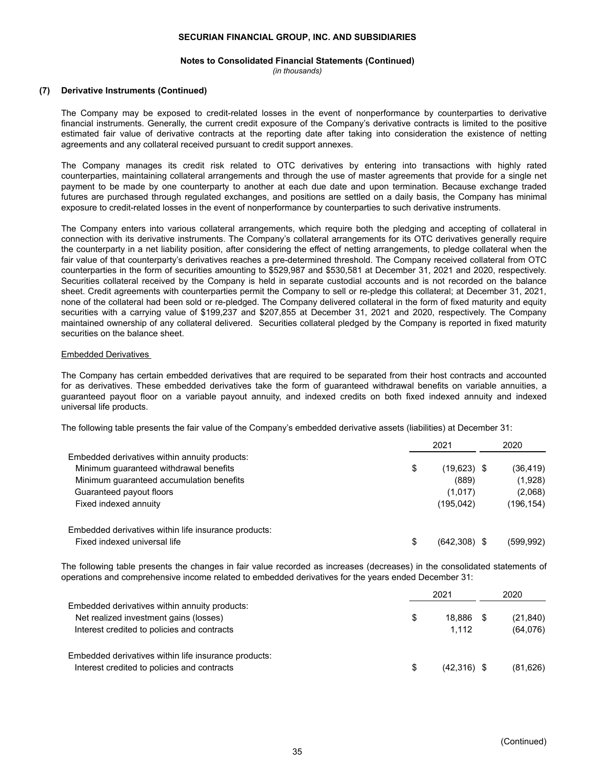## **Notes to Consolidated Financial Statements (Continued)**

*(in thousands)*

#### **(7) Derivative Instruments (Continued)**

The Company may be exposed to credit-related losses in the event of nonperformance by counterparties to derivative financial instruments. Generally, the current credit exposure of the Company's derivative contracts is limited to the positive estimated fair value of derivative contracts at the reporting date after taking into consideration the existence of netting agreements and any collateral received pursuant to credit support annexes.

The Company manages its credit risk related to OTC derivatives by entering into transactions with highly rated counterparties, maintaining collateral arrangements and through the use of master agreements that provide for a single net payment to be made by one counterparty to another at each due date and upon termination. Because exchange traded futures are purchased through regulated exchanges, and positions are settled on a daily basis, the Company has minimal exposure to credit-related losses in the event of nonperformance by counterparties to such derivative instruments.

The Company enters into various collateral arrangements, which require both the pledging and accepting of collateral in connection with its derivative instruments. The Company's collateral arrangements for its OTC derivatives generally require the counterparty in a net liability position, after considering the effect of netting arrangements, to pledge collateral when the fair value of that counterparty's derivatives reaches a pre-determined threshold. The Company received collateral from OTC counterparties in the form of securities amounting to \$529,987 and \$530,581 at December 31, 2021 and 2020, respectively. Securities collateral received by the Company is held in separate custodial accounts and is not recorded on the balance sheet. Credit agreements with counterparties permit the Company to sell or re-pledge this collateral; at December 31, 2021, none of the collateral had been sold or re-pledged. The Company delivered collateral in the form of fixed maturity and equity securities with a carrying value of \$199,237 and \$207,855 at December 31, 2021 and 2020, respectively. The Company maintained ownership of any collateral delivered. Securities collateral pledged by the Company is reported in fixed maturity securities on the balance sheet.

### Embedded Derivatives

The Company has certain embedded derivatives that are required to be separated from their host contracts and accounted for as derivatives. These embedded derivatives take the form of guaranteed withdrawal benefits on variable annuities, a guaranteed payout floor on a variable payout annuity, and indexed credits on both fixed indexed annuity and indexed universal life products.

The following table presents the fair value of the Company's embedded derivative assets (liabilities) at December 31:

|                                                      | 2021 |                |  | 2020       |  |  |
|------------------------------------------------------|------|----------------|--|------------|--|--|
| Embedded derivatives within annuity products:        |      |                |  |            |  |  |
| Minimum quaranteed withdrawal benefits               | \$   | $(19,623)$ \$  |  | (36, 419)  |  |  |
| Minimum quaranteed accumulation benefits             |      | (889)          |  | (1,928)    |  |  |
| Guaranteed payout floors                             |      | (1,017)        |  | (2,068)    |  |  |
| Fixed indexed annuity                                |      | (195, 042)     |  | (196, 154) |  |  |
| Embedded derivatives within life insurance products: |      |                |  |            |  |  |
| Fixed indexed universal life                         | \$   | $(642,308)$ \$ |  | (599.992)  |  |  |

The following table presents the changes in fair value recorded as increases (decreases) in the consolidated statements of operations and comprehensive income related to embedded derivatives for the years ended December 31:

|                                                                                                                                                                                                                                               | 2021                  | 2020                   |
|-----------------------------------------------------------------------------------------------------------------------------------------------------------------------------------------------------------------------------------------------|-----------------------|------------------------|
| Embedded derivatives within annuity products:<br>Net realized investment gains (losses)<br>Interest credited to policies and contracts<br>Embedded derivatives within life insurance products:<br>Interest credited to policies and contracts | \$<br>18.886<br>1.112 | (21, 840)<br>(64, 076) |
|                                                                                                                                                                                                                                               | \$<br>$(42,316)$ \$   | (81, 626)              |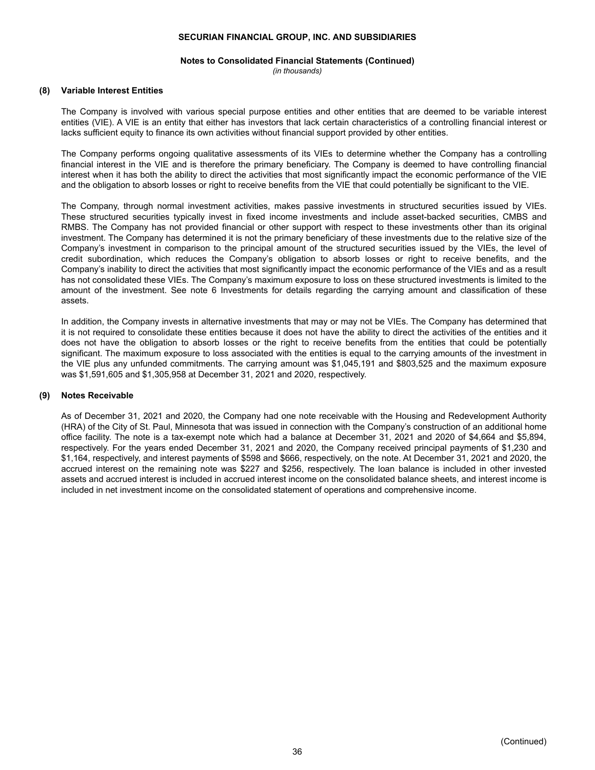## **Notes to Consolidated Financial Statements (Continued)**

*(in thousands)*

# **(8) Variable Interest Entities**

The Company is involved with various special purpose entities and other entities that are deemed to be variable interest entities (VIE). A VIE is an entity that either has investors that lack certain characteristics of a controlling financial interest or lacks sufficient equity to finance its own activities without financial support provided by other entities.

The Company performs ongoing qualitative assessments of its VIEs to determine whether the Company has a controlling financial interest in the VIE and is therefore the primary beneficiary. The Company is deemed to have controlling financial interest when it has both the ability to direct the activities that most significantly impact the economic performance of the VIE and the obligation to absorb losses or right to receive benefits from the VIE that could potentially be significant to the VIE.

The Company, through normal investment activities, makes passive investments in structured securities issued by VIEs. These structured securities typically invest in fixed income investments and include asset-backed securities, CMBS and RMBS. The Company has not provided financial or other support with respect to these investments other than its original investment. The Company has determined it is not the primary beneficiary of these investments due to the relative size of the Company's investment in comparison to the principal amount of the structured securities issued by the VIEs, the level of credit subordination, which reduces the Company's obligation to absorb losses or right to receive benefits, and the Company's inability to direct the activities that most significantly impact the economic performance of the VIEs and as a result has not consolidated these VIEs. The Company's maximum exposure to loss on these structured investments is limited to the amount of the investment. See note 6 Investments for details regarding the carrying amount and classification of these assets.

In addition, the Company invests in alternative investments that may or may not be VIEs. The Company has determined that it is not required to consolidate these entities because it does not have the ability to direct the activities of the entities and it does not have the obligation to absorb losses or the right to receive benefits from the entities that could be potentially significant. The maximum exposure to loss associated with the entities is equal to the carrying amounts of the investment in the VIE plus any unfunded commitments. The carrying amount was \$1,045,191 and \$803,525 and the maximum exposure was \$1,591,605 and \$1,305,958 at December 31, 2021 and 2020, respectively.

#### **(9) Notes Receivable**

As of December 31, 2021 and 2020, the Company had one note receivable with the Housing and Redevelopment Authority (HRA) of the City of St. Paul, Minnesota that was issued in connection with the Company's construction of an additional home office facility. The note is a tax-exempt note which had a balance at December 31, 2021 and 2020 of \$4,664 and \$5,894, respectively. For the years ended December 31, 2021 and 2020, the Company received principal payments of \$1,230 and \$1,164, respectively, and interest payments of \$598 and \$666, respectively, on the note. At December 31, 2021 and 2020, the accrued interest on the remaining note was \$227 and \$256, respectively. The loan balance is included in other invested assets and accrued interest is included in accrued interest income on the consolidated balance sheets, and interest income is included in net investment income on the consolidated statement of operations and comprehensive income.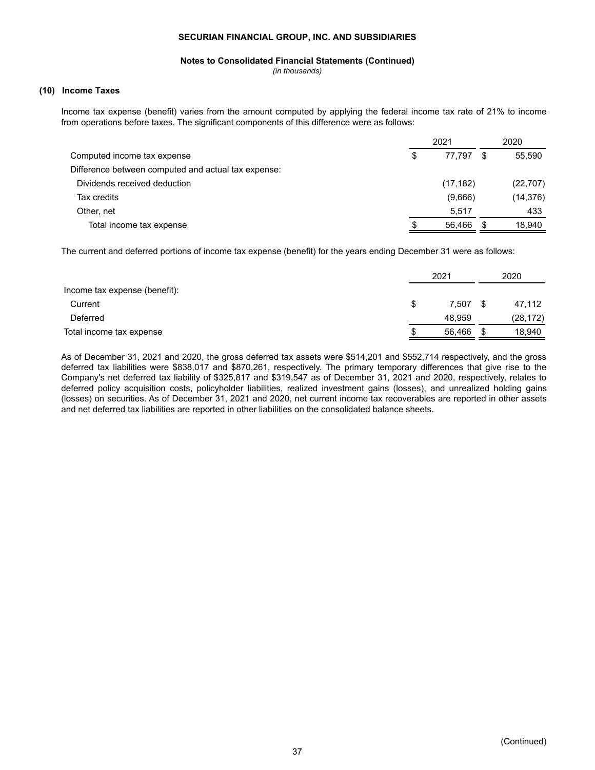#### **Notes to Consolidated Financial Statements (Continued)**

*(in thousands)*

# **(10) Income Taxes**

Income tax expense (benefit) varies from the amount computed by applying the federal income tax rate of 21% to income from operations before taxes. The significant components of this difference were as follows:

|                                                     | 2021         | 2020      |
|-----------------------------------------------------|--------------|-----------|
| Computed income tax expense                         | \$<br>77.797 | 55.590    |
| Difference between computed and actual tax expense: |              |           |
| Dividends received deduction                        | (17, 182)    | (22, 707) |
| Tax credits                                         | (9,666)      | (14, 376) |
| Other, net                                          | 5.517        | 433       |
| Total income tax expense                            | 56,466       | 18,940    |

The current and deferred portions of income tax expense (benefit) for the years ending December 31 were as follows:

|                               |    | 2021   | 2020     |
|-------------------------------|----|--------|----------|
| Income tax expense (benefit): |    |        |          |
| Current                       | \$ | 7.507  | 47,112   |
| Deferred                      |    | 48.959 | (28,172) |
| Total income tax expense      | S  | 56.466 | 18.940   |

As of December 31, 2021 and 2020, the gross deferred tax assets were \$514,201 and \$552,714 respectively, and the gross deferred tax liabilities were \$838,017 and \$870,261, respectively. The primary temporary differences that give rise to the Company's net deferred tax liability of \$325,817 and \$319,547 as of December 31, 2021 and 2020, respectively, relates to deferred policy acquisition costs, policyholder liabilities, realized investment gains (losses), and unrealized holding gains (losses) on securities. As of December 31, 2021 and 2020, net current income tax recoverables are reported in other assets and net deferred tax liabilities are reported in other liabilities on the consolidated balance sheets.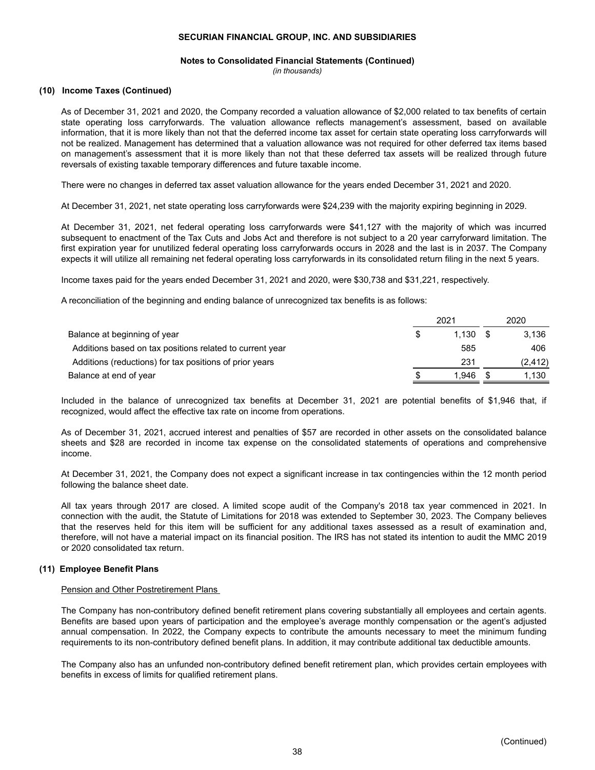# **Notes to Consolidated Financial Statements (Continued)**

*(in thousands)*

## **(10) Income Taxes (Continued)**

As of December 31, 2021 and 2020, the Company recorded a valuation allowance of \$2,000 related to tax benefits of certain state operating loss carryforwards. The valuation allowance reflects management's assessment, based on available information, that it is more likely than not that the deferred income tax asset for certain state operating loss carryforwards will not be realized. Management has determined that a valuation allowance was not required for other deferred tax items based on management's assessment that it is more likely than not that these deferred tax assets will be realized through future reversals of existing taxable temporary differences and future taxable income.

There were no changes in deferred tax asset valuation allowance for the years ended December 31, 2021 and 2020.

At December 31, 2021, net state operating loss carryforwards were \$24,239 with the majority expiring beginning in 2029.

At December 31, 2021, net federal operating loss carryforwards were \$41,127 with the majority of which was incurred subsequent to enactment of the Tax Cuts and Jobs Act and therefore is not subject to a 20 year carryforward limitation. The first expiration year for unutilized federal operating loss carryforwards occurs in 2028 and the last is in 2037. The Company expects it will utilize all remaining net federal operating loss carryforwards in its consolidated return filing in the next 5 years.

Income taxes paid for the years ended December 31, 2021 and 2020, were \$30,738 and \$31,221, respectively.

A reconciliation of the beginning and ending balance of unrecognized tax benefits is as follows:

|                                                          | 2021        | 2020     |
|----------------------------------------------------------|-------------|----------|
| Balance at beginning of year                             | \$<br>1.130 | 3.136    |
| Additions based on tax positions related to current year | 585         | 406      |
| Additions (reductions) for tax positions of prior years  | 231         | (2, 412) |
| Balance at end of year                                   | 1.946       | 1,130    |

Included in the balance of unrecognized tax benefits at December 31, 2021 are potential benefits of \$1,946 that, if recognized, would affect the effective tax rate on income from operations.

As of December 31, 2021, accrued interest and penalties of \$57 are recorded in other assets on the consolidated balance sheets and \$28 are recorded in income tax expense on the consolidated statements of operations and comprehensive income.

At December 31, 2021, the Company does not expect a significant increase in tax contingencies within the 12 month period following the balance sheet date.

All tax years through 2017 are closed. A limited scope audit of the Company's 2018 tax year commenced in 2021. In connection with the audit, the Statute of Limitations for 2018 was extended to September 30, 2023. The Company believes that the reserves held for this item will be sufficient for any additional taxes assessed as a result of examination and, therefore, will not have a material impact on its financial position. The IRS has not stated its intention to audit the MMC 2019 or 2020 consolidated tax return.

# **(11) Employee Benefit Plans**

#### Pension and Other Postretirement Plans

The Company has non-contributory defined benefit retirement plans covering substantially all employees and certain agents. Benefits are based upon years of participation and the employee's average monthly compensation or the agent's adjusted annual compensation. In 2022, the Company expects to contribute the amounts necessary to meet the minimum funding requirements to its non-contributory defined benefit plans. In addition, it may contribute additional tax deductible amounts.

The Company also has an unfunded non-contributory defined benefit retirement plan, which provides certain employees with benefits in excess of limits for qualified retirement plans.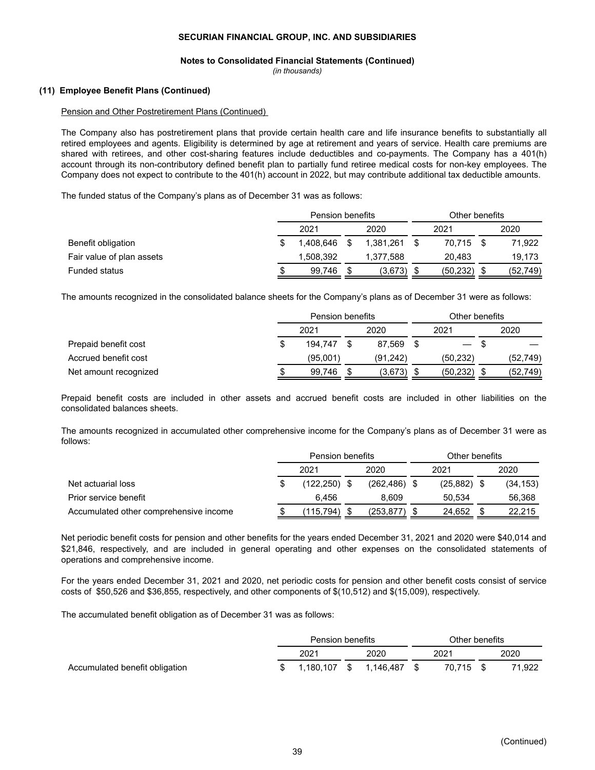### **Notes to Consolidated Financial Statements (Continued)**

*(in thousands)*

## **(11) Employee Benefit Plans (Continued)**

#### Pension and Other Postretirement Plans (Continued)

The Company also has postretirement plans that provide certain health care and life insurance benefits to substantially all retired employees and agents. Eligibility is determined by age at retirement and years of service. Health care premiums are shared with retirees, and other cost-sharing features include deductibles and co-payments. The Company has a 401(h) account through its non-contributory defined benefit plan to partially fund retiree medical costs for non-key employees. The Company does not expect to contribute to the 401(h) account in 2022, but may contribute additional tax deductible amounts.

The funded status of the Company's plans as of December 31 was as follows:

|                           | <b>Pension benefits</b> |           |  |           |           | Other benefits |  |  |
|---------------------------|-------------------------|-----------|--|-----------|-----------|----------------|--|--|
|                           |                         | 2021      |  | 2020      | 2021      | 2020           |  |  |
| Benefit obligation        |                         | 1.408.646 |  | 1.381.261 | 70.715    | 71.922         |  |  |
| Fair value of plan assets |                         | 1,508,392 |  | 1.377.588 | 20.483    | 19.173         |  |  |
| <b>Funded status</b>      |                         | 99.746    |  | (3,673)   | (50, 232) | (52, 749)      |  |  |

The amounts recognized in the consolidated balance sheets for the Company's plans as of December 31 were as follows:

|                       | Pension benefits |  |          |  | Other benefits |      |           |
|-----------------------|------------------|--|----------|--|----------------|------|-----------|
|                       | 2021             |  | 2020     |  | 2021           |      | 2020      |
| Prepaid benefit cost  | 194.747          |  | 87.569   |  | $\frac{1}{2}$  | - SS |           |
| Accrued benefit cost  | (95,001)         |  | (91.242) |  | (50, 232)      |      | (52,749)  |
| Net amount recognized | 99.746           |  | (3,673)  |  | (50, 232)      |      | (52, 749) |

Prepaid benefit costs are included in other assets and accrued benefit costs are included in other liabilities on the consolidated balances sheets.

The amounts recognized in accumulated other comprehensive income for the Company's plans as of December 31 were as follows:

|                                        | Pension benefits |  |                |  | Other benefits |  |           |  |
|----------------------------------------|------------------|--|----------------|--|----------------|--|-----------|--|
|                                        | 2021             |  | 2020           |  | 2021           |  | 2020      |  |
| Net actuarial loss                     | $(122.250)$ \$   |  | $(262.486)$ \$ |  | (25, 882)      |  | (34, 153) |  |
| Prior service benefit                  | 6.456            |  | 8.609          |  | 50.534         |  | 56,368    |  |
| Accumulated other comprehensive income | 115,794)         |  | (253,877)      |  | 24,652         |  | 22.215    |  |

Net periodic benefit costs for pension and other benefits for the years ended December 31, 2021 and 2020 were \$40,014 and \$21,846, respectively, and are included in general operating and other expenses on the consolidated statements of operations and comprehensive income.

For the years ended December 31, 2021 and 2020, net periodic costs for pension and other benefit costs consist of service costs of \$50,526 and \$36,855, respectively, and other components of \$(10,512) and \$(15,009), respectively.

The accumulated benefit obligation as of December 31 was as follows:

|                                | <b>Pension benefits</b> |                        |  | Other benefits |  |           |      |        |
|--------------------------------|-------------------------|------------------------|--|----------------|--|-----------|------|--------|
|                                |                         | 2021                   |  | 2020           |  | 2021      | 2020 |        |
| Accumulated benefit obligation |                         | 1.180.107 \$ 1.146.487 |  |                |  | 70.715 \$ |      | 71,922 |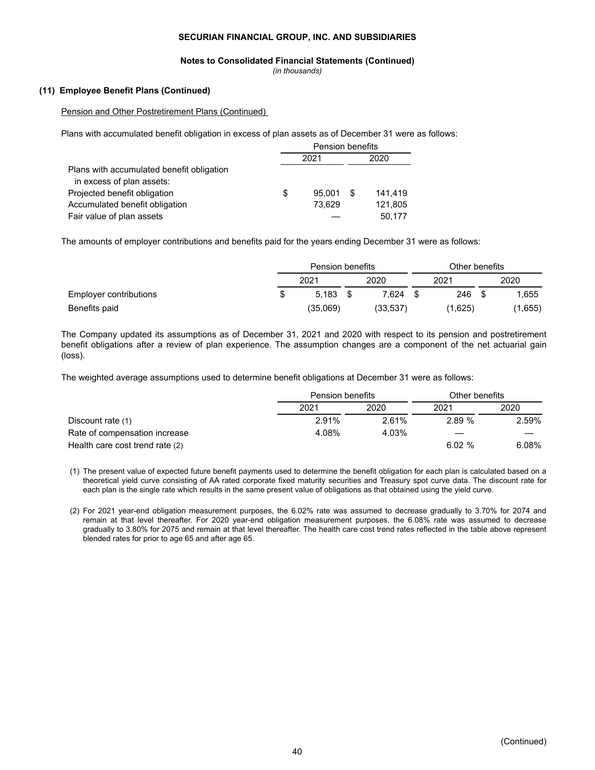#### **Notes to Consolidated Financial Statements (Continued)**

*(in thousands)*

# **(11) Employee Benefit Plans (Continued)**

Pension and Other Postretirement Plans (Continued)

Plans with accumulated benefit obligation in excess of plan assets as of December 31 were as follows:

|                                           | Pension benefits |        |  |         |  |  |  |  |
|-------------------------------------------|------------------|--------|--|---------|--|--|--|--|
|                                           |                  | 2021   |  | 2020    |  |  |  |  |
| Plans with accumulated benefit obligation |                  |        |  |         |  |  |  |  |
| in excess of plan assets:                 |                  |        |  |         |  |  |  |  |
| Projected benefit obligation              | S                | 95.001 |  | 141.419 |  |  |  |  |
| Accumulated benefit obligation            |                  | 73.629 |  | 121,805 |  |  |  |  |
| Fair value of plan assets                 |                  |        |  | 50.177  |  |  |  |  |

The amounts of employer contributions and benefits paid for the years ending December 31 were as follows:

|                        | Pension benefits |  |          | Other benefits |         |  |         |
|------------------------|------------------|--|----------|----------------|---------|--|---------|
|                        | 2021             |  | 2020     |                | 2021    |  | 2020    |
| Employer contributions | 5.183            |  | 7.624    |                | 246     |  | 1.655   |
| Benefits paid          | (35,069)         |  | (33,537) |                | (1,625) |  | (1,655) |

The Company updated its assumptions as of December 31, 2021 and 2020 with respect to its pension and postretirement benefit obligations after a review of plan experience. The assumption changes are a component of the net actuarial gain (loss).

The weighted average assumptions used to determine benefit obligations at December 31 were as follows:

|                                 | <b>Pension benefits</b> |       | Other benefits |       |  |
|---------------------------------|-------------------------|-------|----------------|-------|--|
|                                 | 2021                    | 2020  | 2021           | 2020  |  |
| Discount rate (1)               | 2.91%                   | 2.61% | 2.89%          | 2.59% |  |
| Rate of compensation increase   | 4.08%                   | 4.03% | —              |       |  |
| Health care cost trend rate (2) |                         |       | 6.02%          | 6.08% |  |

(1) The present value of expected future benefit payments used to determine the benefit obligation for each plan is calculated based on a theoretical yield curve consisting of AA rated corporate fixed maturity securities and Treasury spot curve data. The discount rate for each plan is the single rate which results in the same present value of obligations as that obtained using the yield curve.

(2) For 2021 year-end obligation measurement purposes, the 6.02% rate was assumed to decrease gradually to 3.70% for 2074 and remain at that level thereafter. For 2020 year-end obligation measurement purposes, the 6.08% rate was assumed to decrease gradually to 3.80% for 2075 and remain at that level thereafter. The health care cost trend rates reflected in the table above represent blended rates for prior to age 65 and after age 65.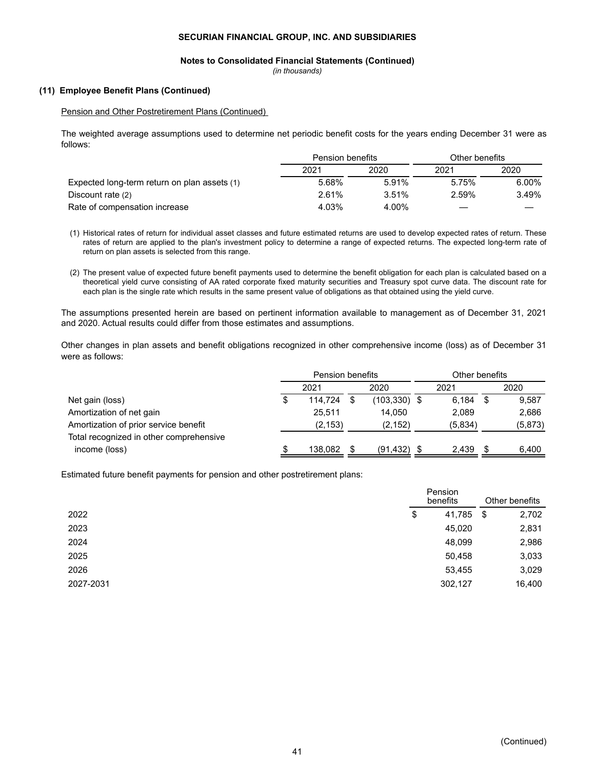#### **Notes to Consolidated Financial Statements (Continued)**

*(in thousands)*

# **(11) Employee Benefit Plans (Continued)**

Pension and Other Postretirement Plans (Continued)

The weighted average assumptions used to determine net periodic benefit costs for the years ending December 31 were as follows:

|                                              | Pension benefits |       | Other benefits |          |  |
|----------------------------------------------|------------------|-------|----------------|----------|--|
|                                              | 2021             | 2020  | 2021           | 2020     |  |
| Expected long-term return on plan assets (1) | 5.68%            | 5.91% | 5.75%          | $6.00\%$ |  |
| Discount rate (2)                            | 2.61%            | 3.51% | $2.59\%$       | 3.49%    |  |
| Rate of compensation increase                | 4.03%            | 4.00% |                |          |  |

(1) Historical rates of return for individual asset classes and future estimated returns are used to develop expected rates of return. These rates of return are applied to the plan's investment policy to determine a range of expected returns. The expected long-term rate of return on plan assets is selected from this range.

(2) The present value of expected future benefit payments used to determine the benefit obligation for each plan is calculated based on a theoretical yield curve consisting of AA rated corporate fixed maturity securities and Treasury spot curve data. The discount rate for each plan is the single rate which results in the same present value of obligations as that obtained using the yield curve.

The assumptions presented herein are based on pertinent information available to management as of December 31, 2021 and 2020. Actual results could differ from those estimates and assumptions.

Other changes in plan assets and benefit obligations recognized in other comprehensive income (loss) as of December 31 were as follows:

|                                         | Pension benefits |         |  |                 | Other benefits |         |   |          |
|-----------------------------------------|------------------|---------|--|-----------------|----------------|---------|---|----------|
|                                         |                  | 2021    |  | 2020            |                | 2021    |   | 2020     |
| Net gain (loss)                         | \$               | 114.724 |  | $(103, 330)$ \$ |                | 6,184   |   | 9,587    |
| Amortization of net gain                |                  | 25,511  |  | 14.050          |                | 2,089   |   | 2,686    |
| Amortization of prior service benefit   |                  | (2,153) |  | (2, 152)        |                | (5,834) |   | (5, 873) |
| Total recognized in other comprehensive |                  |         |  |                 |                |         |   |          |
| income (loss)                           |                  | 138,082 |  | (91, 432)       | -S             | 2,439   | S | 6,400    |

Estimated future benefit payments for pension and other postretirement plans:

|           | Pension<br>benefits | Other benefits |
|-----------|---------------------|----------------|
| 2022      | \$<br>41,785        | \$<br>2,702    |
| 2023      | 45,020              | 2,831          |
| 2024      | 48,099              | 2,986          |
| 2025      | 50,458              | 3,033          |
| 2026      | 53,455              | 3,029          |
| 2027-2031 | 302,127             | 16,400         |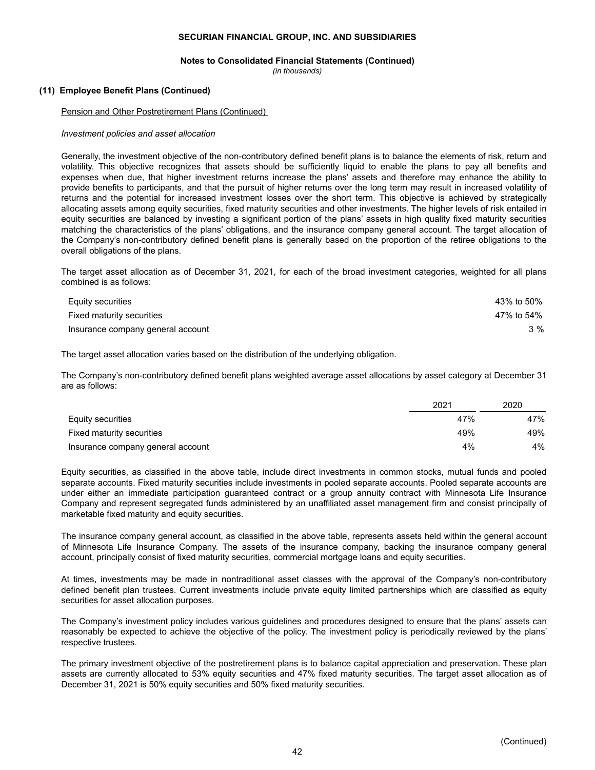### **Notes to Consolidated Financial Statements (Continued)**

*(in thousands)*

## **(11) Employee Benefit Plans (Continued)**

#### Pension and Other Postretirement Plans (Continued)

#### *Investment policies and asset allocation*

Generally, the investment objective of the non-contributory defined benefit plans is to balance the elements of risk, return and volatility. This objective recognizes that assets should be sufficiently liquid to enable the plans to pay all benefits and expenses when due, that higher investment returns increase the plans' assets and therefore may enhance the ability to provide benefits to participants, and that the pursuit of higher returns over the long term may result in increased volatility of returns and the potential for increased investment losses over the short term. This objective is achieved by strategically allocating assets among equity securities, fixed maturity securities and other investments. The higher levels of risk entailed in equity securities are balanced by investing a significant portion of the plans' assets in high quality fixed maturity securities matching the characteristics of the plans' obligations, and the insurance company general account. The target allocation of the Company's non-contributory defined benefit plans is generally based on the proportion of the retiree obligations to the overall obligations of the plans.

The target asset allocation as of December 31, 2021, for each of the broad investment categories, weighted for all plans combined is as follows:

| Equity securities                 | 43% to 50% |
|-----------------------------------|------------|
| Fixed maturity securities         | 47% to 54% |
| Insurance company general account | $3\%$      |

The target asset allocation varies based on the distribution of the underlying obligation.

The Company's non-contributory defined benefit plans weighted average asset allocations by asset category at December 31 are as follows:

|                                   | 2021 | 2020 |
|-----------------------------------|------|------|
| Equity securities                 | 47%  | 47%  |
| Fixed maturity securities         | 49%  | 49%  |
| Insurance company general account | 4%   | 4%   |

Equity securities, as classified in the above table, include direct investments in common stocks, mutual funds and pooled separate accounts. Fixed maturity securities include investments in pooled separate accounts. Pooled separate accounts are under either an immediate participation guaranteed contract or a group annuity contract with Minnesota Life Insurance Company and represent segregated funds administered by an unaffiliated asset management firm and consist principally of marketable fixed maturity and equity securities.

The insurance company general account, as classified in the above table, represents assets held within the general account of Minnesota Life Insurance Company. The assets of the insurance company, backing the insurance company general account, principally consist of fixed maturity securities, commercial mortgage loans and equity securities.

At times, investments may be made in nontraditional asset classes with the approval of the Company's non-contributory defined benefit plan trustees. Current investments include private equity limited partnerships which are classified as equity securities for asset allocation purposes.

The Company's investment policy includes various guidelines and procedures designed to ensure that the plans' assets can reasonably be expected to achieve the objective of the policy. The investment policy is periodically reviewed by the plans' respective trustees.

The primary investment objective of the postretirement plans is to balance capital appreciation and preservation. These plan assets are currently allocated to 53% equity securities and 47% fixed maturity securities. The target asset allocation as of December 31, 2021 is 50% equity securities and 50% fixed maturity securities.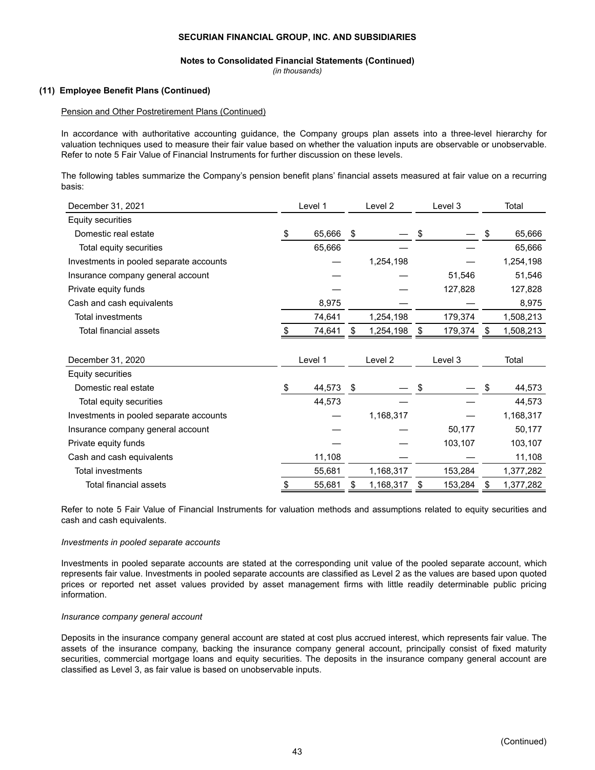#### **Notes to Consolidated Financial Statements (Continued)**

*(in thousands)*

## **(11) Employee Benefit Plans (Continued)**

#### Pension and Other Postretirement Plans (Continued)

In accordance with authoritative accounting guidance, the Company groups plan assets into a three-level hierarchy for valuation techniques used to measure their fair value based on whether the valuation inputs are observable or unobservable. Refer to note 5 Fair Value of Financial Instruments for further discussion on these levels.

The following tables summarize the Company's pension benefit plans' financial assets measured at fair value on a recurring basis:

| December 31, 2021                       | Level 1      |     | Level 2   | Level 3       |    | Total     |
|-----------------------------------------|--------------|-----|-----------|---------------|----|-----------|
| Equity securities                       |              |     |           |               |    |           |
| Domestic real estate                    | \$<br>65,666 | \$  |           | \$            | S  | 65,666    |
| Total equity securities                 | 65,666       |     |           |               |    | 65,666    |
| Investments in pooled separate accounts |              |     | 1,254,198 |               |    | 1,254,198 |
| Insurance company general account       |              |     |           | 51,546        |    | 51,546    |
| Private equity funds                    |              |     |           | 127,828       |    | 127,828   |
| Cash and cash equivalents               | 8,975        |     |           |               |    | 8,975     |
| <b>Total investments</b>                | 74,641       |     | 1,254,198 | 179,374       |    | 1,508,213 |
| Total financial assets                  | 74,641       |     | 1,254,198 | \$<br>179,374 | S  | 1,508,213 |
|                                         |              |     |           |               |    |           |
| December 31, 2020                       | Level 1      |     | Level 2   | Level 3       |    | Total     |
| Equity securities                       |              |     |           |               |    |           |
| Domestic real estate                    | \$<br>44,573 | \$. |           | \$            |    | 44,573    |
| Total equity securities                 | 44,573       |     |           |               |    | 44,573    |
| Investments in pooled separate accounts |              |     | 1,168,317 |               |    | 1,168,317 |
| Insurance company general account       |              |     |           | 50,177        |    | 50,177    |
| Private equity funds                    |              |     |           | 103,107       |    | 103,107   |
| Cash and cash equivalents               | 11,108       |     |           |               |    | 11,108    |
| <b>Total investments</b>                | 55,681       |     | 1,168,317 | 153,284       |    | 1,377,282 |
| Total financial assets                  | \$<br>55,681 | \$  | 1,168,317 | \$<br>153,284 | \$ | 1,377,282 |

Refer to note 5 Fair Value of Financial Instruments for valuation methods and assumptions related to equity securities and cash and cash equivalents.

#### *Investments in pooled separate accounts*

Investments in pooled separate accounts are stated at the corresponding unit value of the pooled separate account, which represents fair value. Investments in pooled separate accounts are classified as Level 2 as the values are based upon quoted prices or reported net asset values provided by asset management firms with little readily determinable public pricing information.

#### *Insurance company general account*

Deposits in the insurance company general account are stated at cost plus accrued interest, which represents fair value. The assets of the insurance company, backing the insurance company general account, principally consist of fixed maturity securities, commercial mortgage loans and equity securities. The deposits in the insurance company general account are classified as Level 3, as fair value is based on unobservable inputs.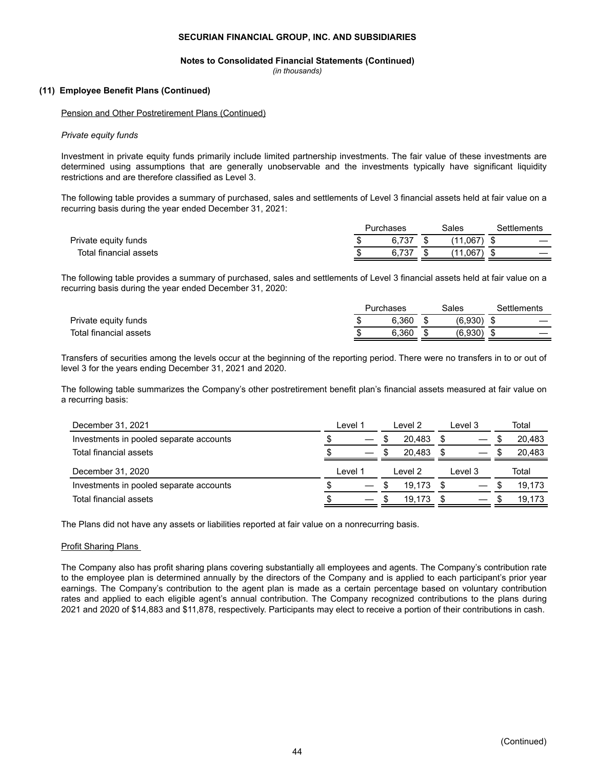#### **Notes to Consolidated Financial Statements (Continued)**

*(in thousands)*

# **(11) Employee Benefit Plans (Continued)**

## Pension and Other Postretirement Plans (Continued)

### *Private equity funds*

Investment in private equity funds primarily include limited partnership investments. The fair value of these investments are determined using assumptions that are generally unobservable and the investments typically have significant liquidity restrictions and are therefore classified as Level 3.

The following table provides a summary of purchased, sales and settlements of Level 3 financial assets held at fair value on a recurring basis during the year ended December 31, 2021:

|                        | Purchases |       |  | Sales                   | Settlements |  |
|------------------------|-----------|-------|--|-------------------------|-------------|--|
| Private equity funds   |           | 6.737 |  | .067)<br>$'$ 1 1        |             |  |
| Total financial assets |           |       |  | .067<br>$^{\prime}$ 4 4 |             |  |

The following table provides a summary of purchased, sales and settlements of Level 3 financial assets held at fair value on a recurring basis during the year ended December 31, 2020:

|                        | Purchases |    | Sales               | Settlements |
|------------------------|-----------|----|---------------------|-------------|
| Private equity funds   | 6.360     | ۰D | (6.930)             |             |
| Total financial assets | 6.360     |    | .6.930 <sup>1</sup> |             |

Transfers of securities among the levels occur at the beginning of the reporting period. There were no transfers in to or out of level 3 for the years ending December 31, 2021 and 2020.

The following table summarizes the Company's other postretirement benefit plan's financial assets measured at fair value on a recurring basis:

| December 31, 2021                       | Level 1 |                          |  | Level 2 | Level 3 |  | Total |        |
|-----------------------------------------|---------|--------------------------|--|---------|---------|--|-------|--------|
| Investments in pooled separate accounts |         |                          |  | 20.483  |         |  |       | 20.483 |
| Total financial assets                  |         |                          |  | 20.483  |         |  |       | 20,483 |
| December 31, 2020                       | Level 1 |                          |  | Level 2 | Level 3 |  |       | Total  |
| Investments in pooled separate accounts |         | $\overline{\phantom{m}}$ |  | 19.173  |         |  |       | 19.173 |
| Total financial assets                  |         |                          |  | 19.173  |         |  |       | 19.173 |

The Plans did not have any assets or liabilities reported at fair value on a nonrecurring basis.

#### Profit Sharing Plans

The Company also has profit sharing plans covering substantially all employees and agents. The Company's contribution rate to the employee plan is determined annually by the directors of the Company and is applied to each participant's prior year earnings. The Company's contribution to the agent plan is made as a certain percentage based on voluntary contribution rates and applied to each eligible agent's annual contribution. The Company recognized contributions to the plans during 2021 and 2020 of \$14,883 and \$11,878, respectively. Participants may elect to receive a portion of their contributions in cash.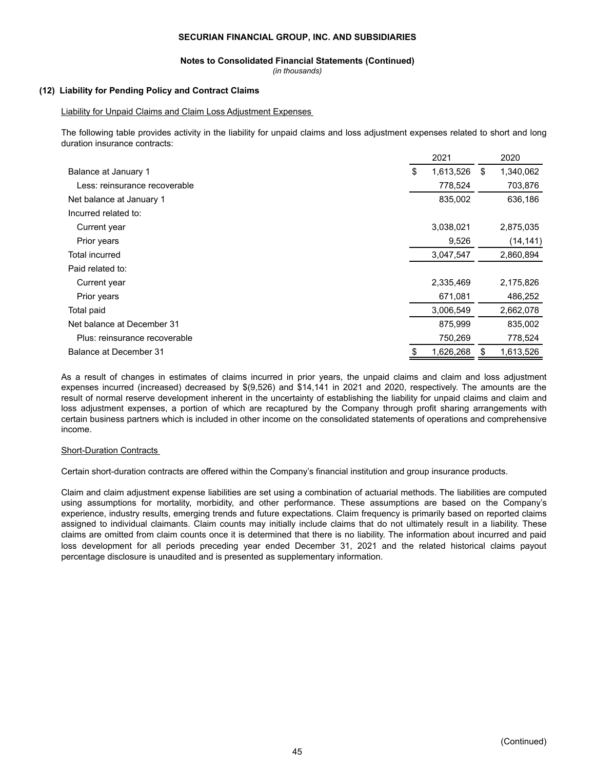#### **Notes to Consolidated Financial Statements (Continued)**

*(in thousands)*

## **(12) Liability for Pending Policy and Contract Claims**

#### Liability for Unpaid Claims and Claim Loss Adjustment Expenses

The following table provides activity in the liability for unpaid claims and loss adjustment expenses related to short and long duration insurance contracts:

|                               | 2021            |    | 2020      |
|-------------------------------|-----------------|----|-----------|
| Balance at January 1          | \$<br>1,613,526 | \$ | 1,340,062 |
| Less: reinsurance recoverable | 778,524         |    | 703,876   |
| Net balance at January 1      | 835,002         |    | 636,186   |
| Incurred related to:          |                 |    |           |
| Current year                  | 3,038,021       |    | 2,875,035 |
| Prior years                   | 9,526           |    | (14, 141) |
| Total incurred                | 3,047,547       |    | 2,860,894 |
| Paid related to:              |                 |    |           |
| Current year                  | 2,335,469       |    | 2,175,826 |
| Prior years                   | 671,081         |    | 486,252   |
| Total paid                    | 3,006,549       |    | 2,662,078 |
| Net balance at December 31    | 875,999         |    | 835,002   |
| Plus: reinsurance recoverable | 750,269         |    | 778,524   |
| Balance at December 31        | \$<br>1,626,268 |    | 1,613,526 |

As a result of changes in estimates of claims incurred in prior years, the unpaid claims and claim and loss adjustment expenses incurred (increased) decreased by \$(9,526) and \$14,141 in 2021 and 2020, respectively. The amounts are the result of normal reserve development inherent in the uncertainty of establishing the liability for unpaid claims and claim and loss adjustment expenses, a portion of which are recaptured by the Company through profit sharing arrangements with certain business partners which is included in other income on the consolidated statements of operations and comprehensive income.

#### Short-Duration Contracts

Certain short-duration contracts are offered within the Company's financial institution and group insurance products.

Claim and claim adjustment expense liabilities are set using a combination of actuarial methods. The liabilities are computed using assumptions for mortality, morbidity, and other performance. These assumptions are based on the Company's experience, industry results, emerging trends and future expectations. Claim frequency is primarily based on reported claims assigned to individual claimants. Claim counts may initially include claims that do not ultimately result in a liability. These claims are omitted from claim counts once it is determined that there is no liability. The information about incurred and paid loss development for all periods preceding year ended December 31, 2021 and the related historical claims payout percentage disclosure is unaudited and is presented as supplementary information.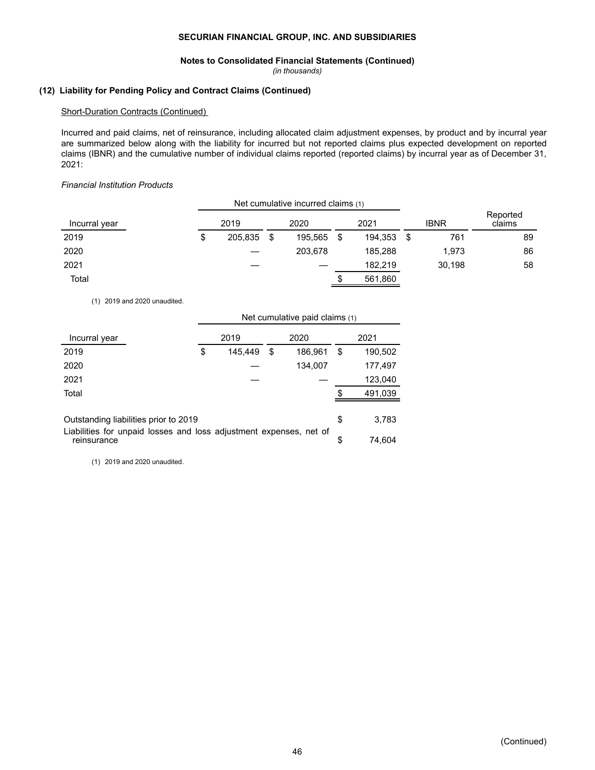# **Notes to Consolidated Financial Statements (Continued)**

*(in thousands)*

# **(12) Liability for Pending Policy and Contract Claims (Continued)**

# Short-Duration Contracts (Continued)

Incurred and paid claims, net of reinsurance, including allocated claim adjustment expenses, by product and by incurral year are summarized below along with the liability for incurred but not reported claims plus expected development on reported claims (IBNR) and the cumulative number of individual claims reported (reported claims) by incurral year as of December 31, 2021:

## *Financial Institution Products*

|               | Net cumulative incurred claims (1) |         |  |         |      |         |  |             |                    |
|---------------|------------------------------------|---------|--|---------|------|---------|--|-------------|--------------------|
| Incurral year |                                    | 2019    |  | 2020    |      | 2021    |  | <b>IBNR</b> | Reported<br>claims |
| 2019          | \$                                 | 205,835 |  | 195,565 | - \$ | 194,353 |  | 761         | 89                 |
| 2020          |                                    |         |  | 203.678 |      | 185.288 |  | 1.973       | 86                 |
| 2021          |                                    |         |  |         |      | 182.219 |  | 30.198      | 58                 |
| Total         |                                    |         |  |         |      | 561,860 |  |             |                    |

(1) 2019 and 2020 unaudited.

|                                                                                   | Net cumulative paid claims (1) |         |      |         |    |         |  |  |  |  |  |
|-----------------------------------------------------------------------------------|--------------------------------|---------|------|---------|----|---------|--|--|--|--|--|
| Incurral year                                                                     |                                | 2019    | 2021 |         |    |         |  |  |  |  |  |
| 2019                                                                              | \$                             | 145,449 | S    | 186,961 | \$ | 190,502 |  |  |  |  |  |
| 2020                                                                              |                                |         |      | 134,007 |    | 177,497 |  |  |  |  |  |
| 2021                                                                              |                                |         |      |         |    | 123,040 |  |  |  |  |  |
| Total                                                                             |                                |         |      |         |    | 491,039 |  |  |  |  |  |
|                                                                                   |                                |         |      |         |    |         |  |  |  |  |  |
| Outstanding liabilities prior to 2019                                             |                                |         |      |         | \$ | 3,783   |  |  |  |  |  |
| Liabilities for unpaid losses and loss adjustment expenses, net of<br>reinsurance |                                |         |      |         | \$ | 74.604  |  |  |  |  |  |

(1) 2019 and 2020 unaudited.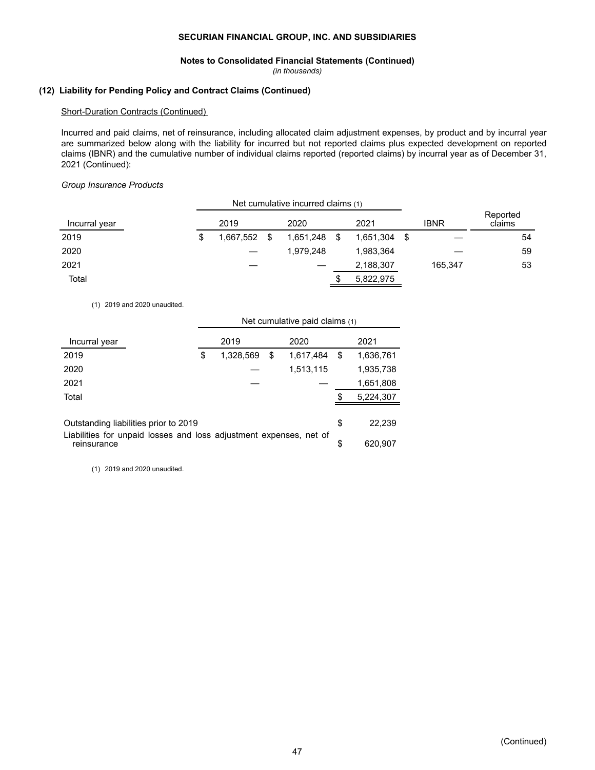# **Notes to Consolidated Financial Statements (Continued)**

*(in thousands)*

# **(12) Liability for Pending Policy and Contract Claims (Continued)**

# Short-Duration Contracts (Continued)

Incurred and paid claims, net of reinsurance, including allocated claim adjustment expenses, by product and by incurral year are summarized below along with the liability for incurred but not reported claims plus expected development on reported claims (IBNR) and the cumulative number of individual claims reported (reported claims) by incurral year as of December 31, 2021 (Continued):

#### *Group Insurance Products*

| Net cumulative incurred claims (1) |    |              |  |           |      |           |      |             |                    |
|------------------------------------|----|--------------|--|-----------|------|-----------|------|-------------|--------------------|
| Incurral year                      |    | 2019         |  | 2020      |      | 2021      |      | <b>IBNR</b> | Reported<br>claims |
| 2019                               | \$ | 1.667.552 \$ |  | 1,651,248 | - \$ | 1,651,304 | - \$ |             | 54                 |
| 2020                               |    |              |  | 1.979.248 |      | 1.983.364 |      |             | 59                 |
| 2021                               |    |              |  |           |      | 2,188,307 |      | 165.347     | 53                 |
| Total                              |    |              |  |           |      | 5,822,975 |      |             |                    |

(1) 2019 and 2020 unaudited.

|                                                                                   | Net cumulative paid claims (1) |           |   |           |    |           |  |  |  |  |  |
|-----------------------------------------------------------------------------------|--------------------------------|-----------|---|-----------|----|-----------|--|--|--|--|--|
| Incurral year                                                                     |                                | 2019      |   | 2020      |    | 2021      |  |  |  |  |  |
| 2019                                                                              | S                              | 1,328,569 | S | 1,617,484 | S  | 1,636,761 |  |  |  |  |  |
| 2020                                                                              |                                |           |   | 1,513,115 |    | 1,935,738 |  |  |  |  |  |
| 2021                                                                              |                                |           |   |           |    | 1,651,808 |  |  |  |  |  |
| Total                                                                             |                                |           |   |           |    | 5,224,307 |  |  |  |  |  |
|                                                                                   |                                |           |   |           |    |           |  |  |  |  |  |
| Outstanding liabilities prior to 2019                                             |                                |           |   |           | S  | 22,239    |  |  |  |  |  |
| Liabilities for unpaid losses and loss adjustment expenses, net of<br>reinsurance |                                |           |   |           | \$ | 620,907   |  |  |  |  |  |

(1) 2019 and 2020 unaudited.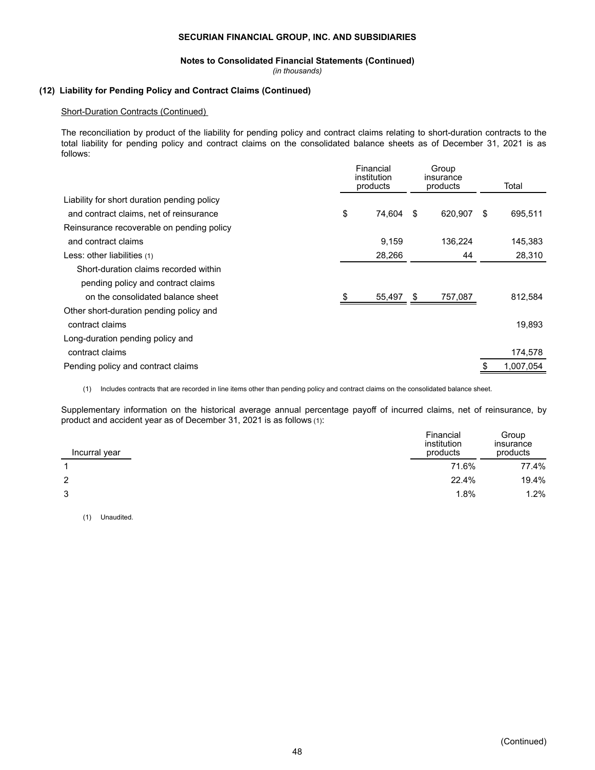### **Notes to Consolidated Financial Statements (Continued)**

*(in thousands)*

# **(12) Liability for Pending Policy and Contract Claims (Continued)**

# Short-Duration Contracts (Continued)

The reconciliation by product of the liability for pending policy and contract claims relating to short-duration contracts to the total liability for pending policy and contract claims on the consolidated balance sheets as of December 31, 2021 is as follows:

|                                             | Financial<br>institution<br>products |      | Group<br>insurance<br>products |    | Total     |
|---------------------------------------------|--------------------------------------|------|--------------------------------|----|-----------|
| Liability for short duration pending policy |                                      |      |                                |    |           |
| and contract claims, net of reinsurance     | \$<br>74,604                         | \$   | 620,907                        | \$ | 695,511   |
| Reinsurance recoverable on pending policy   |                                      |      |                                |    |           |
| and contract claims                         | 9,159                                |      | 136,224                        |    | 145,383   |
| Less: other liabilities (1)                 | 28,266                               |      | 44                             |    | 28,310    |
| Short-duration claims recorded within       |                                      |      |                                |    |           |
| pending policy and contract claims          |                                      |      |                                |    |           |
| on the consolidated balance sheet           | 55,497                               | - \$ | 757,087                        |    | 812,584   |
| Other short-duration pending policy and     |                                      |      |                                |    |           |
| contract claims                             |                                      |      |                                |    | 19,893    |
| Long-duration pending policy and            |                                      |      |                                |    |           |
| contract claims                             |                                      |      |                                |    | 174,578   |
| Pending policy and contract claims          |                                      |      |                                |    | 1,007,054 |

(1) Includes contracts that are recorded in line items other than pending policy and contract claims on the consolidated balance sheet.

Supplementary information on the historical average annual percentage payoff of incurred claims, net of reinsurance, by product and accident year as of December 31, 2021 is as follows (1):

| Incurral year | Financial<br>institution<br>products | Group<br>insurance<br>products |
|---------------|--------------------------------------|--------------------------------|
|               | 71.6%                                | 77.4%                          |
| 2             | 22.4%                                | 19.4%                          |
| 3             | 1.8%                                 | 1.2%                           |

(1) Unaudited.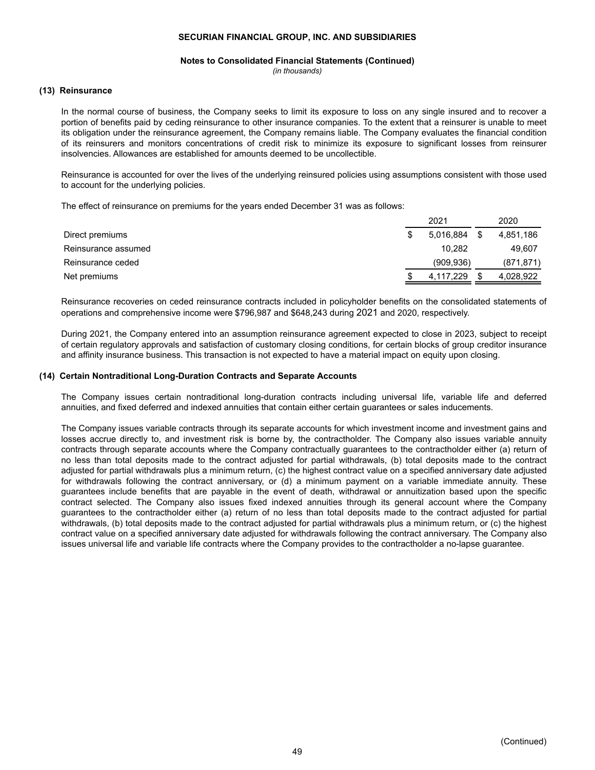#### **Notes to Consolidated Financial Statements (Continued)**

*(in thousands)*

# **(13) Reinsurance**

In the normal course of business, the Company seeks to limit its exposure to loss on any single insured and to recover a portion of benefits paid by ceding reinsurance to other insurance companies. To the extent that a reinsurer is unable to meet its obligation under the reinsurance agreement, the Company remains liable. The Company evaluates the financial condition of its reinsurers and monitors concentrations of credit risk to minimize its exposure to significant losses from reinsurer insolvencies. Allowances are established for amounts deemed to be uncollectible.

Reinsurance is accounted for over the lives of the underlying reinsured policies using assumptions consistent with those used to account for the underlying policies.

The effect of reinsurance on premiums for the years ended December 31 was as follows:

|                     | 2021       | 2020 |            |  |
|---------------------|------------|------|------------|--|
| Direct premiums     | 5.016.884  |      | 4.851.186  |  |
| Reinsurance assumed | 10.282     |      | 49.607     |  |
| Reinsurance ceded   | (909, 936) |      | (871, 871) |  |
| Net premiums        | 4,117,229  |      | 4,028,922  |  |

Reinsurance recoveries on ceded reinsurance contracts included in policyholder benefits on the consolidated statements of operations and comprehensive income were \$796,987 and \$648,243 during 2021 and 2020, respectively.

During 2021, the Company entered into an assumption reinsurance agreement expected to close in 2023, subject to receipt of certain regulatory approvals and satisfaction of customary closing conditions, for certain blocks of group creditor insurance and affinity insurance business. This transaction is not expected to have a material impact on equity upon closing.

### **(14) Certain Nontraditional Long-Duration Contracts and Separate Accounts**

The Company issues certain nontraditional long-duration contracts including universal life, variable life and deferred annuities, and fixed deferred and indexed annuities that contain either certain guarantees or sales inducements.

The Company issues variable contracts through its separate accounts for which investment income and investment gains and losses accrue directly to, and investment risk is borne by, the contractholder. The Company also issues variable annuity contracts through separate accounts where the Company contractually guarantees to the contractholder either (a) return of no less than total deposits made to the contract adjusted for partial withdrawals, (b) total deposits made to the contract adjusted for partial withdrawals plus a minimum return, (c) the highest contract value on a specified anniversary date adjusted for withdrawals following the contract anniversary, or (d) a minimum payment on a variable immediate annuity. These guarantees include benefits that are payable in the event of death, withdrawal or annuitization based upon the specific contract selected. The Company also issues fixed indexed annuities through its general account where the Company guarantees to the contractholder either (a) return of no less than total deposits made to the contract adjusted for partial withdrawals, (b) total deposits made to the contract adjusted for partial withdrawals plus a minimum return, or (c) the highest contract value on a specified anniversary date adjusted for withdrawals following the contract anniversary. The Company also issues universal life and variable life contracts where the Company provides to the contractholder a no-lapse guarantee.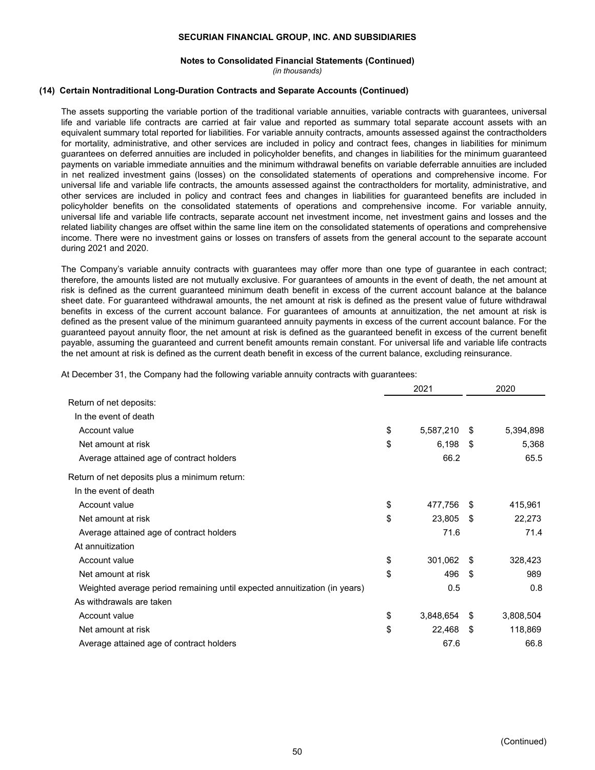#### **Notes to Consolidated Financial Statements (Continued)**

*(in thousands)*

#### **(14) Certain Nontraditional Long-Duration Contracts and Separate Accounts (Continued)**

The assets supporting the variable portion of the traditional variable annuities, variable contracts with guarantees, universal life and variable life contracts are carried at fair value and reported as summary total separate account assets with an equivalent summary total reported for liabilities. For variable annuity contracts, amounts assessed against the contractholders for mortality, administrative, and other services are included in policy and contract fees, changes in liabilities for minimum guarantees on deferred annuities are included in policyholder benefits, and changes in liabilities for the minimum guaranteed payments on variable immediate annuities and the minimum withdrawal benefits on variable deferrable annuities are included in net realized investment gains (losses) on the consolidated statements of operations and comprehensive income. For universal life and variable life contracts, the amounts assessed against the contractholders for mortality, administrative, and other services are included in policy and contract fees and changes in liabilities for guaranteed benefits are included in policyholder benefits on the consolidated statements of operations and comprehensive income. For variable annuity, universal life and variable life contracts, separate account net investment income, net investment gains and losses and the related liability changes are offset within the same line item on the consolidated statements of operations and comprehensive income. There were no investment gains or losses on transfers of assets from the general account to the separate account during 2021 and 2020.

The Company's variable annuity contracts with guarantees may offer more than one type of guarantee in each contract; therefore, the amounts listed are not mutually exclusive. For guarantees of amounts in the event of death, the net amount at risk is defined as the current guaranteed minimum death benefit in excess of the current account balance at the balance sheet date. For guaranteed withdrawal amounts, the net amount at risk is defined as the present value of future withdrawal benefits in excess of the current account balance. For guarantees of amounts at annuitization, the net amount at risk is defined as the present value of the minimum guaranteed annuity payments in excess of the current account balance. For the guaranteed payout annuity floor, the net amount at risk is defined as the guaranteed benefit in excess of the current benefit payable, assuming the guaranteed and current benefit amounts remain constant. For universal life and variable life contracts the net amount at risk is defined as the current death benefit in excess of the current balance, excluding reinsurance.

At December 31, the Company had the following variable annuity contracts with guarantees:

|                                                                           | 2021            | 2020 |           |  |
|---------------------------------------------------------------------------|-----------------|------|-----------|--|
| Return of net deposits:                                                   |                 |      |           |  |
| In the event of death                                                     |                 |      |           |  |
| Account value                                                             | \$<br>5,587,210 | S.   | 5,394,898 |  |
| Net amount at risk                                                        | \$<br>6,198     | \$   | 5,368     |  |
| Average attained age of contract holders                                  | 66.2            |      | 65.5      |  |
| Return of net deposits plus a minimum return:                             |                 |      |           |  |
| In the event of death                                                     |                 |      |           |  |
| Account value                                                             | \$<br>477,756   | -\$  | 415,961   |  |
| Net amount at risk                                                        | \$<br>23,805    | - \$ | 22,273    |  |
| Average attained age of contract holders                                  | 71.6            |      | 71.4      |  |
| At annuitization                                                          |                 |      |           |  |
| Account value                                                             | \$<br>301,062   | - \$ | 328,423   |  |
| Net amount at risk                                                        | \$<br>496       | -\$  | 989       |  |
| Weighted average period remaining until expected annuitization (in years) | 0.5             |      | 0.8       |  |
| As withdrawals are taken                                                  |                 |      |           |  |
| Account value                                                             | \$<br>3,848,654 | -\$  | 3,808,504 |  |
| Net amount at risk                                                        | \$<br>22,468    | \$   | 118,869   |  |
| Average attained age of contract holders                                  | 67.6            |      | 66.8      |  |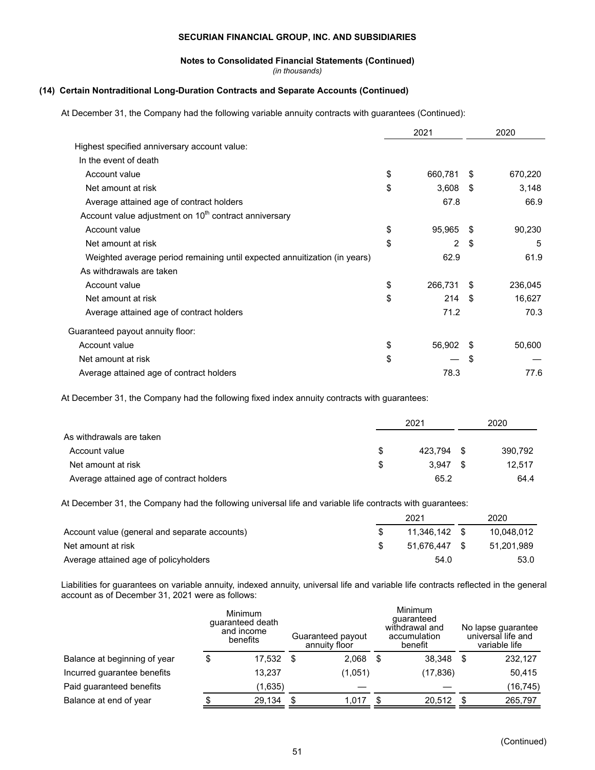#### **Notes to Consolidated Financial Statements (Continued)**

*(in thousands)*

# **(14) Certain Nontraditional Long-Duration Contracts and Separate Accounts (Continued)**

At December 31, the Company had the following variable annuity contracts with guarantees (Continued):

|                                                                           |    | 2021           | 2020 |         |  |
|---------------------------------------------------------------------------|----|----------------|------|---------|--|
| Highest specified anniversary account value:                              |    |                |      |         |  |
| In the event of death                                                     |    |                |      |         |  |
| Account value                                                             | \$ | 660,781        | S    | 670,220 |  |
| Net amount at risk                                                        | \$ | 3,608          | -S   | 3,148   |  |
| Average attained age of contract holders                                  |    | 67.8           |      | 66.9    |  |
| Account value adjustment on 10 <sup>th</sup> contract anniversary         |    |                |      |         |  |
| Account value                                                             | \$ | 95,965         | -SS  | 90,230  |  |
| Net amount at risk                                                        | \$ | $\overline{2}$ | \$   | 5       |  |
| Weighted average period remaining until expected annuitization (in years) |    | 62.9           |      | 61.9    |  |
| As withdrawals are taken                                                  |    |                |      |         |  |
| Account value                                                             | \$ | 266,731        | -SS  | 236,045 |  |
| Net amount at risk                                                        | \$ | 214            | -\$  | 16,627  |  |
| Average attained age of contract holders                                  |    | 71.2           |      | 70.3    |  |
| Guaranteed payout annuity floor:                                          |    |                |      |         |  |
| Account value                                                             | \$ | 56,902         | -SS  | 50,600  |  |
| Net amount at risk                                                        | \$ |                | S    |         |  |
| Average attained age of contract holders                                  |    | 78.3           |      | 77.6    |  |

At December 31, the Company had the following fixed index annuity contracts with guarantees:

|                                          |   | 2021    |      | 2020    |  |  |
|------------------------------------------|---|---------|------|---------|--|--|
| As withdrawals are taken                 |   |         |      |         |  |  |
| Account value                            | S | 423.794 | - \$ | 390.792 |  |  |
| Net amount at risk                       | S | 3.947   |      | 12.517  |  |  |
| Average attained age of contract holders |   | 65.2    |      | 64.4    |  |  |

At December 31, the Company had the following universal life and variable life contracts with guarantees:

|                                               | 2021 |               |  | 2020       |  |  |
|-----------------------------------------------|------|---------------|--|------------|--|--|
| Account value (general and separate accounts) |      | 11.346.142 \$ |  | 10.048.012 |  |  |
| Net amount at risk                            |      | 51.676.447 \$ |  | 51.201.989 |  |  |
| Average attained age of policyholders         |      | 54.0          |  | 53.0       |  |  |

Liabilities for guarantees on variable annuity, indexed annuity, universal life and variable life contracts reflected in the general account as of December 31, 2021 were as follows:

|                              | <b>Minimum</b><br>guaranteed death<br>and income<br>benefits | Guaranteed payout<br>annuity floor |   | Minimum<br>quaranteed<br>withdrawal and<br>accumulation<br>benefit |  | No lapse quarantee<br>universal life and<br>variable life |
|------------------------------|--------------------------------------------------------------|------------------------------------|---|--------------------------------------------------------------------|--|-----------------------------------------------------------|
| Balance at beginning of year | \$<br>17,532 \$                                              | 2,068                              | S | 38,348                                                             |  | 232,127                                                   |
| Incurred guarantee benefits  | 13.237                                                       | (1,051)                            |   | (17, 836)                                                          |  | 50,415                                                    |
| Paid guaranteed benefits     | (1,635)                                                      |                                    |   |                                                                    |  | (16,745)                                                  |
| Balance at end of year       | 29,134                                                       | \$<br>1,017                        |   | 20,512                                                             |  | 265,797                                                   |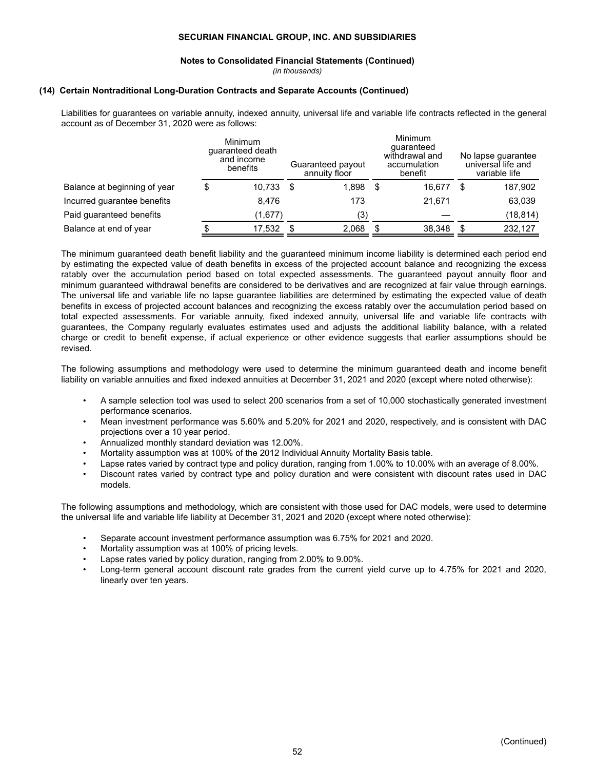## **Notes to Consolidated Financial Statements (Continued)**

*(in thousands)*

## **(14) Certain Nontraditional Long-Duration Contracts and Separate Accounts (Continued)**

Liabilities for guarantees on variable annuity, indexed annuity, universal life and variable life contracts reflected in the general account as of December 31, 2020 were as follows:

|                              |   | Minimum<br>guaranteed death<br>and income<br>benefits | Guaranteed payout<br>annuity floor |   | Minimum<br>quaranteed<br>withdrawal and<br>accumulation<br>benefit | No lapse guarantee<br>universal life and<br>variable life |
|------------------------------|---|-------------------------------------------------------|------------------------------------|---|--------------------------------------------------------------------|-----------------------------------------------------------|
| Balance at beginning of year | S | $10,733$ \$                                           | 1,898                              | S | 16.677                                                             | 187,902                                                   |
| Incurred quarantee benefits  |   | 8.476                                                 | 173                                |   | 21.671                                                             | 63,039                                                    |
| Paid quaranteed benefits     |   | (1,677)                                               | (3)                                |   |                                                                    | (18, 814)                                                 |
| Balance at end of year       |   | 17,532                                                | 2,068                              |   | 38,348                                                             | 232,127                                                   |

The minimum guaranteed death benefit liability and the guaranteed minimum income liability is determined each period end by estimating the expected value of death benefits in excess of the projected account balance and recognizing the excess ratably over the accumulation period based on total expected assessments. The guaranteed payout annuity floor and minimum guaranteed withdrawal benefits are considered to be derivatives and are recognized at fair value through earnings. The universal life and variable life no lapse guarantee liabilities are determined by estimating the expected value of death benefits in excess of projected account balances and recognizing the excess ratably over the accumulation period based on total expected assessments. For variable annuity, fixed indexed annuity, universal life and variable life contracts with guarantees, the Company regularly evaluates estimates used and adjusts the additional liability balance, with a related charge or credit to benefit expense, if actual experience or other evidence suggests that earlier assumptions should be revised.

The following assumptions and methodology were used to determine the minimum guaranteed death and income benefit liability on variable annuities and fixed indexed annuities at December 31, 2021 and 2020 (except where noted otherwise):

- A sample selection tool was used to select 200 scenarios from a set of 10,000 stochastically generated investment performance scenarios.
- Mean investment performance was 5.60% and 5.20% for 2021 and 2020, respectively, and is consistent with DAC projections over a 10 year period.
- Annualized monthly standard deviation was 12.00%.
- Mortality assumption was at 100% of the 2012 Individual Annuity Mortality Basis table.
- Lapse rates varied by contract type and policy duration, ranging from 1.00% to 10.00% with an average of 8.00%.
- Discount rates varied by contract type and policy duration and were consistent with discount rates used in DAC models.

The following assumptions and methodology, which are consistent with those used for DAC models, were used to determine the universal life and variable life liability at December 31, 2021 and 2020 (except where noted otherwise):

- Separate account investment performance assumption was 6.75% for 2021 and 2020.
- Mortality assumption was at 100% of pricing levels.
- Lapse rates varied by policy duration, ranging from 2.00% to 9.00%.
- Long-term general account discount rate grades from the current yield curve up to 4.75% for 2021 and 2020, linearly over ten years.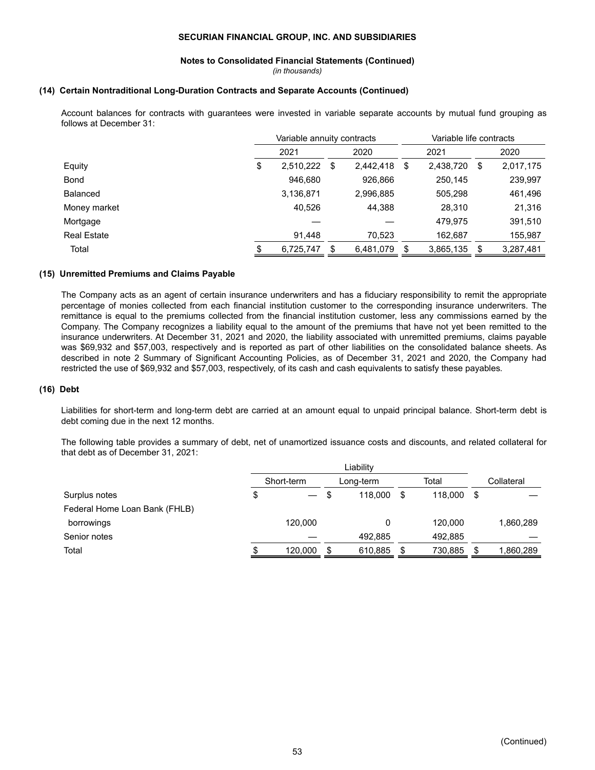#### **Notes to Consolidated Financial Statements (Continued)**

*(in thousands)*

### **(14) Certain Nontraditional Long-Duration Contracts and Separate Accounts (Continued)**

Account balances for contracts with guarantees were invested in variable separate accounts by mutual fund grouping as follows at December 31:

|                    | Variable annuity contracts |           |      |           |      | Variable life contracts |    |           |  |  |
|--------------------|----------------------------|-----------|------|-----------|------|-------------------------|----|-----------|--|--|
|                    | 2021                       |           | 2020 |           | 2021 |                         |    | 2020      |  |  |
| Equity             | \$                         | 2,510,222 | -\$  | 2,442,418 | \$   | 2,438,720               | \$ | 2,017,175 |  |  |
| <b>Bond</b>        |                            | 946.680   |      | 926,866   |      | 250,145                 |    | 239,997   |  |  |
| <b>Balanced</b>    |                            | 3,136,871 |      | 2,996,885 |      | 505,298                 |    | 461,496   |  |  |
| Money market       |                            | 40.526    |      | 44.388    |      | 28,310                  |    | 21,316    |  |  |
| Mortgage           |                            |           |      |           |      | 479,975                 |    | 391,510   |  |  |
| <b>Real Estate</b> |                            | 91.448    |      | 70.523    |      | 162,687                 |    | 155,987   |  |  |
| Total              |                            | 6,725,747 | \$   | 6,481,079 |      | 3,865,135               |    | 3,287,481 |  |  |

### **(15) Unremitted Premiums and Claims Payable**

The Company acts as an agent of certain insurance underwriters and has a fiduciary responsibility to remit the appropriate percentage of monies collected from each financial institution customer to the corresponding insurance underwriters. The remittance is equal to the premiums collected from the financial institution customer, less any commissions earned by the Company. The Company recognizes a liability equal to the amount of the premiums that have not yet been remitted to the insurance underwriters. At December 31, 2021 and 2020, the liability associated with unremitted premiums, claims payable was \$69,932 and \$57,003, respectively and is reported as part of other liabilities on the consolidated balance sheets. As described in note 2 Summary of Significant Accounting Policies, as of December 31, 2021 and 2020, the Company had restricted the use of \$69,932 and \$57,003, respectively, of its cash and cash equivalents to satisfy these payables.

# **(16) Debt**

Liabilities for short-term and long-term debt are carried at an amount equal to unpaid principal balance. Short-term debt is debt coming due in the next 12 months.

The following table provides a summary of debt, net of unamortized issuance costs and discounts, and related collateral for that debt as of December 31, 2021:

|    |         | Long-term  |         |           | Total   |   | Collateral |
|----|---------|------------|---------|-----------|---------|---|------------|
| \$ |         | S.         | 118,000 | \$        | 118,000 | S |            |
|    |         |            |         |           |         |   |            |
|    | 120,000 |            | 0       |           | 120,000 |   | 1,860,289  |
|    |         |            | 492.885 |           | 492.885 |   |            |
|    | 120,000 |            | 610.885 |           | 730,885 |   | .860,289   |
|    |         | Short-term |         | Liability |         |   |            |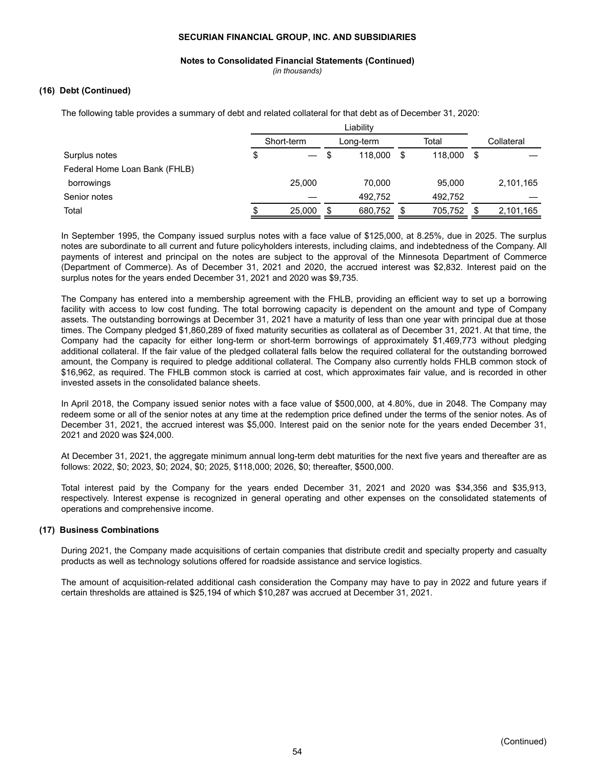#### **Notes to Consolidated Financial Statements (Continued)**

*(in thousands)*

# **(16) Debt (Continued)**

The following table provides a summary of debt and related collateral for that debt as of December 31, 2020:

|                               |    | Short-term |   | Long-term | Total |         |    | Collateral |
|-------------------------------|----|------------|---|-----------|-------|---------|----|------------|
| Surplus notes                 | \$ |            |   | 118,000   |       | 118,000 | S. |            |
| Federal Home Loan Bank (FHLB) |    |            |   |           |       |         |    |            |
| borrowings                    |    | 25,000     |   | 70.000    |       | 95,000  |    | 2,101,165  |
| Senior notes                  |    |            |   | 492.752   |       | 492.752 |    |            |
| Total                         | J. | 25,000     | S | 680,752   |       | 705,752 |    | 2,101,165  |

In September 1995, the Company issued surplus notes with a face value of \$125,000, at 8.25%, due in 2025. The surplus notes are subordinate to all current and future policyholders interests, including claims, and indebtedness of the Company. All payments of interest and principal on the notes are subject to the approval of the Minnesota Department of Commerce (Department of Commerce). As of December 31, 2021 and 2020, the accrued interest was \$2,832. Interest paid on the surplus notes for the years ended December 31, 2021 and 2020 was \$9,735.

The Company has entered into a membership agreement with the FHLB, providing an efficient way to set up a borrowing facility with access to low cost funding. The total borrowing capacity is dependent on the amount and type of Company assets. The outstanding borrowings at December 31, 2021 have a maturity of less than one year with principal due at those times. The Company pledged \$1,860,289 of fixed maturity securities as collateral as of December 31, 2021. At that time, the Company had the capacity for either long-term or short-term borrowings of approximately \$1,469,773 without pledging additional collateral. If the fair value of the pledged collateral falls below the required collateral for the outstanding borrowed amount, the Company is required to pledge additional collateral. The Company also currently holds FHLB common stock of \$16,962, as required. The FHLB common stock is carried at cost, which approximates fair value, and is recorded in other invested assets in the consolidated balance sheets.

In April 2018, the Company issued senior notes with a face value of \$500,000, at 4.80%, due in 2048. The Company may redeem some or all of the senior notes at any time at the redemption price defined under the terms of the senior notes. As of December 31, 2021, the accrued interest was \$5,000. Interest paid on the senior note for the years ended December 31, 2021 and 2020 was \$24,000.

At December 31, 2021, the aggregate minimum annual long-term debt maturities for the next five years and thereafter are as follows: 2022, \$0; 2023, \$0; 2024, \$0; 2025, \$118,000; 2026, \$0; thereafter, \$500,000.

Total interest paid by the Company for the years ended December 31, 2021 and 2020 was \$34,356 and \$35,913, respectively. Interest expense is recognized in general operating and other expenses on the consolidated statements of operations and comprehensive income.

# **(17) Business Combinations**

During 2021, the Company made acquisitions of certain companies that distribute credit and specialty property and casualty products as well as technology solutions offered for roadside assistance and service logistics.

The amount of acquisition-related additional cash consideration the Company may have to pay in 2022 and future years if certain thresholds are attained is \$25,194 of which \$10,287 was accrued at December 31, 2021.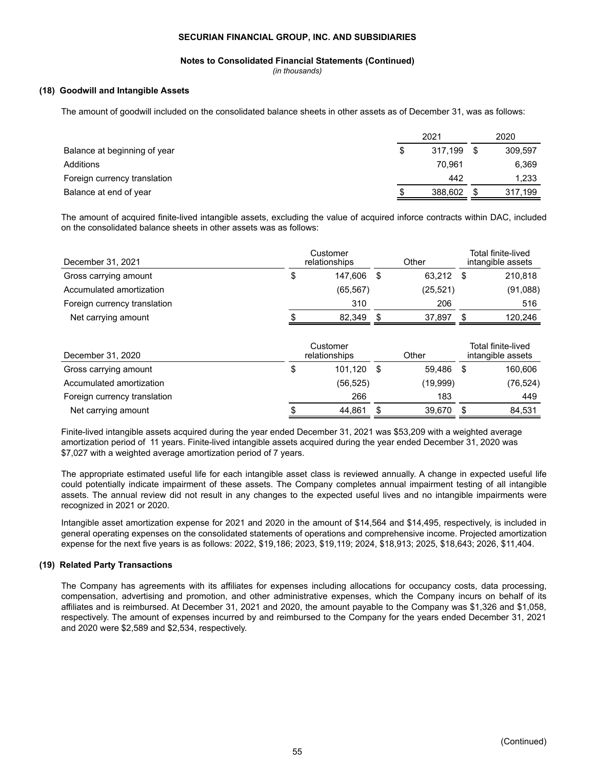#### **Notes to Consolidated Financial Statements (Continued)**

*(in thousands)*

## **(18) Goodwill and Intangible Assets**

The amount of goodwill included on the consolidated balance sheets in other assets as of December 31, was as follows:

|                              | 2021    | 2020 |         |  |
|------------------------------|---------|------|---------|--|
| Balance at beginning of year | 317.199 |      | 309,597 |  |
| Additions                    | 70.961  |      | 6,369   |  |
| Foreign currency translation | 442     |      | 1.233   |  |
| Balance at end of year       | 388,602 |      | 317,199 |  |

The amount of acquired finite-lived intangible assets, excluding the value of acquired inforce contracts within DAC, included on the consolidated balance sheets in other assets was as follows:

| December 31, 2021            |   | Customer<br>relationships | Other    | Total finite-lived<br>intangible assets |          |  |
|------------------------------|---|---------------------------|----------|-----------------------------------------|----------|--|
| Gross carrying amount        | S | 147.606                   | 63.212   |                                         | 210,818  |  |
| Accumulated amortization     |   | (65, 567)                 | (25,521) |                                         | (91,088) |  |
| Foreign currency translation |   | 310                       | 206      |                                         | 516      |  |
| Net carrying amount          |   | 82.349                    | 37.897   |                                         | 120,246  |  |

| December 31, 2020            | Customer<br>relationships |           |  | Other    | Total finite-lived<br>intangible assets |
|------------------------------|---------------------------|-----------|--|----------|-----------------------------------------|
| Gross carrying amount        | S                         | 101.120   |  | 59.486   | 160,606                                 |
| Accumulated amortization     |                           | (56, 525) |  | (19,999) | (76, 524)                               |
| Foreign currency translation |                           | 266       |  | 183      | 449                                     |
| Net carrying amount          |                           | 44.861    |  | 39.670   | 84,531                                  |

Finite-lived intangible assets acquired during the year ended December 31, 2021 was \$53,209 with a weighted average amortization period of 11 years. Finite-lived intangible assets acquired during the year ended December 31, 2020 was \$7,027 with a weighted average amortization period of 7 years.

The appropriate estimated useful life for each intangible asset class is reviewed annually. A change in expected useful life could potentially indicate impairment of these assets. The Company completes annual impairment testing of all intangible assets. The annual review did not result in any changes to the expected useful lives and no intangible impairments were recognized in 2021 or 2020.

Intangible asset amortization expense for 2021 and 2020 in the amount of \$14,564 and \$14,495, respectively, is included in general operating expenses on the consolidated statements of operations and comprehensive income. Projected amortization expense for the next five years is as follows: 2022, \$19,186; 2023, \$19,119; 2024, \$18,913; 2025, \$18,643; 2026, \$11,404.

# **(19) Related Party Transactions**

The Company has agreements with its affiliates for expenses including allocations for occupancy costs, data processing, compensation, advertising and promotion, and other administrative expenses, which the Company incurs on behalf of its affiliates and is reimbursed. At December 31, 2021 and 2020, the amount payable to the Company was \$1,326 and \$1,058, respectively. The amount of expenses incurred by and reimbursed to the Company for the years ended December 31, 2021 and 2020 were \$2,589 and \$2,534, respectively.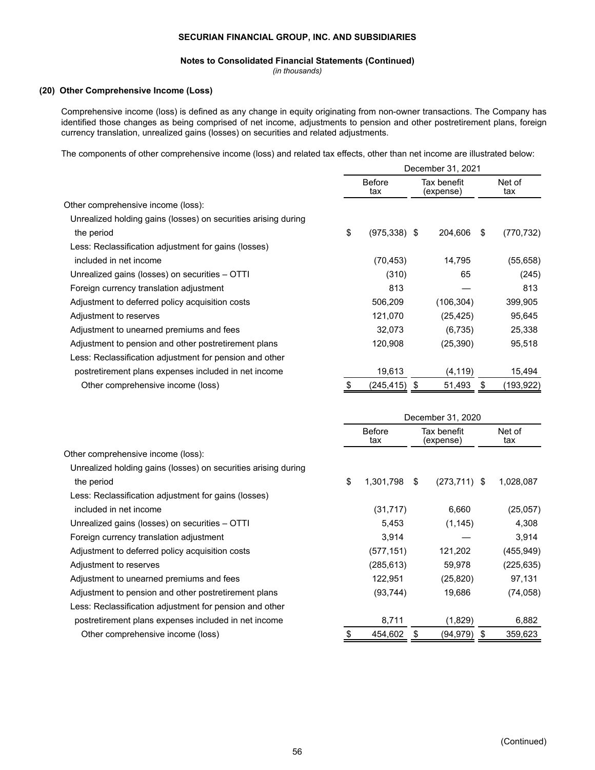#### **Notes to Consolidated Financial Statements (Continued)**

*(in thousands)*

# **(20) Other Comprehensive Income (Loss)**

Comprehensive income (loss) is defined as any change in equity originating from non-owner transactions. The Company has identified those changes as being comprised of net income, adjustments to pension and other postretirement plans, foreign currency translation, unrealized gains (losses) on securities and related adjustments.

The components of other comprehensive income (loss) and related tax effects, other than net income are illustrated below:

|                                                                | December 31, 2021 |                      |                          |    |               |  |  |  |
|----------------------------------------------------------------|-------------------|----------------------|--------------------------|----|---------------|--|--|--|
|                                                                |                   | <b>Before</b><br>tax | Tax benefit<br>(expense) |    | Net of<br>tax |  |  |  |
| Other comprehensive income (loss):                             |                   |                      |                          |    |               |  |  |  |
| Unrealized holding gains (losses) on securities arising during |                   |                      |                          |    |               |  |  |  |
| the period                                                     | \$                | $(975, 338)$ \$      | 204,606                  | \$ | (770, 732)    |  |  |  |
| Less: Reclassification adjustment for gains (losses)           |                   |                      |                          |    |               |  |  |  |
| included in net income                                         |                   | (70, 453)            | 14,795                   |    | (55,658)      |  |  |  |
| Unrealized gains (losses) on securities – OTTI                 |                   | (310)                | 65                       |    | (245)         |  |  |  |
| Foreign currency translation adjustment                        |                   | 813                  |                          |    | 813           |  |  |  |
| Adjustment to deferred policy acquisition costs                |                   | 506,209              | (106, 304)               |    | 399,905       |  |  |  |
| Adjustment to reserves                                         |                   | 121,070              | (25, 425)                |    | 95,645        |  |  |  |
| Adjustment to unearned premiums and fees                       |                   | 32,073               | (6, 735)                 |    | 25,338        |  |  |  |
| Adjustment to pension and other postretirement plans           |                   | 120,908              | (25, 390)                |    | 95,518        |  |  |  |
| Less: Reclassification adjustment for pension and other        |                   |                      |                          |    |               |  |  |  |
| postretirement plans expenses included in net income           |                   | 19,613               | (4, 119)                 |    | 15,494        |  |  |  |
| Other comprehensive income (loss)                              | \$                | (245, 415)           | 51,493<br>\$             | \$ | (193, 922)    |  |  |  |

|                                                                | December 31, 2020 |                      |    |                          |    |               |  |
|----------------------------------------------------------------|-------------------|----------------------|----|--------------------------|----|---------------|--|
| Other comprehensive income (loss):                             |                   | <b>Before</b><br>tax |    | Tax benefit<br>(expense) |    | Net of<br>tax |  |
|                                                                |                   |                      |    |                          |    |               |  |
| Unrealized holding gains (losses) on securities arising during |                   |                      |    |                          |    |               |  |
| the period                                                     | \$                | 1,301,798            | \$ | $(273, 711)$ \$          |    | 1,028,087     |  |
| Less: Reclassification adjustment for gains (losses)           |                   |                      |    |                          |    |               |  |
| included in net income                                         |                   | (31, 717)            |    | 6,660                    |    | (25,057)      |  |
| Unrealized gains (losses) on securities – OTTI                 |                   | 5,453                |    | (1, 145)                 |    | 4,308         |  |
| Foreign currency translation adjustment                        |                   | 3,914                |    |                          |    | 3,914         |  |
| Adjustment to deferred policy acquisition costs                |                   | (577, 151)           |    | 121,202                  |    | (455, 949)    |  |
| Adjustment to reserves                                         |                   | (285, 613)           |    | 59,978                   |    | (225, 635)    |  |
| Adjustment to unearned premiums and fees                       |                   | 122,951              |    | (25, 820)                |    | 97,131        |  |
| Adjustment to pension and other postretirement plans           |                   | (93, 744)            |    | 19,686                   |    | (74, 058)     |  |
| Less: Reclassification adjustment for pension and other        |                   |                      |    |                          |    |               |  |
| postretirement plans expenses included in net income           |                   | 8,711                |    | (1,829)                  |    | 6,882         |  |
| Other comprehensive income (loss)                              |                   | 454,602              |    | (94, 979)                | \$ | 359,623       |  |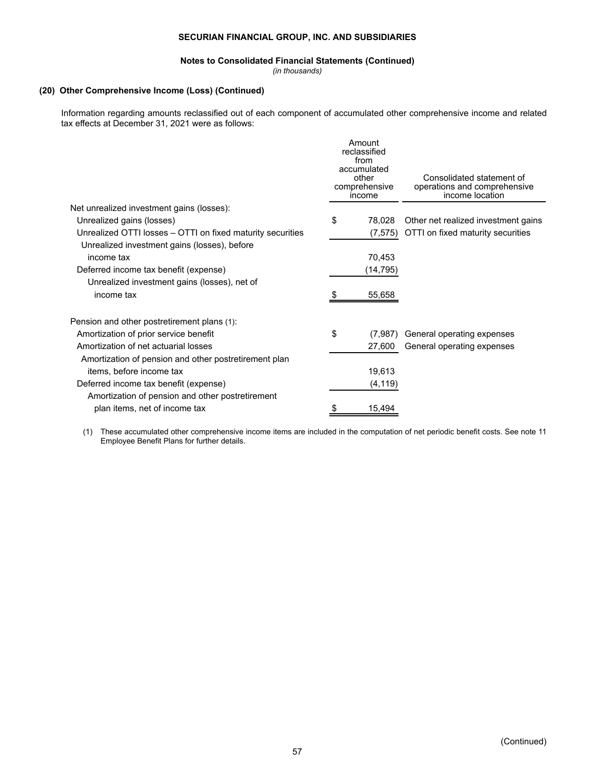## **Notes to Consolidated Financial Statements (Continued)**

*(in thousands)*

# **(20) Other Comprehensive Income (Loss) (Continued)**

Information regarding amounts reclassified out of each component of accumulated other comprehensive income and related tax effects at December 31, 2021 were as follows:

|                                                            | Amount<br>reclassified<br>from<br>accumulated<br>other<br>comprehensive<br>income |           | Consolidated statement of<br>operations and comprehensive<br>income location |
|------------------------------------------------------------|-----------------------------------------------------------------------------------|-----------|------------------------------------------------------------------------------|
| Net unrealized investment gains (losses):                  |                                                                                   |           |                                                                              |
| Unrealized gains (losses)                                  | \$                                                                                | 78.028    | Other net realized investment gains                                          |
| Unrealized OTTI losses - OTTI on fixed maturity securities |                                                                                   | (7, 575)  | OTTI on fixed maturity securities                                            |
| Unrealized investment gains (losses), before               |                                                                                   |           |                                                                              |
| income tax                                                 |                                                                                   | 70,453    |                                                                              |
| Deferred income tax benefit (expense)                      |                                                                                   | (14, 795) |                                                                              |
| Unrealized investment gains (losses), net of               |                                                                                   |           |                                                                              |
| income tax                                                 |                                                                                   | 55,658    |                                                                              |
| Pension and other postretirement plans (1):                |                                                                                   |           |                                                                              |
| Amortization of prior service benefit                      | \$                                                                                | (7.987)   | General operating expenses                                                   |
| Amortization of net actuarial losses                       |                                                                                   | 27,600    | General operating expenses                                                   |
| Amortization of pension and other postretirement plan      |                                                                                   |           |                                                                              |
| items, before income tax                                   |                                                                                   | 19,613    |                                                                              |
| Deferred income tax benefit (expense)                      |                                                                                   | (4, 119)  |                                                                              |
| Amortization of pension and other postretirement           |                                                                                   |           |                                                                              |
| plan items, net of income tax                              | \$                                                                                | 15,494    |                                                                              |

(1) These accumulated other comprehensive income items are included in the computation of net periodic benefit costs. See note 11 Employee Benefit Plans for further details.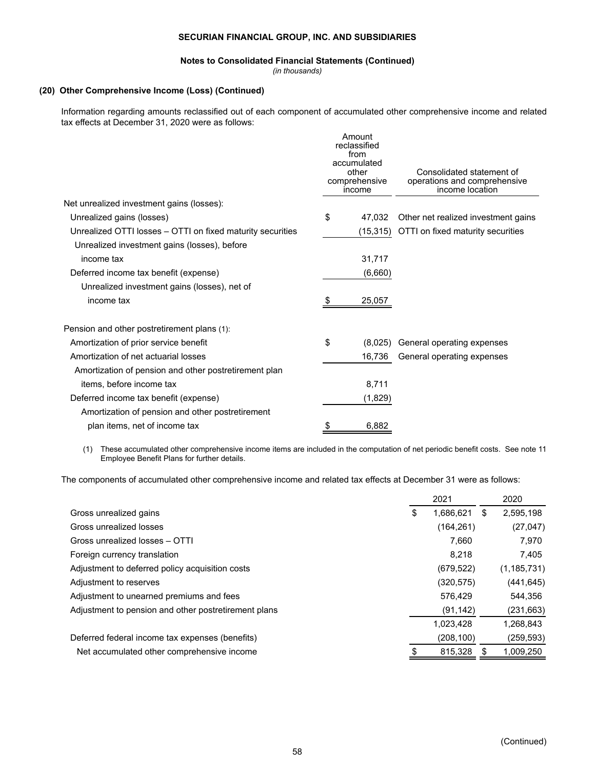## **Notes to Consolidated Financial Statements (Continued)**

*(in thousands)*

# **(20) Other Comprehensive Income (Loss) (Continued)**

Information regarding amounts reclassified out of each component of accumulated other comprehensive income and related tax effects at December 31, 2020 were as follows:

|                                                            |    | Amount<br>reclassified<br>from<br>accumulated<br>other<br>comprehensive<br>income | Consolidated statement of<br>operations and comprehensive<br>income location |  |  |  |
|------------------------------------------------------------|----|-----------------------------------------------------------------------------------|------------------------------------------------------------------------------|--|--|--|
| Net unrealized investment gains (losses):                  |    |                                                                                   |                                                                              |  |  |  |
| Unrealized gains (losses)                                  | \$ | 47.032                                                                            | Other net realized investment gains                                          |  |  |  |
| Unrealized OTTI losses – OTTI on fixed maturity securities |    |                                                                                   | (15,315) OTTI on fixed maturity securities                                   |  |  |  |
| Unrealized investment gains (losses), before               |    |                                                                                   |                                                                              |  |  |  |
| income tax                                                 |    | 31,717                                                                            |                                                                              |  |  |  |
| Deferred income tax benefit (expense)                      |    | (6,660)                                                                           |                                                                              |  |  |  |
| Unrealized investment gains (losses), net of               |    |                                                                                   |                                                                              |  |  |  |
| income tax                                                 |    | 25,057                                                                            |                                                                              |  |  |  |
| Pension and other postretirement plans (1):                |    |                                                                                   |                                                                              |  |  |  |
| Amortization of prior service benefit                      | \$ | (8,025)                                                                           | General operating expenses                                                   |  |  |  |
| Amortization of net actuarial losses                       |    | 16,736                                                                            | General operating expenses                                                   |  |  |  |
| Amortization of pension and other postretirement plan      |    |                                                                                   |                                                                              |  |  |  |
| items, before income tax                                   |    | 8,711                                                                             |                                                                              |  |  |  |
| Deferred income tax benefit (expense)                      |    | (1,829)                                                                           |                                                                              |  |  |  |
| Amortization of pension and other postretirement           |    |                                                                                   |                                                                              |  |  |  |
| plan items, net of income tax                              | \$ | 6,882                                                                             |                                                                              |  |  |  |

(1) These accumulated other comprehensive income items are included in the computation of net periodic benefit costs. See note 11 Employee Benefit Plans for further details.

The components of accumulated other comprehensive income and related tax effects at December 31 were as follows:

|                                                      | 2021            |   | 2020          |  |
|------------------------------------------------------|-----------------|---|---------------|--|
| Gross unrealized gains                               | \$<br>1,686,621 | S | 2,595,198     |  |
| Gross unrealized losses                              | (164, 261)      |   | (27, 047)     |  |
| Gross unrealized losses - OTTI                       | 7.660           |   | 7,970         |  |
| Foreign currency translation                         | 8.218           |   | 7,405         |  |
| Adjustment to deferred policy acquisition costs      | (679, 522)      |   | (1, 185, 731) |  |
| Adjustment to reserves                               | (320, 575)      |   | (441, 645)    |  |
| Adjustment to unearned premiums and fees             | 576.429         |   | 544,356       |  |
| Adjustment to pension and other postretirement plans | (91,142)        |   | (231,663)     |  |
|                                                      | 1,023,428       |   | 1,268,843     |  |
| Deferred federal income tax expenses (benefits)      | (208, 100)      |   | (259,593)     |  |
| Net accumulated other comprehensive income           | \$<br>815,328   |   | 1.009.250     |  |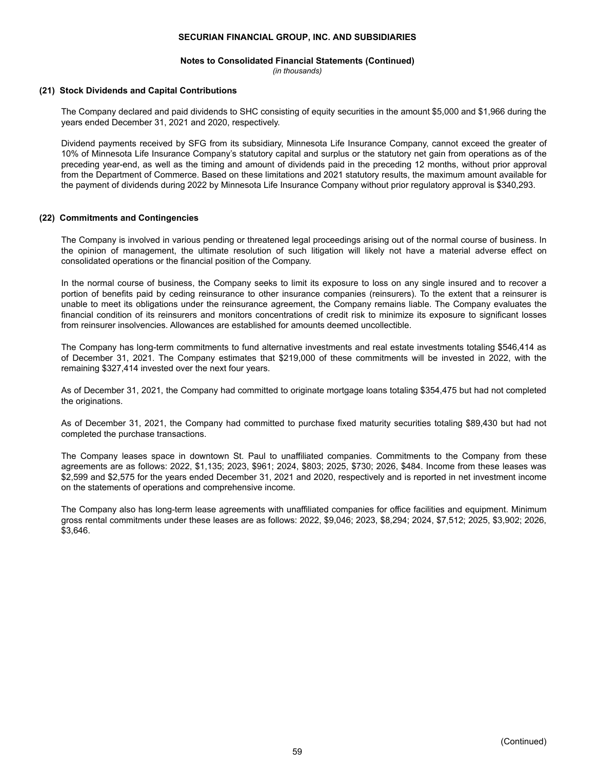#### **Notes to Consolidated Financial Statements (Continued)**

*(in thousands)*

## **(21) Stock Dividends and Capital Contributions**

The Company declared and paid dividends to SHC consisting of equity securities in the amount \$5,000 and \$1,966 during the years ended December 31, 2021 and 2020, respectively.

Dividend payments received by SFG from its subsidiary, Minnesota Life Insurance Company, cannot exceed the greater of 10% of Minnesota Life Insurance Company's statutory capital and surplus or the statutory net gain from operations as of the preceding year-end, as well as the timing and amount of dividends paid in the preceding 12 months, without prior approval from the Department of Commerce. Based on these limitations and 2021 statutory results, the maximum amount available for the payment of dividends during 2022 by Minnesota Life Insurance Company without prior regulatory approval is \$340,293.

### **(22) Commitments and Contingencies**

The Company is involved in various pending or threatened legal proceedings arising out of the normal course of business. In the opinion of management, the ultimate resolution of such litigation will likely not have a material adverse effect on consolidated operations or the financial position of the Company.

In the normal course of business, the Company seeks to limit its exposure to loss on any single insured and to recover a portion of benefits paid by ceding reinsurance to other insurance companies (reinsurers). To the extent that a reinsurer is unable to meet its obligations under the reinsurance agreement, the Company remains liable. The Company evaluates the financial condition of its reinsurers and monitors concentrations of credit risk to minimize its exposure to significant losses from reinsurer insolvencies. Allowances are established for amounts deemed uncollectible.

The Company has long-term commitments to fund alternative investments and real estate investments totaling \$546,414 as of December 31, 2021. The Company estimates that \$219,000 of these commitments will be invested in 2022, with the remaining \$327,414 invested over the next four years.

As of December 31, 2021, the Company had committed to originate mortgage loans totaling \$354,475 but had not completed the originations.

As of December 31, 2021, the Company had committed to purchase fixed maturity securities totaling \$89,430 but had not completed the purchase transactions.

The Company leases space in downtown St. Paul to unaffiliated companies. Commitments to the Company from these agreements are as follows: 2022, \$1,135; 2023, \$961; 2024, \$803; 2025, \$730; 2026, \$484. Income from these leases was \$2,599 and \$2,575 for the years ended December 31, 2021 and 2020, respectively and is reported in net investment income on the statements of operations and comprehensive income.

The Company also has long-term lease agreements with unaffiliated companies for office facilities and equipment. Minimum gross rental commitments under these leases are as follows: 2022, \$9,046; 2023, \$8,294; 2024, \$7,512; 2025, \$3,902; 2026, \$3,646.